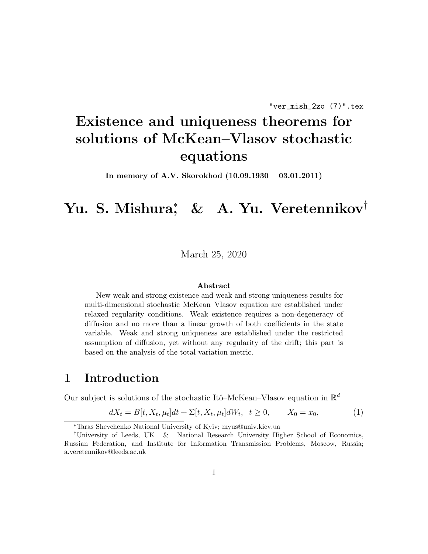# Existence and uniqueness theorems for solutions of McKean–Vlasov stochastic equations

In memory of A.V. Skorokhod (10.09.1930 – 03.01.2011)

# Yu. S. Mishura<sup>∗</sup> , & A. Yu. Veretennikov†

March 25, 2020

#### Abstract

New weak and strong existence and weak and strong uniqueness results for multi-dimensional stochastic McKean–Vlasov equation are established under relaxed regularity conditions. Weak existence requires a non-degeneracy of diffusion and no more than a linear growth of both coefficients in the state variable. Weak and strong uniqueness are established under the restricted assumption of diffusion, yet without any regularity of the drift; this part is based on the analysis of the total variation metric.

# 1 Introduction

Our subject is solutions of the stochastic Itô–McKean–Vlasov equation in  $\mathbb{R}^d$ 

$$
dX_t = B[t, X_t, \mu_t]dt + \Sigma[t, X_t, \mu_t]dW_t, \ t \ge 0, \qquad X_0 = x_0,
$$
 (1)

<sup>∗</sup>Taras Shevchenko National University of Kyiv; myus@univ.kiev.ua

<sup>†</sup>University of Leeds, UK & National Research University Higher School of Economics, Russian Federation, and Institute for Information Transmission Problems, Moscow, Russia; a.veretennikov@leeds.ac.uk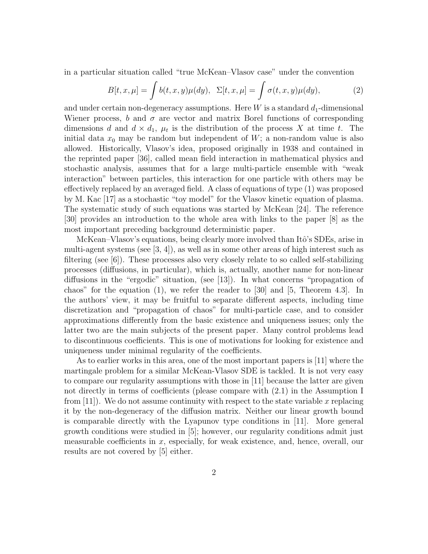in a particular situation called "true McKean–Vlasov case" under the convention

$$
B[t, x, \mu] = \int b(t, x, y)\mu(dy), \ \Sigma[t, x, \mu] = \int \sigma(t, x, y)\mu(dy), \tag{2}
$$

and under certain non-degeneracy assumptions. Here  $W$  is a standard  $d_1$ -dimensional Wiener process, b and  $\sigma$  are vector and matrix Borel functions of corresponding dimensions d and  $d \times d_1$ ,  $\mu_t$  is the distribution of the process X at time t. The initial data  $x_0$  may be random but independent of W; a non-random value is also allowed. Historically, Vlasov's idea, proposed originally in 1938 and contained in the reprinted paper [36], called mean field interaction in mathematical physics and stochastic analysis, assumes that for a large multi-particle ensemble with "weak interaction" between particles, this interaction for one particle with others may be effectively replaced by an averaged field. A class of equations of type (1) was proposed by M. Kac [17] as a stochastic "toy model" for the Vlasov kinetic equation of plasma. The systematic study of such equations was started by McKean [24]. The reference [30] provides an introduction to the whole area with links to the paper [8] as the most important preceding background deterministic paper.

McKean–Vlasov's equations, being clearly more involved than Itô's SDEs, arise in multi-agent systems (see  $[3, 4]$ ), as well as in some other areas of high interest such as filtering (see [6]). These processes also very closely relate to so called self-stabilizing processes (diffusions, in particular), which is, actually, another name for non-linear diffusions in the "ergodic" situation, (see [13]). In what concerns "propagation of chaos" for the equation  $(1)$ , we refer the reader to [30] and [5, Theorem 4.3]. In the authors' view, it may be fruitful to separate different aspects, including time discretization and "propagation of chaos" for multi-particle case, and to consider approximations differently from the basic existence and uniqueness issues; only the latter two are the main subjects of the present paper. Many control problems lead to discontinuous coefficients. This is one of motivations for looking for existence and uniqueness under minimal regularity of the coefficients.

As to earlier works in this area, one of the most important papers is [11] where the martingale problem for a similar McKean-Vlasov SDE is tackled. It is not very easy to compare our regularity assumptions with those in [11] because the latter are given not directly in terms of coefficients (please compare with (2.1) in the Assumption I from  $[11]$ . We do not assume continuity with respect to the state variable x replacing it by the non-degeneracy of the diffusion matrix. Neither our linear growth bound is comparable directly with the Lyapunov type conditions in [11]. More general growth conditions were studied in [5]; however, our regularity conditions admit just measurable coefficients in  $x$ , especially, for weak existence, and, hence, overall, our results are not covered by [5] either.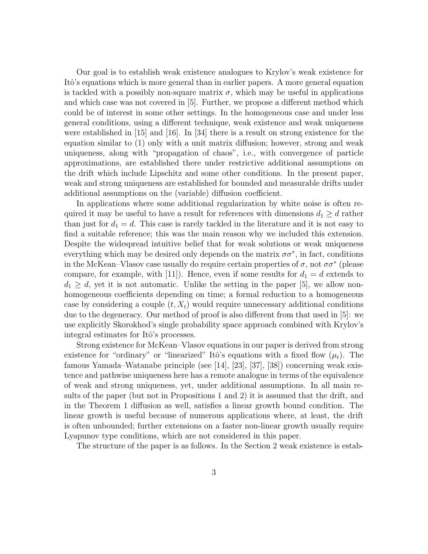Our goal is to establish weak existence analogues to Krylov's weak existence for Itô's equations which is more general than in earlier papers. A more general equation is tackled with a possibly non-square matrix  $\sigma$ , which may be useful in applications and which case was not covered in [5]. Further, we propose a different method which could be of interest in some other settings. In the homogeneous case and under less general conditions, using a different technique, weak existence and weak uniqueness were established in [15] and [16]. In [34] there is a result on strong existence for the equation similar to (1) only with a unit matrix diffusion; however, strong and weak uniqueness, along with "propagation of chaos", i.e., with convergence of particle approximations, are established there under restrictive additional assumptions on the drift which include Lipschitz and some other conditions. In the present paper, weak and strong uniqueness are established for bounded and measurable drifts under additional assumptions on the (variable) diffusion coefficient.

In applications where some additional regularization by white noise is often required it may be useful to have a result for references with dimensions  $d_1 \geq d$  rather than just for  $d_1 = d$ . This case is rarely tackled in the literature and it is not easy to find a suitable reference; this was the main reason why we included this extension. Despite the widespread intuitive belief that for weak solutions or weak uniqueness everything which may be desired only depends on the matrix  $\sigma \sigma^*$ , in fact, conditions in the McKean–Vlasov case usually do require certain properties of  $\sigma$ , not  $\sigma \sigma^*$  (please compare, for example, with [11]). Hence, even if some results for  $d_1 = d$  extends to  $d_1 \geq d$ , yet it is not automatic. Unlike the setting in the paper [5], we allow nonhomogeneous coefficients depending on time; a formal reduction to a homogeneous case by considering a couple  $(t, X_t)$  would require unnecessary additional conditions due to the degeneracy. Our method of proof is also different from that used in [5]: we use explicitly Skorokhod's single probability space approach combined with Krylov's integral estimates for Itô's processes.

Strong existence for McKean–Vlasov equations in our paper is derived from strong existence for "ordinary" or "linearized" Itô's equations with a fixed flow  $(\mu_t)$ . The famous Yamada–Watanabe principle (see [14], [23], [37], [38]) concerning weak existence and pathwise uniqueness here has a remote analogue in terms of the equivalence of weak and strong uniqueness, yet, under additional assumptions. In all main results of the paper (but not in Propositions 1 and 2) it is assumed that the drift, and in the Theorem 1 diffusion as well, satisfies a linear growth bound condition. The linear growth is useful because of numerous applications where, at least, the drift is often unbounded; further extensions on a faster non-linear growth usually require Lyapunov type conditions, which are not considered in this paper.

The structure of the paper is as follows. In the Section 2 weak existence is estab-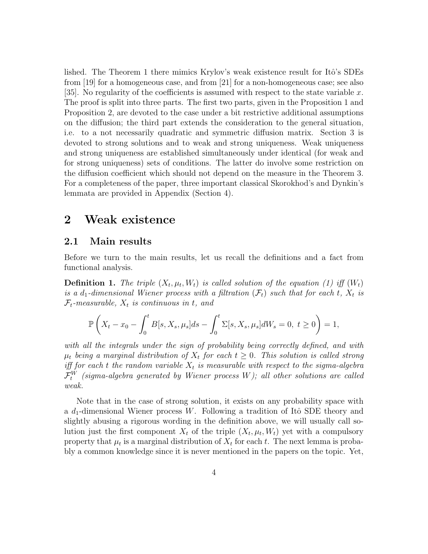lished. The Theorem 1 there mimics Krylov's weak existence result for Itô's SDEs from [19] for a homogeneous case, and from [21] for a non-homogeneous case; see also [35]. No regularity of the coefficients is assumed with respect to the state variable  $x$ . The proof is split into three parts. The first two parts, given in the Proposition 1 and Proposition 2, are devoted to the case under a bit restrictive additional assumptions on the diffusion; the third part extends the consideration to the general situation, i.e. to a not necessarily quadratic and symmetric diffusion matrix. Section 3 is devoted to strong solutions and to weak and strong uniqueness. Weak uniqueness and strong uniqueness are established simultaneously under identical (for weak and for strong uniqueness) sets of conditions. The latter do involve some restriction on the diffusion coefficient which should not depend on the measure in the Theorem 3. For a completeness of the paper, three important classical Skorokhod's and Dynkin's lemmata are provided in Appendix (Section 4).

# 2 Weak existence

### 2.1 Main results

Before we turn to the main results, let us recall the definitions and a fact from functional analysis.

**Definition 1.** The triple  $(X_t, \mu_t, W_t)$  is called solution of the equation (1) iff  $(W_t)$ is a d<sub>1</sub>-dimensional Wiener process with a filtration  $(\mathcal{F}_t)$  such that for each t,  $X_t$  is  $\mathcal{F}_t$ -measurable,  $X_t$  is continuous in t, and

$$
\mathbb{P}\left(X_t - x_0 - \int_0^t B[s, X_s, \mu_s]ds - \int_0^t \Sigma[s, X_s, \mu_s]dW_s = 0, \ t \ge 0\right) = 1,
$$

with all the integrals under the sign of probability being correctly defined, and with  $\mu_t$  being a marginal distribution of  $X_t$  for each  $t \geq 0$ . This solution is called strong iff for each t the random variable  $X_t$  is measurable with respect to the sigma-algebra  $\mathcal{F}^W_t$  (sigma-algebra generated by Wiener process W); all other solutions are called weak.

Note that in the case of strong solution, it exists on any probability space with a  $d_1$ -dimensional Wiener process W. Following a tradition of Itô SDE theory and slightly abusing a rigorous wording in the definition above, we will usually call solution just the first component  $X_t$  of the triple  $(X_t, \mu_t, W_t)$  yet with a compulsory property that  $\mu_t$  is a marginal distribution of  $X_t$  for each t. The next lemma is probably a common knowledge since it is never mentioned in the papers on the topic. Yet,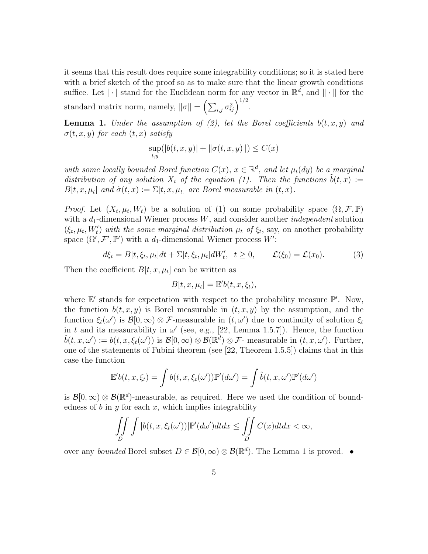it seems that this result does require some integrability conditions; so it is stated here with a brief sketch of the proof so as to make sure that the linear growth conditions suffice. Let  $|\cdot|$  stand for the Euclidean norm for any vector in  $\mathbb{R}^d$ , and  $\|\cdot\|$  for the standard matrix norm, namely,  $\|\sigma\| = \left(\sum_{i,j} \sigma_{ij}^2\right)^{1/2}$ .

**Lemma 1.** Under the assumption of (2), let the Borel coefficients  $b(t, x, y)$  and  $\sigma(t, x, y)$  for each  $(t, x)$  satisfy

$$
\sup_{t,y} (|b(t, x, y)| + ||\sigma(t, x, y)||) \le C(x)
$$

with some locally bounded Borel function  $C(x)$ ,  $x \in \mathbb{R}^d$ , and let  $\mu_t(dy)$  be a marginal distribution of any solution  $X_t$  of the equation (1). Then the functions  $\tilde{b}(t, x) :=$  $B[t, x, \mu_t]$  and  $\tilde{\sigma}(t, x) := \Sigma[t, x, \mu_t]$  are Borel measurable in  $(t, x)$ .

*Proof.* Let  $(X_t, \mu_t, W_t)$  be a solution of (1) on some probability space  $(\Omega, \mathcal{F}, \mathbb{P})$ with a  $d_1$ -dimensional Wiener process W, and consider another *independent* solution  $(\xi_t, \mu_t, W'_t)$  with the same marginal distribution  $\mu_t$  of  $\xi_t$ , say, on another probability space  $(\Omega', \mathcal{F}', \mathbb{P}')$  with a  $d_1$ -dimensional Wiener process W':

$$
d\xi_t = B[t, \xi_t, \mu_t]dt + \Sigma[t, \xi_t, \mu_t]dW'_t, \quad t \ge 0, \qquad \mathcal{L}(\xi_0) = \mathcal{L}(x_0). \tag{3}
$$

Then the coefficient  $B[t, x, \mu_t]$  can be written as

$$
B[t, x, \mu_t] = \mathbb{E}' b(t, x, \xi_t),
$$

where  $\mathbb{E}'$  stands for expectation with respect to the probability measure  $\mathbb{P}'$ . Now, the function  $b(t, x, y)$  is Borel measurable in  $(t, x, y)$  by the assumption, and the function  $\xi_t(\omega')$  is  $\mathcal{B}[0,\infty) \otimes \mathcal{F}$ -measurable in  $(t,\omega')$  due to continuity of solution  $\xi_t$ in t and its measurability in  $\omega'$  (see, e.g., [22, Lemma 1.5.7]). Hence, the function  $\hat{b}(t, x, \omega') := b(t, x, \xi_t(\omega'))$  is  $\mathcal{B}[0, \infty) \otimes \mathcal{B}(\mathbb{R}^d) \otimes \mathcal{F}$ - measurable in  $(t, x, \omega')$ . Further, one of the statements of Fubini theorem (see [22, Theorem 1.5.5]) claims that in this case the function

$$
\mathbb{E}'b(t,x,\xi_t) = \int b(t,x,\xi_t(\omega'))\mathbb{P}'(d\omega') = \int \hat{b}(t,x,\omega')\mathbb{P}'(d\omega')
$$

is  $\mathcal{B}[0,\infty) \otimes \mathcal{B}(\mathbb{R}^d)$ -measurable, as required. Here we used the condition of boundedness of b in y for each x, which implies integrability

$$
\iint\limits_{D} \int |b(t, x, \xi_t(\omega'))| \mathbb{P}'(d\omega') dt dx \le \iint\limits_{D} C(x) dt dx < \infty,
$$

over any bounded Borel subset  $D \in \mathcal{B}[0,\infty) \otimes \mathcal{B}(\mathbb{R}^d)$ . The Lemma 1 is proved. •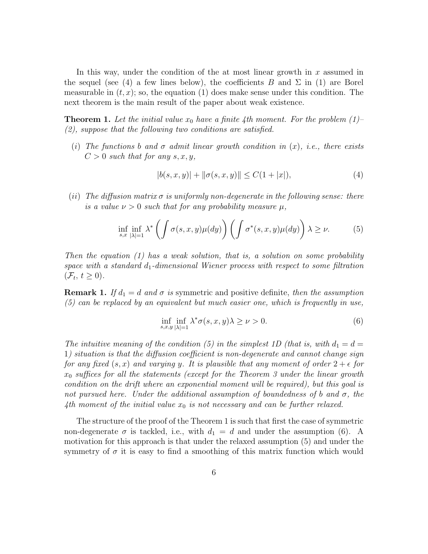In this way, under the condition of the at most linear growth in  $x$  assumed in the sequel (see (4) a few lines below), the coefficients B and  $\Sigma$  in (1) are Borel measurable in  $(t, x)$ ; so, the equation (1) does make sense under this condition. The next theorem is the main result of the paper about weak existence.

**Theorem 1.** Let the initial value  $x_0$  have a finite 4th moment. For the problem (1)– (2), suppose that the following two conditions are satisfied.

(i) The functions b and  $\sigma$  admit linear growth condition in  $(x)$ , i.e., there exists  $C > 0$  such that for any s, x, y,

$$
|b(s, x, y)| + ||\sigma(s, x, y)|| \le C(1 + |x|),\tag{4}
$$

(ii) The diffusion matrix  $\sigma$  is uniformly non-degenerate in the following sense: there is a value  $\nu > 0$  such that for any probability measure  $\mu$ ,

$$
\inf_{s,x} \inf_{|\lambda|=1} \lambda^* \left( \int \sigma(s,x,y) \mu(dy) \right) \left( \int \sigma^*(s,x,y) \mu(dy) \right) \lambda \ge \nu. \tag{5}
$$

Then the equation  $(1)$  has a weak solution, that is, a solution on some probability space with a standard  $d_1$ -dimensional Wiener process with respect to some filtration  $(\mathcal{F}_t, t \geq 0).$ 

**Remark 1.** If  $d_1 = d$  and  $\sigma$  is symmetric and positive definite, then the assumption (5) can be replaced by an equivalent but much easier one, which is frequently in use,

$$
\inf_{s,x,y} \inf_{|\lambda|=1} \lambda^* \sigma(s,x,y) \lambda \ge \nu > 0. \tag{6}
$$

The intuitive meaning of the condition (5) in the simplest 1D (that is, with  $d_1 = d =$ 1) situation is that the diffusion coefficient is non-degenerate and cannot change sign for any fixed  $(s, x)$  and varying y. It is plausible that any moment of order  $2 + \epsilon$  for  $x_0$  suffices for all the statements (except for the Theorem 3 under the linear growth condition on the drift where an exponential moment will be required), but this goal is not pursued here. Under the additional assumption of boundedness of b and  $\sigma$ , the 4th moment of the initial value  $x_0$  is not necessary and can be further relaxed.

The structure of the proof of the Theorem 1 is such that first the case of symmetric non-degenerate  $\sigma$  is tackled, i.e., with  $d_1 = d$  and under the assumption (6). A motivation for this approach is that under the relaxed assumption (5) and under the symmetry of  $\sigma$  it is easy to find a smoothing of this matrix function which would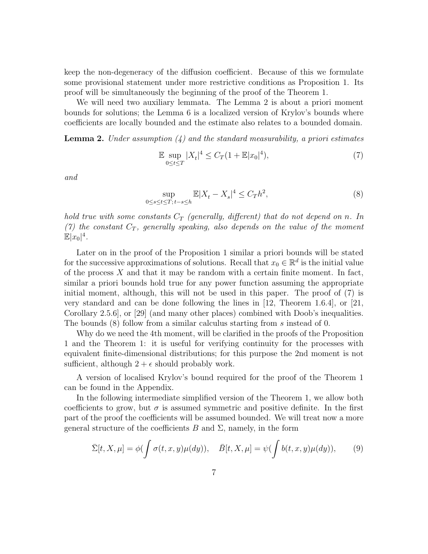keep the non-degeneracy of the diffusion coefficient. Because of this we formulate some provisional statement under more restrictive conditions as Proposition 1. Its proof will be simultaneously the beginning of the proof of the Theorem 1.

We will need two auxiliary lemmata. The Lemma 2 is about a priori moment bounds for solutions; the Lemma 6 is a localized version of Krylov's bounds where coefficients are locally bounded and the estimate also relates to a bounded domain.

**Lemma 2.** Under assumption (4) and the standard measurability, a priori estimates

$$
\mathbb{E} \sup_{0 \le t \le T} |X_t|^4 \le C_T (1 + \mathbb{E}|x_0|^4),\tag{7}
$$

and

$$
\sup_{0\le s\le t\le T;\,t-s\le h} \mathbb{E}|X_t - X_s|^4 \le C_T h^2,\tag{8}
$$

hold true with some constants  $C_T$  (generally, different) that do not depend on n. In (7) the constant  $C_T$ , generally speaking, also depends on the value of the moment  $\mathbb{E}|x_0|^4$ .

Later on in the proof of the Proposition 1 similar a priori bounds will be stated for the successive approximations of solutions. Recall that  $x_0 \in \mathbb{R}^d$  is the initial value of the process  $X$  and that it may be random with a certain finite moment. In fact, similar a priori bounds hold true for any power function assuming the appropriate initial moment, although, this will not be used in this paper. The proof of (7) is very standard and can be done following the lines in [12, Theorem 1.6.4], or [21, Corollary 2.5.6], or [29] (and many other places) combined with Doob's inequalities. The bounds (8) follow from a similar calculus starting from s instead of 0.

Why do we need the 4th moment, will be clarified in the proofs of the Proposition 1 and the Theorem 1: it is useful for verifying continuity for the processes with equivalent finite-dimensional distributions; for this purpose the 2nd moment is not sufficient, although  $2 + \epsilon$  should probably work.

A version of localised Krylov's bound required for the proof of the Theorem 1 can be found in the Appendix.

In the following intermediate simplified version of the Theorem 1, we allow both coefficients to grow, but  $\sigma$  is assumed symmetric and positive definite. In the first part of the proof the coefficients will be assumed bounded. We will treat now a more general structure of the coefficients B and  $\Sigma$ , namely, in the form

$$
\bar{\Sigma}[t, X, \mu] = \phi(\int \sigma(t, x, y)\mu(dy)), \quad \bar{B}[t, X, \mu] = \psi(\int b(t, x, y)\mu(dy)), \quad (9)
$$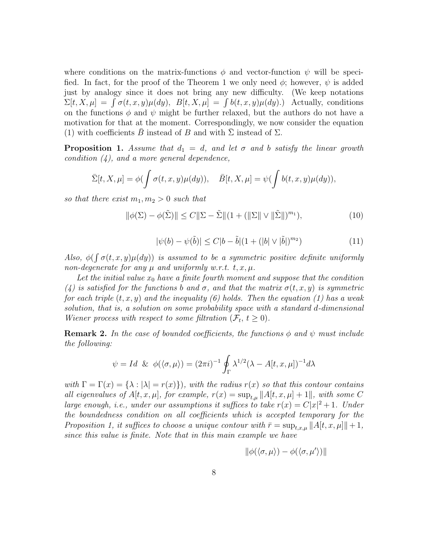where conditions on the matrix-functions  $\phi$  and vector-function  $\psi$  will be specified. In fact, for the proof of the Theorem 1 we only need  $\phi$ ; however,  $\psi$  is added just by analogy since it does not bring any new difficulty. (We keep notations  $\Sigma[t, X, \mu] = \int \sigma(t, x, y) \mu(dy), B[t, X, \mu] = \int b(t, x, y) \mu(dy).$  Actually, conditions on the functions  $\phi$  and  $\psi$  might be further relaxed, but the authors do not have a motivation for that at the moment. Correspondingly, we now consider the equation (1) with coefficients B instead of B and with  $\Sigma$  instead of  $\Sigma$ .

**Proposition 1.** Assume that  $d_1 = d$ , and let  $\sigma$  and b satisfy the linear growth condition  $(4)$ , and a more general dependence,

$$
\bar{\Sigma}[t, X, \mu] = \phi(\int \sigma(t, x, y)\mu(dy)), \quad \bar{B}[t, X, \mu] = \psi(\int b(t, x, y)\mu(dy)),
$$

so that there exist  $m_1, m_2 > 0$  such that

$$
\|\phi(\Sigma) - \phi(\tilde{\Sigma})\| \le C \|\Sigma - \tilde{\Sigma}\|(1 + (\|\Sigma\| \vee \|\tilde{\Sigma}\|)^{m_1}),
$$
\n(10)

$$
|\psi(b) - \psi(\tilde{b})| \le C|b - \tilde{b}| (1 + (|b| \vee |\tilde{b}|)^{m_2})
$$
\n(11)

Also,  $\phi(\int \sigma(t, x, y)\mu(dy))$  is assumed to be a symmetric positive definite uniformly non-degenerate for any  $\mu$  and uniformly w.r.t. t, x,  $\mu$ .

Let the initial value  $x_0$  have a finite fourth moment and suppose that the condition (4) is satisfied for the functions b and  $\sigma$ , and that the matrix  $\sigma(t, x, y)$  is symmetric for each triple  $(t, x, y)$  and the inequality (6) holds. Then the equation (1) has a weak solution, that is, a solution on some probability space with a standard d-dimensional Wiener process with respect to some filtration  $(\mathcal{F}_t, t \geq 0)$ .

**Remark 2.** In the case of bounded coefficients, the functions  $\phi$  and  $\psi$  must include the following:

$$
\psi = Id \& \phi(\langle \sigma, \mu \rangle) = (2\pi i)^{-1} \oint_{\Gamma} \lambda^{1/2} (\lambda - A[t, x, \mu])^{-1} d\lambda
$$

with  $\Gamma = \Gamma(x) = {\lambda : |\lambda| = r(x)}$ , with the radius  $r(x)$  so that this contour contains all eigenvalues of  $A[t, x, \mu]$ , for example,  $r(x) = \sup_{t,\mu} ||A[t, x, \mu] + 1||$ , with some C large enough, i.e., under our assumptions it suffices to take  $r(x) = C|x|^2 + 1$ . Under the boundedness condition on all coefficients which is accepted temporary for the Proposition 1, it suffices to choose a unique contour with  $\bar{r} = \sup_{t,x,\mu} ||A[t, x, \mu]|| + 1$ , since this value is finite. Note that in this main example we have

$$
\|\phi(\langle \sigma, \mu \rangle) - \phi(\langle \sigma, \mu' \rangle)\|
$$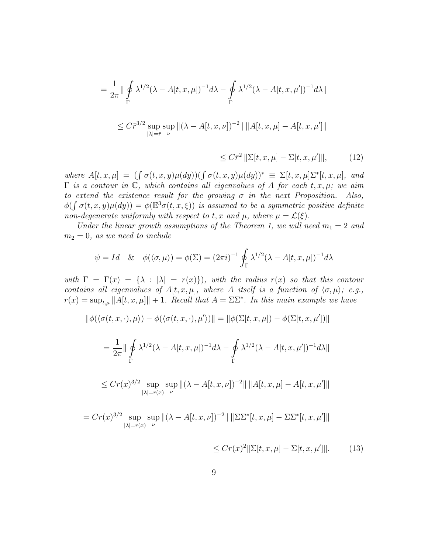$$
= \frac{1}{2\pi} \|\oint_{\Gamma} \lambda^{1/2} (\lambda - A[t, x, \mu])^{-1} d\lambda - \oint_{\Gamma} \lambda^{1/2} (\lambda - A[t, x, \mu'])^{-1} d\lambda \|
$$
  

$$
\leq C \bar{r}^{3/2} \sup_{|\lambda| = \bar{r}} \sup_{\nu} \| (\lambda - A[t, x, \nu])^{-2} \| \| A[t, x, \mu] - A[t, x, \mu'] \|
$$

$$
\leq C\bar{r}^2 \left\| \Sigma[t, x, \mu] - \Sigma[t, x, \mu'] \right\|, \tag{12}
$$

where  $A[t, x, \mu] = (\int \sigma(t, x, y) \mu(dy)) (\int \sigma(t, x, y) \mu(dy))^* \equiv \Sigma[t, x, \mu] \Sigma^*[t, x, \mu]$ , and  $\Gamma$  is a contour in  $\mathbb{C}$ , which contains all eigenvalues of A for each t, x,  $\mu$ ; we aim to extend the existence result for the growing  $\sigma$  in the next Proposition. Also,  $\phi(\int \sigma(t,x,y)\mu(dy)) = \phi(\mathbb{E}^3\sigma(t,x,\xi))$  is assumed to be a symmetric positive definite non-degenerate uniformly with respect to t, x and  $\mu$ , where  $\mu = \mathcal{L}(\xi)$ .

Under the linear growth assumptions of the Theorem 1, we will need  $m_1 = 2$  and  $m_2 = 0$ , as we need to include

$$
\psi = Id \& \phi(\langle \sigma, \mu \rangle) = \phi(\Sigma) = (2\pi i)^{-1} \oint_{\Gamma} \lambda^{1/2} (\lambda - A[t, x, \mu])^{-1} d\lambda
$$

with  $\Gamma = \Gamma(x) = {\lambda : |\lambda| = r(x)}$ , with the radius  $r(x)$  so that this contour contains all eigenvalues of  $A[t, x, \mu]$ , where A itself is a function of  $\langle \sigma, \mu \rangle$ ; e.g.,  $r(x) = \sup_{t,\mu} ||A[t, x, \mu]|| + 1$ . Recall that  $A = \Sigma \Sigma^*$ . In this main example we have

$$
\|\phi(\langle \sigma(t, x, \cdot), \mu \rangle) - \phi(\langle \sigma(t, x, \cdot), \mu' \rangle)\| = \|\phi(\Sigma[t, x, \mu]) - \phi(\Sigma[t, x, \mu'])\|
$$
  
\n
$$
= \frac{1}{2\pi} \|\oint_{\Gamma} \lambda^{1/2} (\lambda - A[t, x, \mu])^{-1} d\lambda - \oint_{\Gamma} \lambda^{1/2} (\lambda - A[t, x, \mu'])^{-1} d\lambda\|
$$
  
\n
$$
\leq C r(x)^{3/2} \sup_{|\lambda| = r(x)} \sup_{\nu} \|(\lambda - A[t, x, \nu])^{-2}\| \|A[t, x, \mu] - A[t, x, \mu']\|
$$
  
\n
$$
= C r(x)^{3/2} \sup_{|\nu| = r(x)} \sup_{\nu} \|(\lambda - A[t, x, \nu])^{-2}\| \|\Sigma \Sigma^*[t, x, \mu] - \Sigma \Sigma^*[t, x, \mu']\|
$$

$$
\leq Cr(x)^2 \|\Sigma[t, x, \mu] - \Sigma[t, x, \mu']\|.\tag{13}
$$

 $|\lambda|=r(x)$ 

ν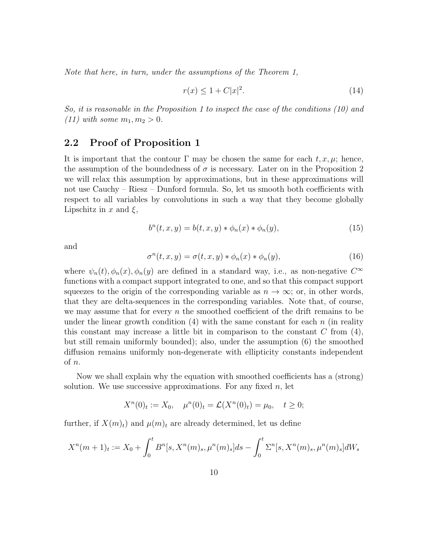Note that here, in turn, under the assumptions of the Theorem 1,

$$
r(x) \le 1 + C|x|^2. \tag{14}
$$

So, it is reasonable in the Proposition 1 to inspect the case of the conditions (10) and (11) with some  $m_1, m_2 > 0$ .

## 2.2 Proof of Proposition 1

It is important that the contour  $\Gamma$  may be chosen the same for each  $t, x, \mu$ ; hence, the assumption of the boundedness of  $\sigma$  is necessary. Later on in the Proposition 2 we will relax this assumption by approximations, but in these approximations will not use Cauchy – Riesz – Dunford formula. So, let us smooth both coefficients with respect to all variables by convolutions in such a way that they become globally Lipschitz in x and  $\xi$ ,

$$
b^{n}(t, x, y) = b(t, x, y) * \phi_{n}(x) * \phi_{n}(y),
$$
\n(15)

and

$$
\sigma^n(t, x, y) = \sigma(t, x, y) * \phi_n(x) * \phi_n(y), \qquad (16)
$$

where  $\psi_n(t), \phi_n(x), \phi_n(y)$  are defined in a standard way, i.e., as non-negative  $C^{\infty}$ functions with a compact support integrated to one, and so that this compact support squeezes to the origin of the corresponding variable as  $n \to \infty$ ; or, in other words, that they are delta-sequences in the corresponding variables. Note that, of course, we may assume that for every  $n$  the smoothed coefficient of the drift remains to be under the linear growth condition  $(4)$  with the same constant for each n (in reality this constant may increase a little bit in comparison to the constant  $C$  from  $(4)$ , but still remain uniformly bounded); also, under the assumption (6) the smoothed diffusion remains uniformly non-degenerate with ellipticity constants independent of n.

Now we shall explain why the equation with smoothed coefficients has a (strong) solution. We use successive approximations. For any fixed  $n$ , let

$$
X^{n}(0)_{t} := X_{0}, \quad \mu^{n}(0)_{t} = \mathcal{L}(X^{n}(0)_{t}) = \mu_{0}, \quad t \geq 0;
$$

further, if  $X(m)_t$  and  $\mu(m)_t$  are already determined, let us define

$$
X^{n}(m+1)_{t} := X_{0} + \int_{0}^{t} B^{n}[s, X^{n}(m)_{s}, \mu^{n}(m)_{s}]ds - \int_{0}^{t} \Sigma^{n}[s, X^{n}(m)_{s}, \mu^{n}(m)_{s}]dW_{s}
$$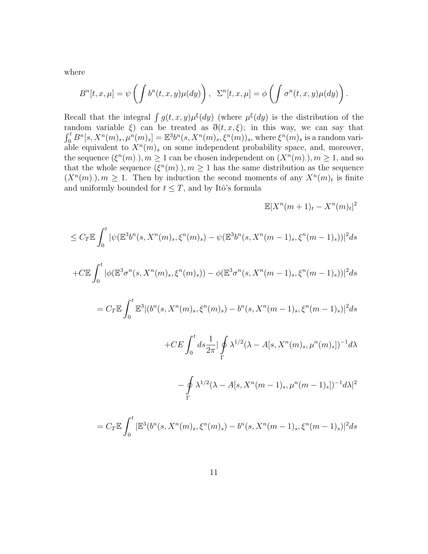where

$$
B^{n}[t, x, \mu] = \psi \left( \int b^{n}(t, x, y) \mu(dy) \right), \ \ \Sigma^{n}[t, x, \mu] = \phi \left( \int \sigma^{n}(t, x, y) \mu(dy) \right).
$$

Recall that the integral  $\int g(t, x, y) \mu^{\xi}(dy)$  (where  $\mu^{\xi}(dy)$  is the distribution of the random variable  $\xi$ ) can be treated as  $\eth(t, x, \xi)$ ; in this way, we can say that  $\int_0^t B^n[s, X^n(m)_s, \mu^n(m)_s] = \mathbb{E}^3 b^n(s, X^n(m)_s, \xi^n(m))_s$ , where  $\xi^n(m)_s$  is a random variable equivalent to  $X^n(m)_s$  on some independent probability space, and, moreover, the sequence  $(\xi^{n}(m))$ ,  $m \geq 1$  can be chosen independent on  $(X^{n}(m))$ ,  $m \geq 1$ , and so that the whole sequence  $(\xi^{n}(m))$ ,  $m \geq 1$  has the same distribution as the sequence  $(X<sup>n</sup>(m), m \ge 1$ . Then by induction the second moments of any  $X<sup>n</sup>(m)<sub>t</sub>$  is finite and uniformly bounded for  $t \leq T$ , and by Itô's formula

$$
\mathbb{E}|X^n(m+1)_t - X^n(m)_t|^2
$$

$$
\leq C_T \mathbb{E} \int_0^t |\psi(\mathbb{E}^3 b^n(s, X^n(m)_s, \xi^n(m)_s) - \psi(\mathbb{E}^3 b^n(s, X^n(m-1)_s, \xi^n(m-1)_s))|^2 ds
$$

$$
+C\mathbb{E}\int_0^t |\phi(\mathbb{E}^3 \sigma^n(s, X^n(m)_s, \xi^n(m)_s)) - \phi(\mathbb{E}^3 \sigma^n(s, X^n(m-1)_s, \xi^n(m-1)_s))|^2 ds
$$

$$
= C_T \mathbb{E} \int_0^t \mathbb{E}^3 |(b^n(s, X^n(m)_s, \xi^n(m)_s) - b^n(s, X^n(m-1)_s, \xi^n(m-1)_s)|^2 ds
$$

$$
+CE \int_0^t ds \frac{1}{2\pi} \left| \oint\limits_{\Gamma} \lambda^{1/2} (\lambda - A[s, X^n(m)_s, \mu^n(m)_s])^{-1} d\lambda \right|
$$

$$
-\oint_{\Gamma}\lambda^{1/2}(\lambda - A[s, X^n(m-1)_s, \mu^n(m-1)_s])^{-1}d\lambda|^2
$$

$$
= C_T \mathbb{E} \int_0^t |\mathbb{E}^3(b^n(s, X^n(m)_s, \xi^n(m)_s) - b^n(s, X^n(m-1)_s, \xi^n(m-1)_s)|^2 ds
$$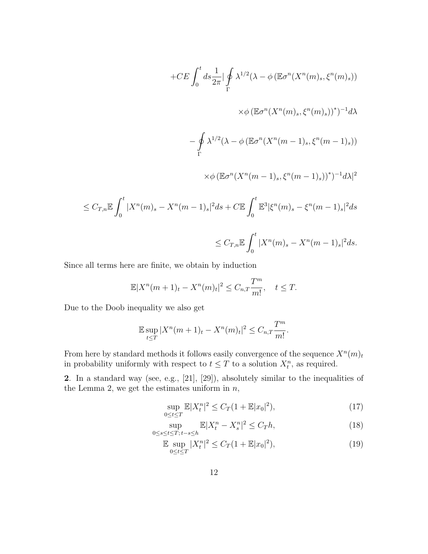$$
+CE \int_0^t ds \frac{1}{2\pi} \left| \oint_{\Gamma} \lambda^{1/2} (\lambda - \phi \left( \mathbb{E} \sigma^n (X^n(m)_s, \xi^n(m)_s) \right) \right|
$$
  

$$
\times \phi \left( \mathbb{E} \sigma^n (X^n(m)_s, \xi^n(m)_s) \right)^*)^{-1} d\lambda
$$
  

$$
- \oint_{\Gamma} \lambda^{1/2} (\lambda - \phi \left( \mathbb{E} \sigma^n (X^n(m-1)_s, \xi^n(m-1)_s) \right)
$$
  

$$
\times \phi \left( \mathbb{E} \sigma^n (X^n(m-1)_s, \xi^n(m-1)_s) \right)^*)^{-1} d\lambda|^2
$$

$$
\leq C_{T,n} \mathbb{E} \int_0^t |X^n(m)_s - X^n(m-1)_s|^2 ds + C \mathbb{E} \int_0^t \mathbb{E}^3 |\xi^n(m)_s - \xi^n(m-1)_s|^2 ds
$$
  

$$
\leq C_{T,n} \mathbb{E} \int_0^t |X^n(m)_s - X^n(m-1)_s|^2 ds.
$$

Since all terms here are finite, we obtain by induction

$$
\mathbb{E}|X^{n}(m+1)_{t} - X^{n}(m)_{t}|^{2} \leq C_{n,T} \frac{T^{m}}{m!}, \quad t \leq T.
$$

Due to the Doob inequality we also get

$$
\mathbb{E} \sup_{t \le T} |X^n(m+1)_t - X^n(m)_t|^2 \le C_{n,T} \frac{T^m}{m!}.
$$

From here by standard methods it follows easily convergence of the sequence  $X^n(m)_t$ in probability uniformly with respect to  $t \leq T$  to a solution  $X_t^n$ , as required.

2. In a standard way (see, e.g., [21], [29]), absolutely similar to the inequalities of the Lemma 2, we get the estimates uniform in  $n$ ,

$$
\sup_{0 \le t \le T} \mathbb{E}|X_t^n|^2 \le C_T (1 + \mathbb{E}|x_0|^2),\tag{17}
$$

$$
\sup_{0\le s\le t\le T;\,t-s\le h} \mathbb{E}|X_t^n - X_s^n|^2 \le C_T h,\tag{18}
$$

$$
\mathbb{E} \sup_{0 \le t \le T} |X_t^n|^2 \le C_T (1 + \mathbb{E}|x_0|^2),\tag{19}
$$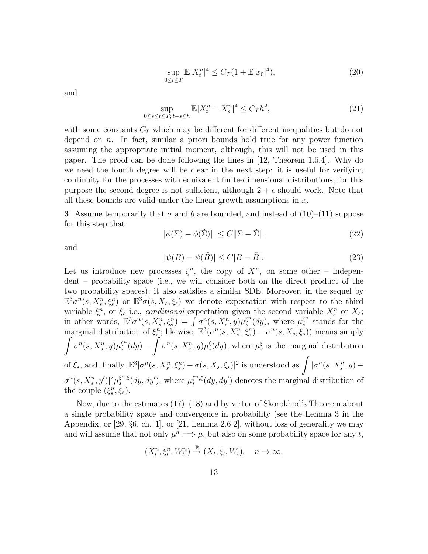$$
\sup_{0 \le t \le T} \mathbb{E}|X_t^n|^4 \le C_T (1 + \mathbb{E}|x_0|^4),\tag{20}
$$

and

$$
\sup_{0\le s\le t\le T;\,t-s\le h} \mathbb{E}|X_t^n - X_s^n|^4 \le C_T h^2,\tag{21}
$$

with some constants  $C_T$  which may be different for different inequalities but do not depend on  $n$ . In fact, similar a priori bounds hold true for any power function assuming the appropriate initial moment, although, this will not be used in this paper. The proof can be done following the lines in [12, Theorem 1.6.4]. Why do we need the fourth degree will be clear in the next step: it is useful for verifying continuity for the processes with equivalent finite-dimensional distributions; for this purpose the second degree is not sufficient, although  $2 + \epsilon$  should work. Note that all these bounds are valid under the linear growth assumptions in  $x$ .

**3.** Assume temporarily that  $\sigma$  and  $b$  are bounded, and instead of (10)–(11) suppose for this step that

$$
\|\phi(\Sigma) - \phi(\tilde{\Sigma})\| \le C \|\Sigma - \tilde{\Sigma}\|,\tag{22}
$$

and

$$
|\psi(B) - \psi(\tilde{B})| \le C|B - \tilde{B}|.
$$
\n(23)

Let us introduce new processes  $\xi^n$ , the copy of  $X^n$ , on some other – independent – probability space (i.e., we will consider both on the direct product of the two probability spaces); it also satisfies a similar SDE. Moreover, in the sequel by  $\mathbb{E}^3\sigma^n(s,X_s^n,\xi_s^n)$  or  $\mathbb{E}^3\sigma(s,X_s,\xi_s)$  we denote expectation with respect to the third variable  $\xi_s^n$ , or  $\xi_s$  i.e., conditional expectation given the second variable  $X_s^n$  or  $X_s$ ; in other words,  $\mathbb{E}^3 \sigma^n(s, X_s^n, \xi_s^n) = \int \sigma^n(s, X_s^n, y) \mu_s^{\xi^n}$  $\int_s^{\xi^n} (dy)$ , where  $\mu_s^{\xi^n}$  $\int_s^{\xi^n}$  stands for the marginal distribution of  $\xi_s^n$ ; likewise,  $\mathbb{E}^3(\sigma^n(s, X_s^n, \xi_s^n) - \sigma^n(s, X_s, \xi_s))$  means simply  $\int \sigma^n(s,X^n_s,y)\mu^{\xi^n}_s$  $\int_s^{\xi^n} (dy) - \int \sigma^n(s, X_s^n, y) \mu_s^{\xi}(dy)$ , where  $\mu_s^{\xi}$  is the marginal distribution of  $\xi_s$ , and, finally,  $\mathbb{E}^3|\sigma^n(s,X_s^n,\xi_s^n)-\sigma(s,X_s,\xi_s)|^2$  is understood as  $\int |\sigma^n(s,X_s^n,y) \sigma^{n}(s, X_s^n, y') |^{2} \mu_s^{\xi^{n}, \xi}(dy, dy'),$  where  $\mu_s^{\xi^{n}, \xi}(dy, dy')$  denotes the marginal distribution of the couple  $(\xi_s^n, \xi_s)$ .

Now, due to the estimates (17)–(18) and by virtue of Skorokhod's Theorem about a single probability space and convergence in probability (see the Lemma 3 in the Appendix, or [29, §6, ch. 1], or [21, Lemma 2.6.2], without loss of generality we may and will assume that not only  $\mu^n \Longrightarrow \mu$ , but also on some probability space for any t,

$$
(\tilde{X}_t^n, \tilde{\xi}_t^n, \tilde{W}_t^n) \stackrel{\mathbb{P}}{\rightarrow} (\tilde{X}_t, \tilde{\xi}_t, \tilde{W}_t), \quad n \to \infty,
$$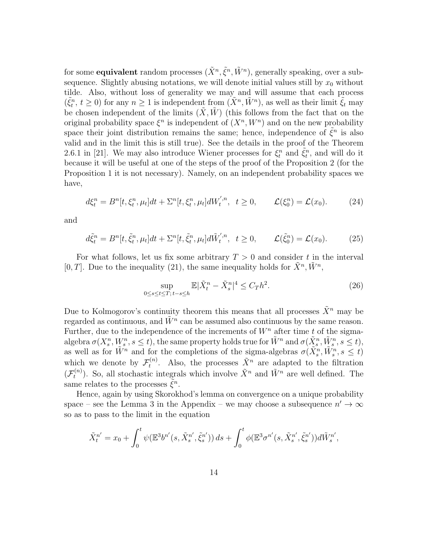for some **equivalent** random processes  $(\tilde{X}^n, \tilde{\xi}^n, \tilde{W}^n)$ , generally speaking, over a subsequence. Slightly abusing notations, we will denote initial values still by  $x_0$  without tilde. Also, without loss of generality we may and will assume that each process  $(\tilde{\xi}_t^n, t \geq 0)$  for any  $n \geq 1$  is independent from  $(\tilde{X}^n, \tilde{W}^n)$ , as well as their limit  $\tilde{\xi}_t$  may be chosen independent of the limits  $(X, \hat{W})$  (this follows from the fact that on the original probability space  $\xi^n$  is independent of  $(X^n, W^n)$  and on the new probability space their joint distribution remains the same; hence, independence of  $\tilde{\xi}^n$  is also valid and in the limit this is still true). See the details in the proof of the Theorem 2.6.1 in [21]. We may also introduce Wiener processes for  $\xi_t^n$  and  $\tilde{\xi}_t^n$ , and will do it because it will be useful at one of the steps of the proof of the Proposition 2 (for the Proposition 1 it is not necessary). Namely, on an independent probability spaces we have,

$$
d\xi_t^n = B^n[t, \xi_t^n, \mu_t]dt + \Sigma^n[t, \xi_t^n, \mu_t]dW_t^{', n}, \quad t \ge 0, \qquad \mathcal{L}(\xi_0^n) = \mathcal{L}(x_0). \tag{24}
$$

and

$$
d\tilde{\xi}_t^n = B^n[t, \tilde{\xi}_t^n, \mu_t]dt + \Sigma^n[t, \tilde{\xi}_t^n, \mu_t]d\tilde{W}_t^{',n}, \quad t \ge 0, \qquad \mathcal{L}(\tilde{\xi}_0^n) = \mathcal{L}(x_0). \tag{25}
$$

For what follows, let us fix some arbitrary  $T > 0$  and consider t in the interval [0, T]. Due to the inequality (21), the same inequality holds for  $\tilde{X}^n, \tilde{W}^n$ ,

$$
\sup_{0\le s\le t\le T;\,t-s\le h} \mathbb{E}|\tilde{X}_t^n - \tilde{X}_s^n|^4 \le C_T h^2. \tag{26}
$$

Due to Kolmogorov's continuity theorem this means that all processes  $\tilde{X}^n$  may be regarded as continuous, and  $\tilde{W}^n$  can be assumed also continuous by the same reason. Further, due to the independence of the increments of  $W<sup>n</sup>$  after time t of the sigmaalgebra  $\sigma(X_s^n, W_s^n, s \leq t)$ , the same property holds true for  $\tilde{W}^n$  and  $\sigma(\tilde{X}_s^n, \tilde{W}_s^n, s \leq t)$ , as well as for  $\tilde{W}^n$  and for the completions of the sigma-algebras  $\sigma(\tilde{X}_s^n, \tilde{W}_s^n, s \leq t)$ which we denote by  $\mathcal{F}_t^{(n)}$  $t_t^{(n)}$ . Also, the processes  $\tilde{X}^n$  are adapted to the filtration  $(\mathcal{F}_t^{(n)} %Mathcal{F}_t^{(n)}),$  $t^{(n)}$ ). So, all stochastic integrals which involve  $\tilde{X}^n$  and  $\tilde{W}^n$  are well defined. The same relates to the processes  $\tilde{\xi}^n$ .

Hence, again by using Skorokhod's lemma on convergence on a unique probability space – see the Lemma 3 in the Appendix – we may choose a subsequence  $n' \to \infty$ so as to pass to the limit in the equation

$$
\tilde{X}^{n'}_t = x_0 + \int_0^t \psi(\mathbb{E}^3 b^{n'}(s, \tilde{X}^{n'}_s, \tilde{\xi}^{n'}_s)) ds + \int_0^t \phi(\mathbb{E}^3 \sigma^{n'}(s, \tilde{X}^{n'}_s, \tilde{\xi}^{n'}_s)) d\tilde{W}^{n'}_s,
$$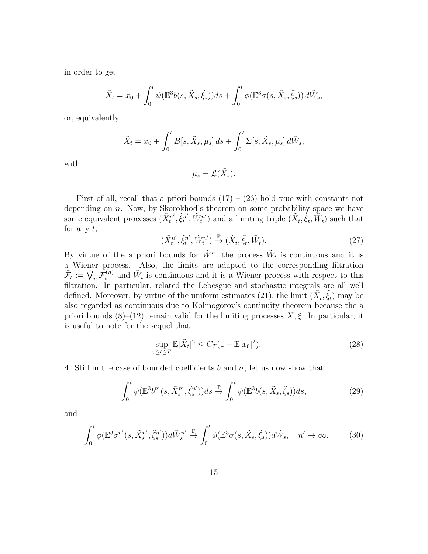in order to get

$$
\tilde{X}_t = x_0 + \int_0^t \psi(\mathbb{E}^3 b(s, \tilde{X}_s, \tilde{\xi}_s)) ds + \int_0^t \phi(\mathbb{E}^3 \sigma(s, \tilde{X}_s, \tilde{\xi}_s)) d\tilde{W}_s,
$$

or, equivalently,

$$
\tilde{X}_t = x_0 + \int_0^t B[s, \tilde{X}_s, \mu_s] ds + \int_0^t \Sigma[s, \tilde{X}_s, \mu_s] d\tilde{W}_s,
$$

with

$$
\mu_s = \mathcal{L}(\tilde{X}_s).
$$

First of all, recall that a priori bounds  $(17) - (26)$  hold true with constants not depending on  $n$ . Now, by Skorokhod's theorem on some probability space we have some equivalent processes  $(\tilde{X}^{n'}_t)$  $\tilde{\xi}^{n'}_t, \tilde{\xi}^{n'}_t$  $\tilde{W}^{n'}_t, \tilde{W}^{n'}_t$  $(t_t^{(n)})$  and a limiting triple  $(\tilde{X}_t, \tilde{\xi}_t, \tilde{W}_t)$  such that for any  $t$ ,

$$
(\tilde{X}_t^{n'}, \tilde{\xi}_t^{n'}, \tilde{W}_t^{n'}) \stackrel{\mathbb{P}}{\to} (\tilde{X}_t, \tilde{\xi}_t, \tilde{W}_t). \tag{27}
$$

By virtue of the a priori bounds for  $\tilde{W}^n$ , the process  $\tilde{W}_t$  is continuous and it is a Wiener process. Also, the limits are adapted to the corresponding filtration  $\tilde{\mathcal{F}}_t := \bigvee_n \tilde{\mathcal{F}}_t^{(n)}$  and  $\tilde{W}_t$  is continuous and it is a Wiener process with respect to this filtration. In particular, related the Lebesgue and stochastic integrals are all well defined. Moreover, by virtue of the uniform estimates (21), the limit  $(\tilde{X}_t, \tilde{\xi}_t)$  may be also regarded as continuous due to Kolmogorov's continuity theorem because the a priori bounds (8)–(12) remain valid for the limiting processes  $\tilde{X}, \tilde{\xi}$ . In particular, it is useful to note for the sequel that

$$
\sup_{0 \le t \le T} \mathbb{E} |\tilde{X}_t|^2 \le C_T (1 + \mathbb{E}|x_0|^2). \tag{28}
$$

4. Still in the case of bounded coefficients b and  $\sigma$ , let us now show that

$$
\int_0^t \psi(\mathbb{E}^3 b^{n'}(s, \tilde{X}_s^{n'}, \tilde{\xi}_s^{n'})) ds \stackrel{\mathbb{P}}{\to} \int_0^t \psi(\mathbb{E}^3 b(s, \tilde{X}_s, \tilde{\xi}_s)) ds,
$$
\n(29)

and

$$
\int_0^t \phi(\mathbb{E}^3 \sigma^{n'}(s, \tilde{X}_s^{n'}, \tilde{\xi}_s^{n'})) d\tilde{W}_s^{n'} \stackrel{\mathbb{P}}{\to} \int_0^t \phi(\mathbb{E}^3 \sigma(s, \tilde{X}_s, \tilde{\xi}_s)) d\tilde{W}_s, \quad n' \to \infty.
$$
 (30)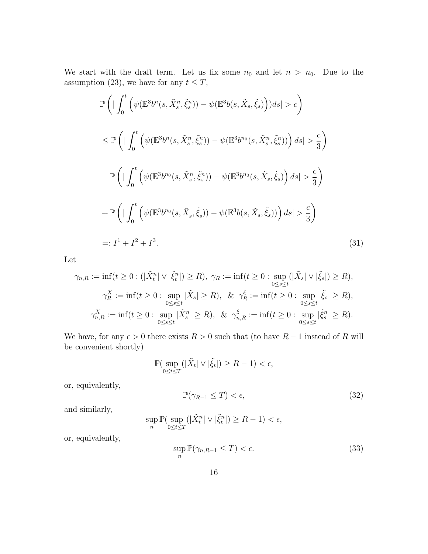We start with the draft term. Let us fix some  $n_0$  and let  $n > n_0$ . Due to the assumption (23), we have for any  $t\leq T,$ 

$$
\mathbb{P}\left(\left|\int_{0}^{t}\left(\psi(\mathbb{E}^{3}b^{n}(s,\tilde{X}_{s}^{n},\tilde{\xi}_{s}^{n}))-\psi(\mathbb{E}^{3}b(s,\tilde{X}_{s},\tilde{\xi}_{s})\right)|ds|>c\right)\right)
$$
\n
$$
\leq \mathbb{P}\left(\left|\int_{0}^{t}\left(\psi(\mathbb{E}^{3}b^{n}(s,\tilde{X}_{s}^{n},\tilde{\xi}_{s}^{n}))-\psi(\mathbb{E}^{3}b^{n_{0}}(s,\tilde{X}_{s}^{n},\tilde{\xi}_{s}^{n}))\right)ds|>\frac{c}{3}\right)
$$
\n
$$
+\mathbb{P}\left(\left|\int_{0}^{t}\left(\psi(\mathbb{E}^{3}b^{n_{0}}(s,\tilde{X}_{s}^{n},\tilde{\xi}_{s}^{n}))-\psi(\mathbb{E}^{3}b^{n_{0}}(s,\tilde{X}_{s},\tilde{\xi}_{s})\right)ds|>\frac{c}{3}\right)\right)
$$
\n
$$
+\mathbb{P}\left(\left|\int_{0}^{t}\left(\psi(\mathbb{E}^{3}b^{n_{0}}(s,\tilde{X}_{s},\tilde{\xi}_{s}))-\psi(\mathbb{E}^{3}b(s,\tilde{X}_{s},\tilde{\xi}_{s}))\right)ds|>\frac{c}{3}\right)\right)
$$
\n
$$
=:I^{1}+I^{2}+I^{3}.
$$
\n(31)

Let

$$
\gamma_{n,R} := \inf(t \ge 0 : (|\tilde{X}_t^n| \vee |\tilde{\xi}_t^n|) \ge R), \ \gamma_R := \inf(t \ge 0 : \sup_{0 \le s \le t} |\tilde{X}_s| \vee |\tilde{\xi}_s|) \ge R),
$$

$$
\gamma_R^X := \inf(t \ge 0 : \sup_{0 \le s \le t} |\tilde{X}_s| \ge R), \ \& \ \gamma_R^{\xi} := \inf(t \ge 0 : \sup_{0 \le s \le t} |\tilde{\xi}_s| \ge R),
$$

$$
\gamma_{n,R}^X := \inf(t \ge 0 : \sup_{0 \le s \le t} |\tilde{X}_s^n| \ge R), \ \& \ \gamma_{n,R}^{\xi} := \inf(t \ge 0 : \sup_{0 \le s \le t} |\tilde{\xi}_s^n| \ge R).
$$

We have, for any  $\epsilon > 0$  there exists  $R > 0$  such that (to have  $R - 1$  instead of R will be convenient shortly)

$$
\mathbb{P}(\sup_{0\leq t\leq T}(|\tilde{X}_t|\vee|\tilde{\xi}_t|)\geq R-1)<\epsilon,
$$

or, equivalently,

$$
\mathbb{P}(\gamma_{R-1} \le T) < \epsilon,\tag{32}
$$

and similarly,

$$
\sup_n \mathbb{P}(\sup_{0\leq t\leq T}(|\tilde{X}^n_t| \vee |\tilde{\xi}^n_t|)\geq R-1)<\epsilon,
$$

or, equivalently,

$$
\sup_{n} \mathbb{P}(\gamma_{n,R-1} \leq T) < \epsilon. \tag{33}
$$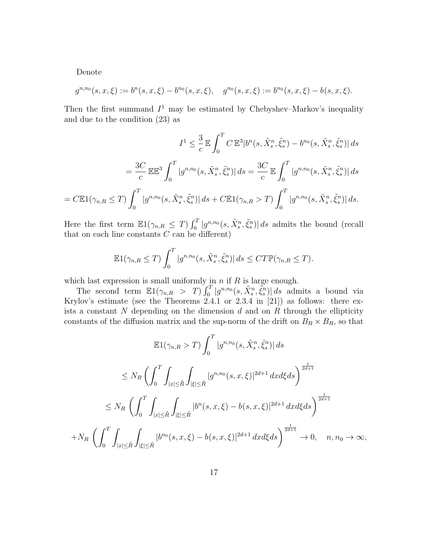Denote

$$
g^{n,n_0}(s,x,\xi) := b^n(s,x,\xi) - b^{n_0}(s,x,\xi), \quad g^{n_0}(s,x,\xi) := b^{n_0}(s,x,\xi) - b(s,x,\xi).
$$

Then the first summand  $I^1$  may be estimated by Chebyshev–Markov's inequality and due to the condition (23) as

$$
I^{1} \leq \frac{3}{c} \mathbb{E} \int_{0}^{T} C \mathbb{E}^{3} |b^{n}(s, \tilde{X}_{s}^{n}, \tilde{\xi}_{s}^{n}) - b^{n_{0}}(s, \tilde{X}_{s}^{n}, \tilde{\xi}_{s}^{n})| ds
$$
  

$$
= \frac{3C}{c} \mathbb{E} \mathbb{E}^{3} \int_{0}^{T} |g^{n,n_{0}}(s, \tilde{X}_{s}^{n}, \tilde{\xi}_{s}^{n})| ds = \frac{3C}{c} \mathbb{E} \int_{0}^{T} |g^{n,n_{0}}(s, \tilde{X}_{s}^{n}, \tilde{\xi}_{s}^{n})| ds
$$
  

$$
= C \mathbb{E} 1(\gamma_{n,R} \leq T) \int_{0}^{T} |g^{n,n_{0}}(s, \tilde{X}_{s}^{n}, \tilde{\xi}_{s}^{n})| ds + C \mathbb{E} 1(\gamma_{n,R} > T) \int_{0}^{T} |g^{n,n_{0}}(s, \tilde{X}_{s}^{n}, \tilde{\xi}_{s}^{n})| ds.
$$

Here the first term  $\mathbb{E}1(\gamma_{n,R} \leq T) \int_0^T |g^{n,n_0}(s, \tilde{X}_s^n, \tilde{\xi}_s^n)| ds$  admits the bound (recall that on each line constants  $C$  can be different)

$$
\mathbb{E}1(\gamma_{n,R}\leq T)\int_0^T|g^{n,n_0}(s,\tilde{X}_s^n,\tilde{\xi}_s^n)|\,ds\leq C T \mathbb{P}(\gamma_{n,R}\leq T).
$$

which last expression is small uniformly in  $n$  if  $R$  is large enough.

The second term  $\mathbb{E}1(\gamma_{n,R} > T) \int_0^T |g^{n,n_0}(s, \tilde{X}_s^n, \tilde{\xi}_s^n)| ds$  admits a bound via Krylov's estimate (see the Theorems 2.4.1 or 2.3.4 in [21]) as follows: there exists a constant  $N$  depending on the dimension  $d$  and on  $R$  through the ellipticity constants of the diffusion matrix and the sup-norm of the drift on  $B_R \times B_R$ , so that

$$
\mathbb{E}1(\gamma_{n,R} > T) \int_0^T |g^{n,n_0}(s, \tilde{X}_s^n, \tilde{\xi}_s^n)| ds
$$
  
\n
$$
\leq N_R \left( \int_0^T \int_{|x| \leq \tilde{R}} \int_{|\xi| \leq \tilde{R}} |g^{n,n_0}(s, x, \xi)|^{2d+1} dx d\xi ds \right)^{\frac{1}{2d+1}}
$$
  
\n
$$
\leq N_R \left( \int_0^T \int_{|x| \leq \tilde{R}} \int_{|\xi| \leq \tilde{R}} |b^n(s, x, \xi) - b(s, x, \xi)|^{2d+1} dx d\xi ds \right)^{\frac{1}{2d+1}}
$$
  
\n
$$
+ N_R \left( \int_0^T \int_{|x| \leq \tilde{R}} \int_{|\xi| \leq \tilde{R}} |b^{n_0}(s, x, \xi) - b(s, x, \xi)|^{2d+1} dx d\xi ds \right)^{\frac{1}{2d+1}} \to 0, \quad n, n_0 \to \infty,
$$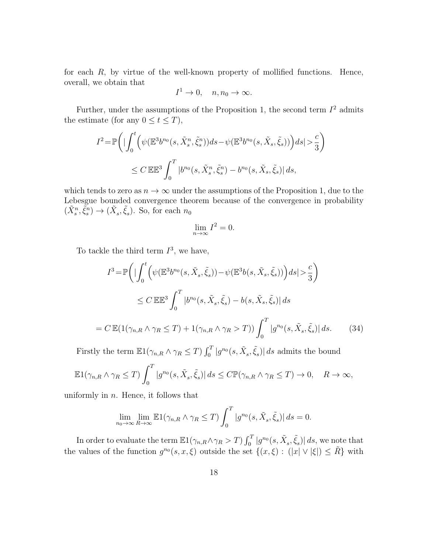for each  $R$ , by virtue of the well-known property of mollified functions. Hence, overall, we obtain that

$$
I^1 \to 0, \quad n, n_0 \to \infty.
$$

Further, under the assumptions of the Proposition 1, the second term  $I^2$  admits the estimate (for any  $0 \le t \le T$ ),

$$
I^{2} = \mathbb{P}\bigg(\big|\int_{0}^{t} \Big(\psi(\mathbb{E}^{3} b^{n_{0}}(s, \tilde{X}_{s}^{n}, \tilde{\xi}_{s}^{n}))ds - \psi(\mathbb{E}^{3} b^{n_{0}}(s, \tilde{X}_{s}, \tilde{\xi}_{s}))\Big)ds\big| > \frac{c}{3}\bigg)
$$
  

$$
\leq C \mathbb{E} \mathbb{E}^{3} \int_{0}^{T} |b^{n_{0}}(s, \tilde{X}_{s}^{n}, \tilde{\xi}_{s}^{n}) - b^{n_{0}}(s, \tilde{X}_{s}, \tilde{\xi}_{s})| ds,
$$

which tends to zero as  $n \to \infty$  under the assumptions of the Proposition 1, due to the Lebesgue bounded convergence theorem because of the convergence in probability  $(\tilde{X}_{s}^{n}, \tilde{\xi}_{s}^{n}) \to (\tilde{X}_{s}, \tilde{\xi}_{s}).$  So, for each  $n_0$ 

$$
\lim_{n \to \infty} I^2 = 0.
$$

To tackle the third term  $I^3$ , we have,

$$
I^3 = \mathbb{P}\left(\left|\int_0^t \left(\psi(\mathbb{E}^3 b^{n_0}(s, \tilde{X}_s, \tilde{\xi}_s)) - \psi(\mathbb{E}^3 b(s, \tilde{X}_s, \tilde{\xi}_s))\right) ds\right| > \frac{c}{3}\right)
$$
  
\n
$$
\leq C \mathbb{E} \mathbb{E}^3 \int_0^T |b^{n_0}(s, \tilde{X}_s, \tilde{\xi}_s) - b(s, \tilde{X}_s, \tilde{\xi}_s)| ds
$$
  
\n
$$
= C \mathbb{E}(\mathbb{1}(\gamma_{n,R} \wedge \gamma_R \leq T) + \mathbb{1}(\gamma_{n,R} \wedge \gamma_R > T)) \int_0^T |g^{n_0}(s, \tilde{X}_s, \tilde{\xi}_s)| ds. \tag{34}
$$

Firstly the term  $\mathbb{E}1(\gamma_{n,R}\wedge \gamma_R \leq T) \int_0^T |g^{n_0}(s,\tilde{X}_s,\tilde{\xi}_s)| ds$  admits the bound

$$
\mathbb{E}1(\gamma_{n,R}\wedge \gamma_R \leq T) \int_0^T |g^{n_0}(s,\tilde{X}_s,\tilde{\xi}_s)| ds \leq C \mathbb{P}(\gamma_{n,R}\wedge \gamma_R \leq T) \to 0, \quad R \to \infty,
$$

uniformly in  $n$ . Hence, it follows that

$$
\lim_{n_0 \to \infty} \lim_{R \to \infty} \mathbb{E}1(\gamma_{n,R} \wedge \gamma_R \le T) \int_0^T |g^{n_0}(s, \tilde{X}_s, \tilde{\xi}_s)| ds = 0.
$$

In order to evaluate the term  $\mathbb{E}1(\gamma_{n,R}\wedge \gamma_R > T) \int_0^T |g^{n_0}(s,\tilde{X}_s,\tilde{\xi}_s)| ds$ , we note that the values of the function  $g^{n_0}(s, x, \xi)$  outside the set  $\{(x, \xi) : (|x| \vee |\xi|) \leq \tilde{R}\}\)$  with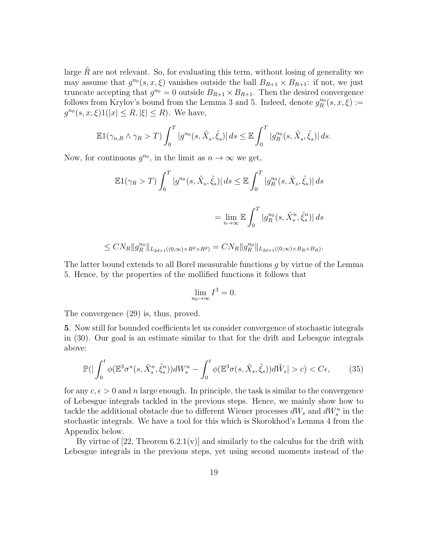large  $\hat{R}$  are not relevant. So, for evaluating this term, without losing of generality we may assume that  $g^{n_0}(s, x, \xi)$  vanishes outside the ball  $B_{R+1} \times B_{R+1}$ : if not, we just truncate accepting that  $g^{n_0} = 0$  outside  $B_{R+1} \times B_{R+1}$ . Then the desired convergence follows from Krylov's bound from the Lemma 3 and 5. Indeed, denote  $g_R^{n_0}(s, x, \xi) :=$  $g^{n_0}(s, x, \xi)1(|x| \leq R, |\xi| \leq R)$ . We have,

$$
\mathbb{E}1(\gamma_{n,R}\wedge \gamma_R > T) \int_0^T |g^{n_0}(s,\tilde{X}_s,\tilde{\xi}_s)| ds \leq \mathbb{E} \int_0^T |g^{n_0}_R(s,\tilde{X}_s,\tilde{\xi}_s)| ds.
$$

Now, for continuous  $g^{n_0}$ , in the limit as  $n \to \infty$  we get,

$$
\mathbb{E}1(\gamma_R > T) \int_0^T |g^{n_0}(s, \tilde{X}_s, \tilde{\xi}_s)| ds \leq \mathbb{E} \int_0^T |g_R^{n_0}(s, \tilde{X}_s, \tilde{\xi}_s)| ds
$$
  

$$
= \lim_{n \to \infty} \mathbb{E} \int_0^T |g_R^{n_0}(s, \tilde{X}_s^n, \tilde{\xi}_s^n)| ds
$$

$$
\le CN_R \|g_R^{n_0}\|_{L_{2d+1}((0,\infty)\times R^d \times R^d)} = CN_R \|g_R^{n_0}\|_{L_{2d+1}((0,\infty)\times B_R \times B_R)}.
$$

The latter bound extends to all Borel measurable functions g by virtue of the Lemma 5. Hence, by the properties of the mollified functions it follows that

$$
\lim_{n_0 \to \infty} I^3 = 0.
$$

The convergence (29) is, thus, proved.

5. Now still for bounded coefficients let us consider convergence of stochastic integrals in (30). Our goal is an estimate similar to that for the drift and Lebesgue integrals above:

$$
\mathbb{P}\left(|\int_0^t \phi(\mathbb{E}^3 \sigma^n(s, \tilde{X}_s^n, \tilde{\xi}_s^n))dW_s^n - \int_0^t \phi(\mathbb{E}^3 \sigma(s, \tilde{X}_s, \tilde{\xi}_s))d\tilde{W}_s| > c\right) < C\epsilon,\tag{35}
$$

for any  $c, \epsilon > 0$  and n large enough. In principle, the task is similar to the convergence of Lebesgue integrals tackled in the previous steps. Hence, we mainly show how to tackle the additional obstacle due to different Wiener processes  $dW_s$  and  $dW_s^n$  in the stochastic integrals. We have a tool for this which is Skorokhod's Lemma 4 from the Appendix below.

By virtue of  $[22,$  Theorem  $6.2.1(v)$  and similarly to the calculus for the drift with Lebesgue integrals in the previous steps, yet using second moments instead of the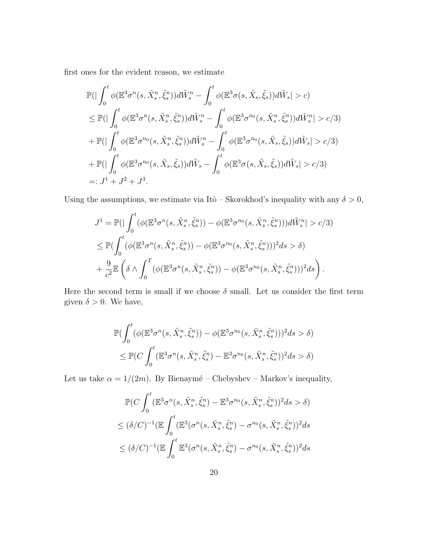first ones for the evident reason, we estimate

$$
\mathbb{P}\left(\left|\int_{0}^{t}\phi(\mathbb{E}^{3}\sigma^{n}(s,\tilde{X}_{s}^{n},\tilde{\xi}_{s}^{n}))d\tilde{W}_{s}^{n}-\int_{0}^{t}\phi(\mathbb{E}^{3}\sigma(s,\tilde{X}_{s},\tilde{\xi}_{s}))d\tilde{W}_{s}|>c\right) \n\leq \mathbb{P}\left(\left|\int_{0}^{t}\phi(\mathbb{E}^{3}\sigma^{n}(s,\tilde{X}_{s}^{n},\tilde{\xi}_{s}^{n}))d\tilde{W}_{s}^{n}-\int_{0}^{t}\phi(\mathbb{E}^{3}\sigma^{n_{0}}(s,\tilde{X}_{s}^{n},\tilde{\xi}_{s}^{n}))d\tilde{W}_{s}^{n}|>c/3\right) \n+ \mathbb{P}\left(\left|\int_{0}^{t}\phi(\mathbb{E}^{3}\sigma^{n_{0}}(s,\tilde{X}_{s}^{n},\tilde{\xi}_{s}^{n}))d\tilde{W}_{s}^{n}-\int_{0}^{t}\phi(\mathbb{E}^{3}\sigma^{n_{0}}(s,\tilde{X}_{s},\tilde{\xi}_{s}))d\tilde{W}_{s}|>c/3\right) \n+ \mathbb{P}\left(\left|\int_{0}^{t}\phi(\mathbb{E}^{3}\sigma^{n_{0}}(s,\tilde{X}_{s},\tilde{\xi}_{s}))d\tilde{W}_{s}-\int_{0}^{t}\phi(\mathbb{E}^{3}\sigma(s,\tilde{X}_{s},\tilde{\xi}_{s}))d\tilde{W}_{s}|>c/3\right) \n=: J^{1}+J^{2}+J^{3}.
$$

Using the assumptions, we estimate via Itô – Skorokhod's inequality with any  $\delta > 0$ ,

$$
J^{1} = \mathbb{P}\left(\left| \int_{0}^{t} (\phi(\mathbb{E}^{3} \sigma^{n}(s, \tilde{X}_{s}^{n}, \tilde{\xi}_{s}^{n})) - \phi(\mathbb{E}^{3} \sigma^{n_{0}}(s, \tilde{X}_{s}^{n}, \tilde{\xi}_{s}^{n})) d\tilde{W}_{s}^{n} \right| > c/3\right)
$$
  
\n
$$
\leq \mathbb{P}\left(\int_{0}^{t} (\phi(\mathbb{E}^{3} \sigma^{n}(s, \tilde{X}_{s}^{n}, \tilde{\xi}_{s}^{n})) - \phi(\mathbb{E}^{3} \sigma^{n_{0}}(s, \tilde{X}_{s}^{n}, \tilde{\xi}_{s}^{n}))^{2} ds > \delta\right)
$$
  
\n
$$
+ \frac{9}{c^{2}} \mathbb{E}\left(\delta \wedge \int_{0}^{T} (\phi(\mathbb{E}^{3} \sigma^{n}(s, \tilde{X}_{s}^{n}, \tilde{\xi}_{s}^{n})) - \phi(\mathbb{E}^{3} \sigma^{n_{0}}(s, \tilde{X}_{s}^{n}, \tilde{\xi}_{s}^{n}))^{2} ds\right).
$$

Here the second term is small if we choose  $\delta$  small. Let us consider the first term given  $\delta > 0$ . We have,

$$
\mathbb{P}\left(\int_0^t (\phi(\mathbb{E}^3 \sigma^n(s, \tilde{X}_s^n, \tilde{\xi}_s^n)) - \phi(\mathbb{E}^3 \sigma^{n_0}(s, \tilde{X}_s^n, \tilde{\xi}_s^n)))^2 ds > \delta\right)
$$
  

$$
\leq \mathbb{P}\left(C \int_0^t (\mathbb{E}^3 \sigma^n(s, \tilde{X}_s^n, \tilde{\xi}_s^n) - \mathbb{E}^3 \sigma^{n_0}(s, \tilde{X}_s^n, \tilde{\xi}_s^n))^2 ds > \delta\right)
$$

Let us take  $\alpha = 1/(2m)$ . By Bienaymé – Chebyshev – Markov's inequality,

$$
\mathbb{P}(C\int_0^t (\mathbb{E}^3 \sigma^n(s, \tilde{X}_s^n, \tilde{\xi}_s^n) - \mathbb{E}^3 \sigma^{n_0}(s, \tilde{X}_s^n, \tilde{\xi}_s^n))^2 ds > \delta)
$$
  

$$
\leq (\delta/C)^{-1} (\mathbb{E}\int_0^t (\mathbb{E}^3(\sigma^n(s, \tilde{X}_s^n, \tilde{\xi}_s^n) - \sigma^{n_0}(s, \tilde{X}_s^n, \tilde{\xi}_s^n))^2 ds
$$
  

$$
\leq (\delta/C)^{-1} (\mathbb{E}\int_0^t \mathbb{E}^3(\sigma^n(s, \tilde{X}_s^n, \tilde{\xi}_s^n) - \sigma^{n_0}(s, \tilde{X}_s^n, \tilde{\xi}_s^n))^2 ds
$$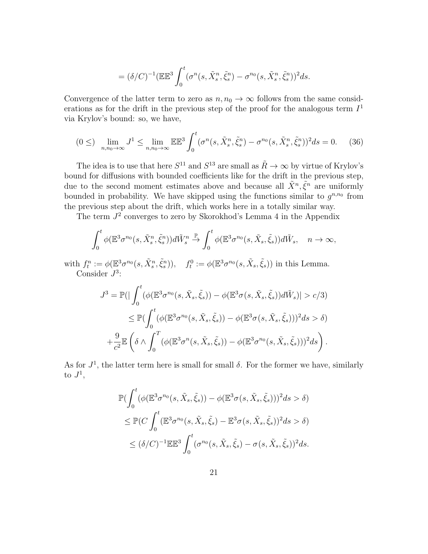$$
= (\delta/C)^{-1} (\mathbb{E} \mathbb{E}^3 \int_0^t (\sigma^n(s, \tilde{X}_s^n, \tilde{\xi}_s^n) - \sigma^{n_0}(s, \tilde{X}_s^n, \tilde{\xi}_s^n))^2 ds.
$$

Convergence of the latter term to zero as  $n, n_0 \to \infty$  follows from the same considerations as for the drift in the previous step of the proof for the analogous term  $I<sup>1</sup>$ via Krylov's bound: so, we have,

$$
(0 \leq) \quad \lim_{n,n_0 \to \infty} J^1 \leq \lim_{n,n_0 \to \infty} \mathbb{E} \mathbb{E}^3 \int_0^t (\sigma^n(s, \tilde{X}_s^n, \tilde{\xi}_s^n) - \sigma^{n_0}(s, \tilde{X}_s^n, \tilde{\xi}_s^n))^2 ds = 0. \tag{36}
$$

The idea is to use that here  $S^{11}$  and  $S^{13}$  are small as  $\tilde{R} \to \infty$  by virtue of Krylov's bound for diffusions with bounded coefficients like for the drift in the previous step, due to the second moment estimates above and because all  $\tilde{X}^n, \tilde{\xi}^n$  are uniformly bounded in probability. We have skipped using the functions similar to  $g^{n,n_0}$  from the previous step about the drift, which works here in a totally similar way.

The term  $J^2$  converges to zero by Skorokhod's Lemma 4 in the Appendix

$$
\int_0^t \phi(\mathbb{E}^3 \sigma^{n_0}(s, \tilde{X}_s^n, \tilde{\xi}_s^n)) d\tilde{W}_s^n \stackrel{\mathbb{P}}{\to} \int_0^t \phi(\mathbb{E}^3 \sigma^{n_0}(s, \tilde{X}_s, \tilde{\xi}_s)) d\tilde{W}_s, \quad n \to \infty,
$$

with  $f_t^n := \phi(\mathbb{E}^3 \sigma^{n_0}(s, \tilde{X}_s^n, \tilde{\xi}_s^n)), \quad f_t^0 := \phi(\mathbb{E}^3 \sigma^{n_0}(s, \tilde{X}_s, \tilde{\xi}_s))$  in this Lemma. Consider  $J^3$ :

$$
J^3 = \mathbb{P}\left(\left|\int_0^t (\phi(\mathbb{E}^3 \sigma^{n_0}(s, \tilde{X}_s, \tilde{\xi}_s)) - \phi(\mathbb{E}^3 \sigma(s, \tilde{X}_s, \tilde{\xi}_s))d\tilde{W}_s\right|\right) > c/3)
$$
\n
$$
\leq \mathbb{P}\left(\int_0^t (\phi(\mathbb{E}^3 \sigma^{n_0}(s, \tilde{X}_s, \tilde{\xi}_s)) - \phi(\mathbb{E}^3 \sigma(s, \tilde{X}_s, \tilde{\xi}_s)))^2 ds > \delta\right)
$$
\n
$$
+ \frac{9}{c^2} \mathbb{E}\left(\delta \wedge \int_0^T (\phi(\mathbb{E}^3 \sigma^n(s, \tilde{X}_s, \tilde{\xi}_s)) - \phi(\mathbb{E}^3 \sigma^{n_0}(s, \tilde{X}_s, \tilde{\xi}_s)))^2 ds\right).
$$

As for  $J^1$ , the latter term here is small for small  $\delta$ . For the former we have, similarly to  $J^1$ ,

$$
\mathbb{P}\left(\int_0^t (\phi(\mathbb{E}^3 \sigma^{n_0}(s, \tilde{X}_s, \tilde{\xi}_s)) - \phi(\mathbb{E}^3 \sigma(s, \tilde{X}_s, \tilde{\xi}_s)))^2 ds > \delta\right)
$$
  
\n
$$
\leq \mathbb{P}\left(C \int_0^t (\mathbb{E}^3 \sigma^{n_0}(s, \tilde{X}_s, \tilde{\xi}_s) - \mathbb{E}^3 \sigma(s, \tilde{X}_s, \tilde{\xi}_s))^2 ds > \delta\right)
$$
  
\n
$$
\leq (\delta/C)^{-1} \mathbb{E} \mathbb{E}^3 \int_0^t (\sigma^{n_0}(s, \tilde{X}_s, \tilde{\xi}_s) - \sigma(s, \tilde{X}_s, \tilde{\xi}_s))^2 ds.
$$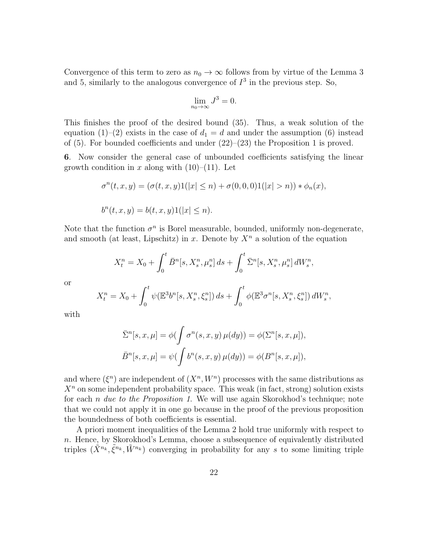Convergence of this term to zero as  $n_0 \to \infty$  follows from by virtue of the Lemma 3 and 5, similarly to the analogous convergence of  $I<sup>3</sup>$  in the previous step. So,

$$
\lim_{n_0 \to \infty} J^3 = 0.
$$

This finishes the proof of the desired bound (35). Thus, a weak solution of the equation (1)–(2) exists in the case of  $d_1 = d$  and under the assumption (6) instead of  $(5)$ . For bounded coefficients and under  $(22)$ – $(23)$  the Proposition 1 is proved.

6. Now consider the general case of unbounded coefficients satisfying the linear growth condition in x along with  $(10)–(11)$ . Let

$$
\sigma^{n}(t, x, y) = (\sigma(t, x, y)1(|x| \leq n) + \sigma(0, 0, 0)1(|x| > n)) * \phi_{n}(x),
$$
  

$$
b^{n}(t, x, y) = b(t, x, y)1(|x| \leq n).
$$

Note that the function  $\sigma^n$  is Borel measurable, bounded, uniformly non-degenerate, and smooth (at least, Lipschitz) in x. Denote by  $X<sup>n</sup>$  a solution of the equation

$$
X_t^n = X_0 + \int_0^t \bar{B}^n[s, X_s^n, \mu_s^n] ds + \int_0^t \bar{\Sigma}^n[s, X_s^n, \mu_s^n] dW_s^n,
$$

or

$$
X_t^n = X_0 + \int_0^t \psi(\mathbb{E}^3 b^n[s, X_s^n, \xi_s^n]) ds + \int_0^t \phi(\mathbb{E}^3 \sigma^n[s, X_s^n, \xi_s^n]) dW_s^n,
$$

with

$$
\bar{\Sigma}^n[s, x, \mu] = \phi(\int \sigma^n(s, x, y) \mu(dy)) = \phi(\Sigma^n[s, x, \mu]),
$$
  

$$
\bar{B}^n[s, x, \mu] = \psi(\int b^n(s, x, y) \mu(dy)) = \phi(B^n[s, x, \mu]),
$$

and where  $(\xi^n)$  are independent of  $(X^n, W^n)$  processes with the same distributions as  $X<sup>n</sup>$  on some independent probability space. This weak (in fact, strong) solution exists for each *n* due to the Proposition 1. We will use again Skorokhod's technique; note that we could not apply it in one go because in the proof of the previous proposition the boundedness of both coefficients is essential.

A priori moment inequalities of the Lemma 2 hold true uniformly with respect to  $n.$  Hence, by Skorokhod's Lemma, choose a subsequence of equivalently distributed triples  $(\tilde{X}^{n_k}, \tilde{\xi}^{n_k}, \tilde{W}^{n_k})$  converging in probability for any s to some limiting triple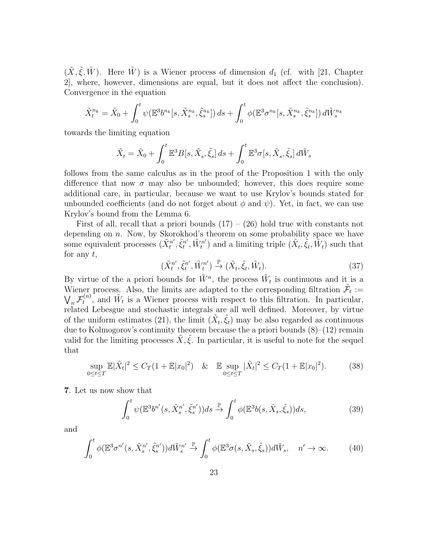$(\tilde{X}, \tilde{\xi}, \tilde{W})$ . Here  $\tilde{W}$ ) is a Wiener process of dimension  $d_1$  (cf. with [21, Chapter 2], where, however, dimensions are equal, but it does not affect the conclusion). Convergence in the equation

$$
\tilde{X}_t^{n_k} = \tilde{X}_0 + \int_0^t \psi(\mathbb{E}^3 b^{n_k} [s, \tilde{X}_s^{n_k}, \tilde{\xi}_s^{n_k}]) ds + \int_0^t \phi(\mathbb{E}^3 \sigma^{n_k} [s, \tilde{X}_s^{n_k}, \tilde{\xi}_s^{n_k}]) d\tilde{W}_s^{n_k}
$$

towards the limiting equation

$$
\tilde{X}_t = \tilde{X}_0 + \int_0^t \mathbb{E}^3 B[s, \tilde{X}_s, \tilde{\xi}_s] ds + \int_0^t \mathbb{E}^3 \sigma[s, \tilde{X}_s, \tilde{\xi}_s] d\tilde{W}_s
$$

follows from the same calculus as in the proof of the Proposition 1 with the only difference that now  $\sigma$  may also be unbounded; however, this does require some additional care, in particular, because we want to use Krylov's bounds stated for unbounded coefficients (and do not forget about  $\phi$  and  $\psi$ ). Yet, in fact, we can use Krylov's bound from the Lemma 6.

First of all, recall that a priori bounds  $(17) - (26)$  hold true with constants not depending on *n*. Now, by Skorokhod's theorem on some probability space we have some equivalent processes  $(\tilde{X}^{n'}_t)$  $\tilde{\xi}^{n'}_t, \tilde{\xi}^{n'}_t$  $\tilde{W}^{n'}_t, \tilde{W}^{n'}_t$  $(t_t^{(n)})$  and a limiting triple  $(\tilde{X}_t, \tilde{\xi}_t, \tilde{W}_t)$  such that for any  $t$ ,

$$
(\tilde{X}_t^{n'}, \tilde{\xi}_t^{n'}, \tilde{W}_t^{n'}) \xrightarrow{\mathbb{P}} (\tilde{X}_t, \tilde{\xi}_t, \tilde{W}_t). \tag{37}
$$

By virtue of the a priori bounds for  $\tilde{W}^n$ , the process  $\tilde{W}_t$  is continuous and it is a Wiener process. Also, the limits are adapted to the corresponding filtration  $\tilde{\mathcal{F}}_t :=$  $\bigvee_n \mathcal{F}_t^{(n)}$  $\tilde{W}_t^{(n)}$ , and  $\tilde{W}_t$  is a Wiener process with respect to this filtration. In particular, related Lebesgue and stochastic integrals are all well defined. Moreover, by virtue of the uniform estimates (21), the limit  $(\tilde{X}_t, \tilde{\xi}_t)$  may be also regarded as continuous due to Kolmogorov's continuity theorem because the a priori bounds (8)–(12) remain valid for the limiting processes  $\tilde{X}, \xi$ . In particular, it is useful to note for the sequel that

$$
\sup_{0 \le t \le T} \mathbb{E}|\tilde{X}_t|^2 \le C_T (1 + \mathbb{E}|x_0|^2) \quad \& \quad \mathbb{E} \sup_{0 \le t \le T} |\tilde{X}_t|^2 \le C_T (1 + \mathbb{E}|x_0|^2). \tag{38}
$$

7. Let us now show that

$$
\int_0^t \psi(\mathbb{E}^3 b^{n'}(s, \tilde{X}_s^{n'}, \tilde{\xi}_s^{n'})) ds \stackrel{\mathbb{P}}{\to} \int_0^t \phi(\mathbb{E}^3 b(s, \tilde{X}_s, \tilde{\xi}_s)) ds,
$$
\n(39)

and

$$
\int_0^t \phi(\mathbb{E}^3 \sigma^{n'}(s, \tilde{X}_s^{n'}, \tilde{\xi}_s^{n'})) d\tilde{W}_s^{n'} \stackrel{\mathbb{P}}{\to} \int_0^t \phi(\mathbb{E}^3 \sigma(s, \tilde{X}_s, \tilde{\xi}_s)) d\tilde{W}_s, \quad n' \to \infty.
$$
 (40)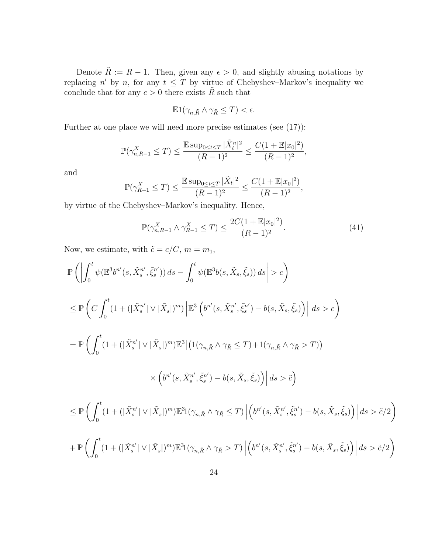Denote  $\tilde{R} := R - 1$ . Then, given any  $\epsilon > 0$ , and slightly abusing notations by replacing n' by n, for any  $t \leq T$  by virtue of Chebyshev–Markov's inequality we conclude that for any  $c > 0$  there exists  $\tilde{R}$  such that

$$
\mathbb{E}1(\gamma_{n,\tilde{R}} \wedge \gamma_{\tilde{R}} \leq T) < \epsilon.
$$

Further at one place we will need more precise estimates (see (17)):

$$
\mathbb{P}(\gamma^X_{n,R-1}\leq T)\leq \frac{\mathbb{E}\sup_{0\leq t\leq T}|\tilde{X}^n_t|^2}{(R-1)^2}\leq \frac{C(1+\mathbb{E}|x_0|^2)}{(R-1)^2},
$$

and

$$
\mathbb{P}(\gamma_{R-1}^X \le T) \le \frac{\mathbb{E} \sup_{0 \le t \le T} |\tilde{X}_t|^2}{(R-1)^2} \le \frac{C(1 + \mathbb{E} |x_0|^2)}{(R-1)^2},
$$

by virtue of the Chebyshev–Markov's inequality. Hence,

$$
\mathbb{P}(\gamma_{n,R-1}^X \wedge \gamma_{R-1}^X \le T) \le \frac{2C(1 + \mathbb{E}|x_0|^2)}{(R-1)^2}.
$$
\n(41)

Now, we estimate, with  $\tilde{c} = c/C$ ,  $m = m_1$ ,

$$
\begin{split} &\mathbb{P}\left(\left|\int_{0}^{t}\psi(\mathbb{E}^{3}b^{n'}(s,\tilde{X}_{s}^{n'},\tilde{\xi}_{s}^{n'}))ds-\int_{0}^{t}\psi(\mathbb{E}^{3}b(s,\tilde{X}_{s},\tilde{\xi}_{s}))ds\right|>c\right) \\ &\leq \mathbb{P}\left(C\int_{0}^{t}(1+(|\tilde{X}_{s}^{n'}|\vee|\tilde{X}_{s}|)^{m})\left|\mathbb{E}^{3}\left(b^{n'}(s,\tilde{X}_{s}^{n'},\tilde{\xi}_{s}^{n'})-b(s,\tilde{X}_{s},\tilde{\xi}_{s})\right)\right|ds>c\right) \\ &=\mathbb{P}\left(\int_{0}^{t}(1+(|\tilde{X}_{s}^{n'}|\vee|\tilde{X}_{s}|)^{m})\mathbb{E}^{3}\left|\left(1(\gamma_{n,\tilde{R}}\wedge\gamma_{\tilde{R}}\leq T)+1(\gamma_{n,\tilde{R}}\wedge\gamma_{\tilde{R}}>T)\right)\right|\\ &\qquad\times\left(b^{n'}(s,\tilde{X}_{s}^{n'},\tilde{\xi}_{s}^{n'})-b(s,\tilde{X}_{s},\tilde{\xi}_{s})\right)\right|ds>\tilde{c}\right) \\ &\leq \mathbb{P}\left(\int_{0}^{t}(1+(|\tilde{X}_{s}^{n'}|\vee|\tilde{X}_{s}|)^{m})\mathbb{E}^{3}\left[\left(\gamma_{n,\tilde{R}}\wedge\gamma_{\tilde{R}}\leq T\right)\left|\left(b^{n'}(s,\tilde{X}_{s}^{n'},\tilde{\xi}_{s}^{n'})-b(s,\tilde{X}_{s},\tilde{\xi}_{s})\right)\right|ds>\tilde{c}/2\right) \\ &+\mathbb{P}\left(\int_{0}^{t}(1+(|\tilde{X}_{s}^{n'}|\vee|\tilde{X}_{s}|)^{m})\mathbb{E}^{3}\left[\left(\gamma_{n,\tilde{R}}\wedge\gamma_{\tilde{R}}\geq T\right)\left|\left(b^{n'}(s,\tilde{X}_{s}^{n'},\tilde{\xi}_{s}^{n'})-b(s,\tilde{X}_{s},\tilde{\xi}_{s})\right)\right|ds>\tilde{c}/2\right) \\ \end{split}
$$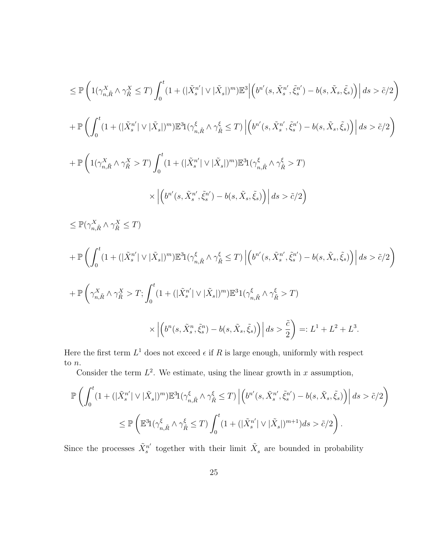$$
\leq \mathbb{P}\left(1(\gamma^X_{n,\tilde{R}} \wedge \gamma^X_{\tilde{R}} \leq T)\int_0^t (1+(|\tilde{X}^{n'}_s| \vee |\tilde{X}_s|)^m)\mathbb{E}^3\Big|\Big(b^{n'}(s,\tilde{X}^{n'}_s,\tilde{\xi}^{n'}_s)-b(s,\tilde{X}_s,\tilde{\xi}_s)\Big)\Big| ds > \tilde{c}/2\right) + \mathbb{P}\left(\int_0^t (1+(|\tilde{X}^{n'}_s| \vee |\tilde{X}_s|)^m)\mathbb{E}^31(\gamma^{\xi}_{n,\tilde{R}} \wedge \gamma^{\xi}_{\tilde{R}} \leq T)\Big|\Big(b^{n'}(s,\tilde{X}^{n'}_s,\tilde{\xi}^{n'})-b(s,\tilde{X}_s,\tilde{\xi}_s)\Big)\Big|\ ds > \tilde{c}/2\right) + \mathbb{P}\left(1(\gamma^X_{n,\tilde{R}} \wedge \gamma^X_{\tilde{R}} > T)\int_0^t (1+(|\tilde{X}^{n'}_s| \vee |\tilde{X}_s|)^m)\mathbb{E}^31(\gamma^{\xi}_{n,\tilde{R}} \wedge \gamma^{\xi}_{\tilde{R}} > T)\right) \times \Big|\Big(b^{n'}(s,\tilde{X}^{n'}_s,\tilde{\xi}^{n'}_s)-b(s,\tilde{X}_s,\tilde{\xi}_s)\Big)\Big|\ ds > \tilde{c}/2\right)
$$

$$
\leq \mathbb{P}(\gamma_{n,\tilde{R}}^X \wedge \gamma_{\tilde{R}}^X \leq T)
$$
\n
$$
+ \mathbb{P}\left(\int_0^t (1 + (|\tilde{X}_s^{n'}| \vee |\tilde{X}_s|)^m) \mathbb{E}^3 \mathbb{1}(\gamma_{n,\tilde{R}}^\xi \wedge \gamma_{\tilde{R}}^\xi \leq T) \left| \left(b^{n'}(s, \tilde{X}_s^{n'}, \tilde{\xi}_s^{n'}) - b(s, \tilde{X}_s, \tilde{\xi}_s)\right) \right| ds > \tilde{c}/2\right)
$$
\n
$$
+ \mathbb{P}\left(\gamma_{n,\tilde{R}}^X \wedge \gamma_{\tilde{R}}^X > T; \int_0^t (1 + (|\tilde{X}_s^{n'}| \vee |\tilde{X}_s|)^m) \mathbb{E}^3 \mathbb{1}(\gamma_{n,\tilde{R}}^\xi \wedge \gamma_{\tilde{R}}^\xi > T) \times \left| \left(b^{n}(s, \tilde{X}_s^{n}, \tilde{\xi}_s^{n}) - b(s, \tilde{X}_s, \tilde{\xi}_s)\right) \right| ds > \frac{\tilde{c}}{2}\right) =: L^1 + L^2 + L^3.
$$

Here the first term  $L^1$  does not exceed  $\epsilon$  if R is large enough, uniformly with respect to  $\boldsymbol{n}.$ 

Consider the term  $L^2$ . We estimate, using the linear growth in x assumption,

$$
\mathbb{P}\left(\int_0^t (1+(|\tilde{X}_s^{n'}|\vee|\tilde{X}_s|)^m)\mathbb{E}^{3}\mathbf{1}(\gamma_{n,\tilde{R}}^{\xi}\wedge\gamma_{\tilde{R}}^{\xi}\leq T)\left|\left(b^{n'}(s,\tilde{X}_s^{n'},\tilde{\xi}_s^{n'})-b(s,\tilde{X}_s,\tilde{\xi}_s)\right)\right|ds>\tilde{c}/2\right)
$$
  

$$
\leq \mathbb{P}\left(\mathbb{E}^{3}\mathbf{1}(\gamma_{n,\tilde{R}}^{\xi}\wedge\gamma_{\tilde{R}}^{\xi}\leq T)\int_0^t (1+(|\tilde{X}_s^{n'}|\vee|\tilde{X}_s|)^{m+1})ds>\tilde{c}/2\right).
$$

Since the processes  $\tilde{X}^{n'}_{s}$  $s^{n'}$  together with their limit  $\tilde{X}_s$  are bounded in probability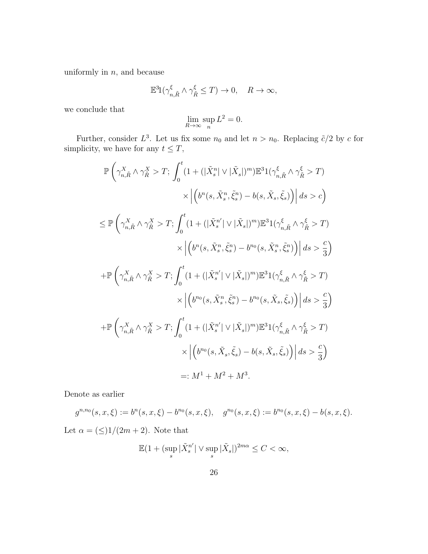uniformly in  $n$ , and because

$$
\mathbb{E}^3 1(\gamma_{n,\tilde{R}}^{\xi} \wedge \gamma_{\tilde{R}}^{\xi} \leq T) \to 0, \quad R \to \infty,
$$

we conclude that

$$
\lim_{R \to \infty} \sup_n L^2 = 0.
$$

Further, consider  $L^3$ . Let us fix some  $n_0$  and let  $n > n_0$ . Replacing  $\tilde{c}/2$  by c for simplicity, we have for any  $t \leq T$ ,

$$
\mathbb{P}\left(\gamma_{n,\tilde{R}}^{X}\wedge\gamma_{\tilde{R}}^{X}>T;\int_{0}^{t}(1+(|\tilde{X}_{s}^{n}|\vee|\tilde{X}_{s}|)^{m})\mathbb{E}^{3}1(\gamma_{n,\tilde{R}}^{\xi}\wedge\gamma_{\tilde{R}}^{\xi}>T)\right) \times \Big|\Big(b^{n}(s,\tilde{X}_{s}^{n},\tilde{\xi}_{s}^{n})-b(s,\tilde{X}_{s},\tilde{\xi}_{s})\Big)\Big|\,ds>c\Big)
$$
\n
$$
\leq \mathbb{P}\left(\gamma_{n,\tilde{R}}^{X}\wedge\gamma_{\tilde{R}}^{X}>T;\int_{0}^{t}(1+(|\tilde{X}_{s}^{n}|\vee|\tilde{X}_{s}|)^{m})\mathbb{E}^{3}1(\gamma_{n,\tilde{R}}^{\xi}\wedge\gamma_{\tilde{R}}^{\xi}>T)\right) \times \Big|\Big(b^{n}(s,\tilde{X}_{s}^{n},\tilde{\xi}_{s}^{n})-b^{n_{0}}(s,\tilde{X}_{s}^{n},\tilde{\xi}_{s}^{n})\Big)\Big|\,ds>\frac{c}{3}\Big)
$$
\n
$$
+\mathbb{P}\left(\gamma_{n,\tilde{R}}^{X}\wedge\gamma_{\tilde{R}}^{X}>T;\int_{0}^{t}(1+(|\tilde{X}_{s}^{n}|\vee|\tilde{X}_{s}|)^{m})\mathbb{E}^{3}1(\gamma_{n,\tilde{R}}^{\xi}\wedge\gamma_{\tilde{R}}^{\xi}>T)\right) \times \Big|\Big(b^{n_{0}}(s,\tilde{X}_{s}^{n},\tilde{\xi}_{s}^{n})-b^{n_{0}}(s,\tilde{X}_{s},\tilde{\xi}_{s})\Big)\Big|\,ds>\frac{c}{3}\Big)
$$
\n
$$
+\mathbb{P}\left(\gamma_{n,\tilde{R}}^{X}\wedge\gamma_{\tilde{R}}^{X}>T;\int_{0}^{t}(1+(|\tilde{X}_{s}^{n}|\vee|\tilde{X}_{s}|)^{m})\mathbb{E}^{3}1(\gamma_{n,\tilde{R}}^{\xi}\wedge\gamma_{\tilde{R}}^{\xi}>T)\right) \times \Big|\Big(b^{n_{0}}(s,\tilde{X}_{s},\tilde{\xi}_{s})-b(s,\tilde{X}_{s},\tilde{\xi}_{s})\Big
$$

Denote as earlier

$$
g^{n,n_0}(s,x,\xi) := b^n(s,x,\xi) - b^{n_0}(s,x,\xi), \quad g^{n_0}(s,x,\xi) := b^{n_0}(s,x,\xi) - b(s,x,\xi).
$$

Let  $\alpha = (\leq)1/(2m+2)$ . Note that

$$
\mathbb{E}(1 + (\sup_s |\tilde{X}_s^{n'}| \vee \sup_s |\tilde{X}_s|)^{2m\alpha} \le C < \infty,
$$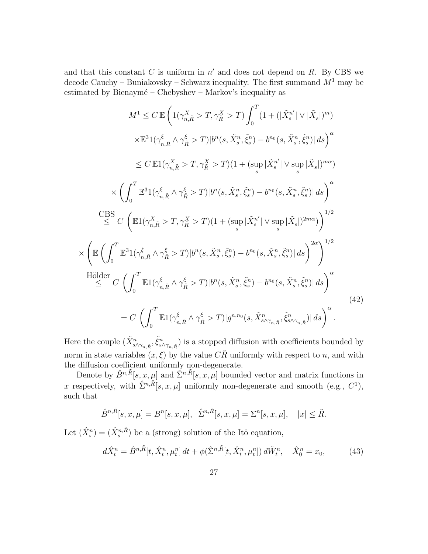and that this constant  $C$  is uniform in  $n'$  and does not depend on  $R$ . By CBS we decode Cauchy – Buniakovsky – Schwarz inequality. The first summand  $M^1$  may be estimated by Bienaymé – Chebyshev – Markov's inequality as

$$
M^{1} \leq C \mathbb{E} \left( 1(\gamma_{n,\tilde{R}}^{X} > T, \gamma_{\tilde{R}}^{X} > T) \int_{0}^{T} (1 + (|\tilde{X}_{s}^{n}| \vee |\tilde{X}_{s}|)^{m}) \times \mathbb{E}^{3}1(\gamma_{n,\tilde{R}}^{\xi} \wedge \gamma_{\tilde{R}}^{\xi} > T)|b^{n}(s, \tilde{X}_{s}^{n}, \tilde{\xi}_{s}^{n}) - b^{n_{0}}(s, \tilde{X}_{s}^{n}, \tilde{\xi}_{s}^{n})|ds \right)^{\alpha} \leq C \mathbb{E}1(\gamma_{n,\tilde{R}}^{X} > T, \gamma_{\tilde{R}}^{X} > T)(1 + (\sup_{s} |\tilde{X}_{s}^{n}| \vee \sup_{s} |\tilde{X}_{s}|)^{m\alpha}) \times \left( \int_{0}^{T} \mathbb{E}^{3}1(\gamma_{n,\tilde{R}}^{\xi} \wedge \gamma_{\tilde{R}}^{\xi} > T)|b^{n}(s, \tilde{X}_{s}^{n}, \tilde{\xi}_{s}^{n}) - b^{n_{0}}(s, \tilde{X}_{s}^{n}, \tilde{\xi}_{s}^{n})|ds \right)^{\alpha} \leq C \left( \mathbb{E}1(\gamma_{n,\tilde{R}}^{X} \wedge \gamma_{\tilde{R}}^{\xi} > T)(1 + (\sup_{s} |\tilde{X}_{s}^{n}| \vee \sup_{s} |\tilde{X}_{s}|)^{2m\alpha}) \right)^{1/2} \times \left( \mathbb{E} \left( \int_{0}^{T} \mathbb{E}^{3}1(\gamma_{n,\tilde{R}}^{\xi} \wedge \gamma_{\tilde{R}}^{\xi} > T)|b^{n}(s, \tilde{X}_{s}^{n}, \tilde{\xi}_{s}^{n}) - b^{n_{0}}(s, \tilde{X}_{s}^{n}, \tilde{\xi}_{s}^{n})|ds \right)^{2\alpha} \right)^{1/2} \leq C \left( \int_{0}^{T} \mathbb{E}1(\gamma_{n,\tilde{R}}^{\xi} \wedge \gamma_{\tilde{R}}^{\xi} > T)|b^{n}(s, \tilde{X}_{s}^{n}, \tilde{\xi}_{s}^{n}) - b^{n_{0}}(s, \tilde
$$

Here the couple  $(\tilde{X}_{s \wedge \gamma_{n,\tilde{R}}}^n, \tilde{\xi}_{s \wedge \gamma_{n,\tilde{R}}}^n)$  is a stopped diffusion with coefficients bounded by norm in state variables  $(x, \xi)$  by the value  $C\tilde{R}$  uniformly with respect to n, and with the diffusion coefficient uniformly non-degenerate.

Denote by  $\hat{B}^{n,\tilde{R}}[s,x,\mu]$  and  $\hat{\Sigma}^{n,\tilde{R}}[s,x,\mu]$  bounded vector and matrix functions in x respectively, with  $\hat{\Sigma}^{n,\tilde{R}}[s,x,\mu]$  uniformly non-degenerate and smooth (e.g.,  $C^1$ ), such that

$$
\hat{B}^{n,\tilde{R}}[s,x,\mu] = B^n[s,x,\mu], \quad \hat{\Sigma}^{n,\tilde{R}}[s,x,\mu] = \Sigma^n[s,x,\mu], \quad |x| \leq \tilde{R}.
$$

Let  $(\hat{X}_s^n) = (\hat{X}_s^{n,\tilde{R}})$  be a (strong) solution of the Itô equation,

$$
d\hat{X}^n_t = \hat{B}^{n,\tilde{R}}[t, \hat{X}^n_t, \mu^n_t] dt + \phi(\hat{\Sigma}^{n,\tilde{R}}[t, \hat{X}^n_t, \mu^n_t]) d\tilde{W}^n_t, \quad \hat{X}^n_0 = x_0,
$$
 (43)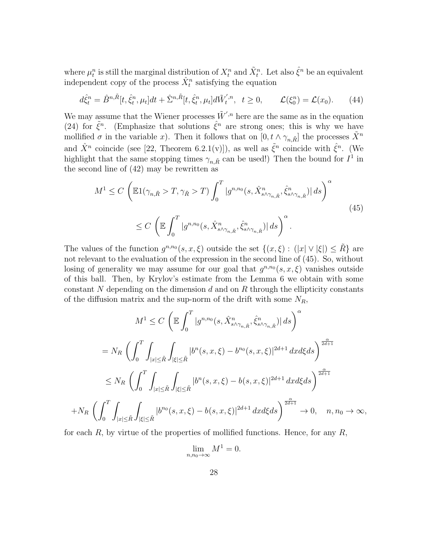where  $\mu_t^n$  is still the marginal distribution of  $X_t^n$  and  $\tilde{X}_t^n$ . Let also  $\hat{\xi}^n$  be an equivalent independent copy of the process  $\hat{X}_t^n$  satisfying the equation

$$
d\hat{\xi}^n_t = \hat{B}^{n,\tilde{R}}[t,\hat{\xi}^n_t,\mu_t]dt + \hat{\Sigma}^{n,\tilde{R}}[t,\hat{\xi}^n_t,\mu_t]d\tilde{W}_t^{',n}, \ \ t \ge 0, \qquad \mathcal{L}(\xi^n_0) = \mathcal{L}(x_0). \tag{44}
$$

We may assume that the Wiener processes  $\tilde{W}'^{n}$  here are the same as in the equation (24) for  $\tilde{\xi}^n$ . (Emphasize that solutions  $\hat{\xi}^n$  are strong ones; this is why we have mollified  $\sigma$  in the variable x). Then it follows that on  $[0, t \wedge \gamma_{n,\tilde{R}}]$  the processes  $\tilde{X}^n$ and  $\hat{X}^n$  coincide (see [22, Theorem 6.2.1(v)]), as well as  $\tilde{\xi}^n$  coincide with  $\hat{\xi}^n$ . (We highlight that the same stopping times  $\gamma_{n,\tilde{R}}$  can be used!) Then the bound for  $I^1$  in the second line of (42) may be rewritten as

$$
M^{1} \leq C \left( \mathbb{E} 1(\gamma_{n,\tilde{R}} > T, \gamma_{\tilde{R}} > T) \int_{0}^{T} |g^{n,n_{0}}(s, \hat{X}_{s \wedge \gamma_{n,\tilde{R}}}^{n}, \hat{\xi}_{s \wedge \gamma_{n,\tilde{R}}}^{n})| ds \right)^{\alpha}
$$
  

$$
\leq C \left( \mathbb{E} \int_{0}^{T} |g^{n,n_{0}}(s, \hat{X}_{s \wedge \gamma_{n,\tilde{R}}}^{n}, \hat{\xi}_{s \wedge \gamma_{n,\tilde{R}}}^{n})| ds \right)^{\alpha}.
$$
 (45)

The values of the function  $g^{n,n_0}(s,x,\xi)$  outside the set  $\{(x,\xi) : (|x| \vee |\xi|) \leq \tilde{R}\}\)$  are not relevant to the evaluation of the expression in the second line of (45). So, without losing of generality we may assume for our goal that  $g^{n,n_0}(s, x, \xi)$  vanishes outside of this ball. Then, by Krylov's estimate from the Lemma 6 we obtain with some constant N depending on the dimension d and on R through the ellipticity constants of the diffusion matrix and the sup-norm of the drift with some  $N_R$ ,

$$
M^{1} \leq C \left( \mathbb{E} \int_{0}^{T} |g^{n,n_{0}}(s, \hat{X}_{s \wedge \gamma_{n,\tilde{R}}}^{n}, \hat{\xi}_{s \wedge \gamma_{n,\tilde{R}}}^{n})| ds \right)^{\alpha}
$$
  
\n
$$
= N_{R} \left( \int_{0}^{T} \int_{|x| \leq \tilde{R}} \int_{|\xi| \leq \tilde{R}} |b^{n}(s, x, \xi) - b^{n_{0}}(s, x, \xi)|^{2d+1} dx d\xi ds \right)^{\frac{\alpha}{2d+1}}
$$
  
\n
$$
\leq N_{R} \left( \int_{0}^{T} \int_{|x| \leq \tilde{R}} \int_{|\xi| \leq \tilde{R}} |b^{n}(s, x, \xi) - b(s, x, \xi)|^{2d+1} dx d\xi ds \right)^{\frac{\alpha}{2d+1}}
$$
  
\n
$$
+ N_{R} \left( \int_{0}^{T} \int_{|x| \leq \tilde{R}} \int_{|\xi| \leq \tilde{R}} |b^{n_{0}}(s, x, \xi) - b(s, x, \xi)|^{2d+1} dx d\xi ds \right)^{\frac{\alpha}{2d+1}} \to 0, \quad n, n_{0} \to \infty,
$$

for each  $R$ , by virtue of the properties of mollified functions. Hence, for any  $R$ ,

$$
\lim_{n,n_0\to\infty} M^1 = 0.
$$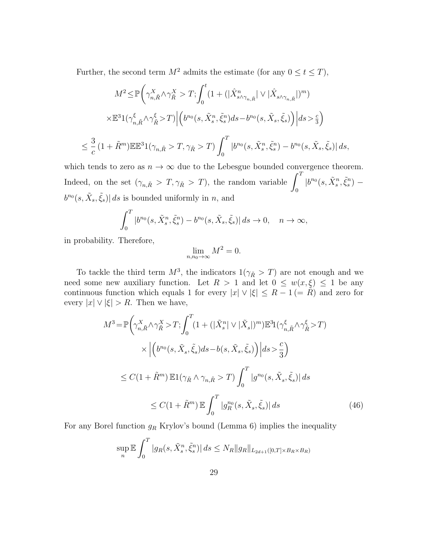Further, the second term  $M^2$  admits the estimate (for any  $0 \le t \le T$ ),

$$
M^{2} \leq \mathbb{P}\left(\gamma_{n,\tilde{R}}^{X} \wedge \gamma_{\tilde{R}}^{X} > T; \int_{0}^{t} \left(1 + \left(|\hat{X}_{s \wedge \gamma_{n,\tilde{R}}}^{n}| \vee |\hat{X}_{s \wedge \gamma_{n,\tilde{R}}}|)^{m}\right)\right) \right) \times \mathbb{E}^{3}1(\gamma_{n,\tilde{R}}^{\xi} \wedge \gamma_{\tilde{R}}^{\xi} > T)\left|\left(b^{n_{0}}(s, \tilde{X}_{s}^{n}, \tilde{\xi}_{s}^{n})ds - b^{n_{0}}(s, \tilde{X}_{s}, \tilde{\xi}_{s})\right)\right| ds > \frac{c}{3}\right)
$$
\n
$$
\leq \frac{3}{c} \left(1 + \tilde{R}^{m}\right) \mathbb{E} \mathbb{E}^{3}1(\gamma_{n,\tilde{R}} > T, \gamma_{\tilde{R}} > T)\int_{0}^{T} |b^{n_{0}}(s, \tilde{X}_{s}^{n}, \tilde{\xi}_{s}^{n}) - b^{n_{0}}(s, \tilde{X}_{s}, \tilde{\xi}_{s})| ds,
$$

which tends to zero as  $n \to \infty$  due to the Lebesgue bounded convergence theorem. Indeed, on the set  $(\gamma_{n,\tilde{R}} > T, \gamma_{\tilde{R}} > T)$ , the random variable  $\int_0^T$  $|b^{n_0}(s,\tilde{X}^n_s,\tilde{\xi}^n_s)$  $b^{n_0}(s, \tilde{X}_s, \tilde{\xi}_s)$  as is bounded uniformly in n, and

$$
\int_0^T |b^{n_0}(s, \tilde{X}_s^n, \tilde{\xi}_s^n) - b^{n_0}(s, \tilde{X}_s, \tilde{\xi}_s)| ds \to 0, \quad n \to \infty,
$$

in probability. Therefore,

$$
\lim_{n,n_0\to\infty} M^2 = 0.
$$

To tackle the third term  $M^3$ , the indicators  $1(\gamma_{\tilde{R}} > T)$  are not enough and we need some new auxiliary function. Let  $R > 1$  and let  $0 \leq w(x, \xi) \leq 1$  be any continuous function which equals 1 for every  $|x| \vee |\xi| \leq R - 1$  (=  $\tilde{R}$ ) and zero for every  $|x| \vee |\xi| > R$ . Then we have,

$$
M^{3} = \mathbb{P}\left(\gamma_{n,\tilde{R}}^{X} \wedge \gamma_{\tilde{R}}^{X} > T; \int_{0}^{T} (1 + (|\tilde{X}_{s}^{n}| \vee |\tilde{X}_{s}|)^{m}) \mathbb{E}^{3}1(\gamma_{n,\tilde{R}}^{\xi} \wedge \gamma_{\tilde{R}}^{\xi} > T) \times \left| \left( b^{n_{0}}(s, \tilde{X}_{s}, \tilde{\xi}_{s}) ds - b(s, \tilde{X}_{s}, \tilde{\xi}_{s}) \right) \right| ds > \frac{c}{3} \right)
$$
\n
$$
\leq C(1 + \tilde{R}^{m}) \mathbb{E}1(\gamma_{\tilde{R}} \wedge \gamma_{n,\tilde{R}} > T) \int_{0}^{T} |g^{n_{0}}(s, \tilde{X}_{s}, \tilde{\xi}_{s})| ds
$$
\n
$$
\leq C(1 + \tilde{R}^{m}) \mathbb{E} \int_{0}^{T} |g^{n_{0}}_{R}(s, \tilde{X}_{s}, \tilde{\xi}_{s})| ds \tag{46}
$$

For any Borel function  $g_R$  Krylov's bound (Lemma 6) implies the inequality

$$
\sup_{n} \mathbb{E} \int_{0}^{T} |g_{R}(s, \tilde{X}_{s}^{n}, \tilde{\xi}_{s}^{n})| ds \leq N_{R} \|g_{R}\|_{L_{2d+1}([0, T] \times B_{R} \times B_{R})}
$$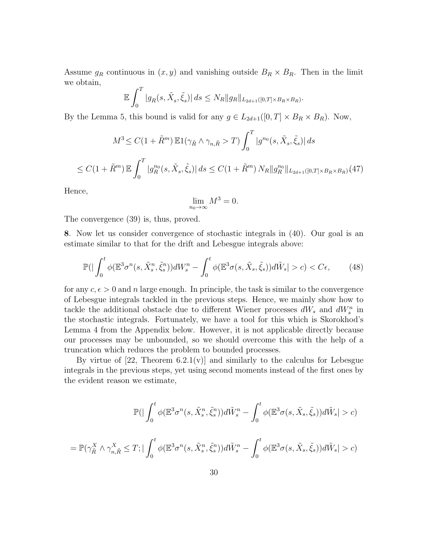Assume  $g_R$  continuous in  $(x, y)$  and vanishing outside  $B_R \times B_R$ . Then in the limit we obtain,

$$
\mathbb{E}\int_0^T |g_R(s,\tilde{X}_s,\tilde{\xi}_s)| ds \leq N_R ||g_R||_{L_{2d+1}([0,T] \times B_R \times B_R)}.
$$

By the Lemma 5, this bound is valid for any  $g \in L_{2d+1}([0, T] \times B_R \times B_R)$ . Now,

$$
M^{3} \leq C(1 + \tilde{R}^{m}) \mathbb{E}1(\gamma_{\tilde{R}} \wedge \gamma_{n,\tilde{R}} > T) \int_{0}^{T} |g^{n_{0}}(s, \tilde{X}_{s}, \tilde{\xi}_{s})| ds
$$
  

$$
\leq C(1 + \tilde{R}^{m}) \mathbb{E} \int_{0}^{T} |g^{n_{0}}_{R}(s, \tilde{X}_{s}, \tilde{\xi}_{s})| ds \leq C(1 + \tilde{R}^{m}) N_{R} \|g^{n_{0}}_{R} \|_{L_{2d+1}([0, T] \times B_{R} \times B_{R})}(47)
$$

Hence,

$$
\lim_{n_0 \to \infty} M^3 = 0.
$$

The convergence (39) is, thus, proved.

8. Now let us consider convergence of stochastic integrals in (40). Our goal is an estimate similar to that for the drift and Lebesgue integrals above:

$$
\mathbb{P}\left(|\int_0^t \phi(\mathbb{E}^3 \sigma^n(s, \tilde{X}_s^n, \tilde{\xi}_s^n))dW_s^n - \int_0^t \phi(\mathbb{E}^3 \sigma(s, \tilde{X}_s, \tilde{\xi}_s))d\tilde{W}_s| > c\right) < C\epsilon,\tag{48}
$$

for any  $c, \epsilon > 0$  and n large enough. In principle, the task is similar to the convergence of Lebesgue integrals tackled in the previous steps. Hence, we mainly show how to tackle the additional obstacle due to different Wiener processes  $dW_s$  and  $dW_s^n$  in the stochastic integrals. Fortunately, we have a tool for this which is Skorokhod's Lemma 4 from the Appendix below. However, it is not applicable directly because our processes may be unbounded, so we should overcome this with the help of a truncation which reduces the problem to bounded processes.

By virtue of  $[22,$  Theorem 6.2.1(v) and similarly to the calculus for Lebesgue integrals in the previous steps, yet using second moments instead of the first ones by the evident reason we estimate,

$$
\mathbb{P}\left(|\int_0^t \phi(\mathbb{E}^3 \sigma^n(s, \tilde{X}_s^n, \tilde{\xi}_s^n))d\tilde{W}_s^n - \int_0^t \phi(\mathbb{E}^3 \sigma(s, \tilde{X}_s, \tilde{\xi}_s))d\tilde{W}_s| > c\right)
$$
  
= 
$$
\mathbb{P}(\gamma_{\tilde{R}}^X \wedge \gamma_{n,\tilde{R}}^X \leq T; |\int_0^t \phi(\mathbb{E}^3 \sigma^n(s, \tilde{X}_s^n, \tilde{\xi}_s^n))d\tilde{W}_s^n - \int_0^t \phi(\mathbb{E}^3 \sigma(s, \tilde{X}_s, \tilde{\xi}_s))d\tilde{W}_s| > c\right)
$$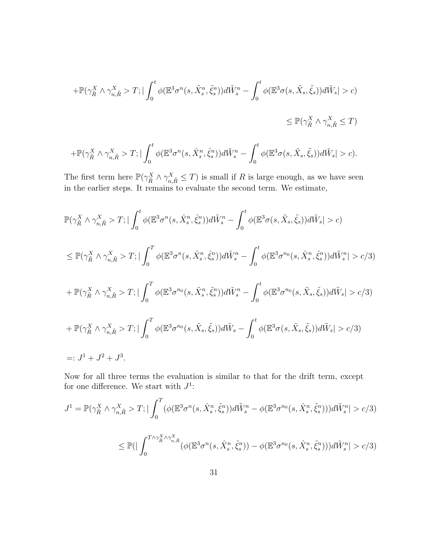$$
+\mathbb{P}(\gamma_{\tilde{R}}^X \wedge \gamma_{n,\tilde{R}}^X > T; |\int_0^t \phi(\mathbb{E}^3 \sigma^n(s, \tilde{X}_s^n, \tilde{\xi}_s^n))d\tilde{W}_s^n - \int_0^t \phi(\mathbb{E}^3 \sigma(s, \tilde{X}_s, \tilde{\xi}_s))d\tilde{W}_s| > c)
$$
  

$$
\leq \mathbb{P}(\gamma_{\tilde{R}}^X \wedge \gamma_{n,\tilde{R}}^X \leq T)
$$

$$
+\mathbb{P}(\gamma_{\tilde{R}}^X \wedge \gamma_{n,\tilde{R}}^X > T; \vert \int_0^t \phi(\mathbb{E}^3 \sigma^n(s, \hat{X}_s^n, \hat{\xi}_s^n)) d\tilde{W}_s^n - \int_0^t \phi(\mathbb{E}^3 \sigma(s, \tilde{X}_s, \tilde{\xi}_s)) d\tilde{W}_s \vert > c).
$$

The first term here  $\mathbb{P}(\gamma^X_{\tilde{R}} \wedge \gamma^X_{n,\tilde{R}} \leq T)$  is small if R is large enough, as we have seen in the earlier steps. It remains to evaluate the second term. We estimate,

$$
\mathbb{P}(\gamma_{\tilde{R}}^X \wedge \gamma_{n,\tilde{R}}^X > T; |\int_0^t \phi(\mathbb{E}^3 \sigma^n(s, \hat{X}_s^n, \hat{\xi}_s)) d\tilde{W}_s^n - \int_0^t \phi(\mathbb{E}^3 \sigma(s, \tilde{X}_s, \tilde{\xi}_s)) d\tilde{W}_s| > c)
$$
\n
$$
\leq \mathbb{P}(\gamma_{\tilde{R}}^X \wedge \gamma_{n,\tilde{R}}^X > T; |\int_0^T \phi(\mathbb{E}^3 \sigma^n(s, \hat{X}_s^n, \hat{\xi}_s^n)) d\tilde{W}_s^n - \int_0^t \phi(\mathbb{E}^3 \sigma^{n_0}(s, \hat{X}_s^n, \hat{\xi}_s^n)) d\tilde{W}_s^n| > c/3)
$$
\n
$$
+ \mathbb{P}(\gamma_{\tilde{R}}^X \wedge \gamma_{n,\tilde{R}}^X > T; |\int_0^T \phi(\mathbb{E}^3 \sigma^{n_0}(s, \tilde{X}_s^n, \tilde{\xi}_s^n)) d\tilde{W}_s^n - \int_0^t \phi(\mathbb{E}^3 \sigma^{n_0}(s, \tilde{X}_s, \tilde{\xi}_s)) d\tilde{W}_s| > c/3)
$$
\n
$$
+ \mathbb{P}(\gamma_{\tilde{R}}^X \wedge \gamma_{n,\tilde{R}}^X > T; |\int_0^T \phi(\mathbb{E}^3 \sigma^{n_0}(s, \tilde{X}_s, \tilde{\xi}_s)) d\tilde{W}_s - \int_0^t \phi(\mathbb{E}^3 \sigma(s, \tilde{X}_s, \tilde{\xi}_s)) d\tilde{W}_s| > c/3)
$$
\n
$$
=: J^1 + J^2 + J^3.
$$

Now for all three terms the evaluation is similar to that for the drift term, except for one difference. We start with  $J^1$ :

$$
J^{1} = \mathbb{P}(\gamma_{\tilde{R}}^{X} \wedge \gamma_{n,\tilde{R}}^{X} > T; |\int_{0}^{T} (\phi(\mathbb{E}^{3} \sigma^{n}(s, \hat{X}_{s}^{n}, \tilde{\xi}_{s}^{n})) d\tilde{W}_{s}^{n} - \phi(\mathbb{E}^{3} \sigma^{n_{0}}(s, \hat{X}_{s}^{n}, \tilde{\xi}_{s}^{n}))) d\tilde{W}_{s}^{n}| > c/3)
$$
\n
$$
\leq \mathbb{P}(|\int_{0}^{T \wedge \gamma_{\tilde{R}}^{X} \wedge \gamma_{n,\tilde{R}}^{X}} (\phi(\mathbb{E}^{3} \sigma^{n}(s, \hat{X}_{s}^{n}, \tilde{\xi}_{s}^{n})) - \phi(\mathbb{E}^{3} \sigma^{n_{0}}(s, \hat{X}_{s}^{n}, \tilde{\xi}_{s}^{n}))) d\tilde{W}_{s}^{n}| > c/3)
$$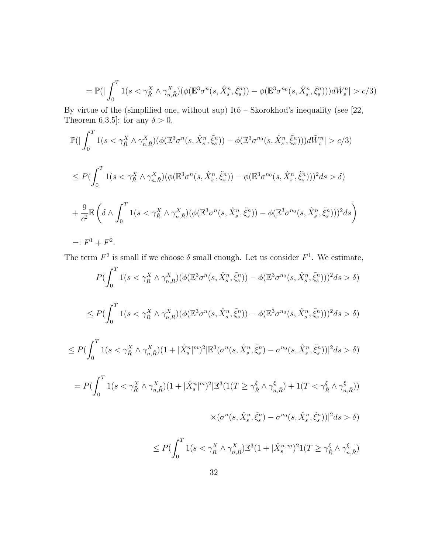$$
= \mathbb{P}\left(|\int_0^T \mathbb{1}(s < \gamma_{\tilde{R}}^X \wedge \gamma_{n,\tilde{R}}^X)(\phi(\mathbb{E}^3 \sigma^n(s, \hat{X}_s^n, \tilde{\xi}_s^n)) - \phi(\mathbb{E}^3 \sigma^{n_0}(s, \hat{X}_s^n, \tilde{\xi}_s^n)))d\tilde{W}_s^n| > c/3\right)
$$

By virtue of the (simplified one, without sup) Itô – Skorokhod's inequality (see  $[22,$ Theorem 6.3.5]: for any  $\delta > 0$ ,

$$
\mathbb{P}\left(|\int_{0}^{T} 1(s < \gamma_{\tilde{R}}^{X} \wedge \gamma_{n,\tilde{R}}^{X}) (\phi(\mathbb{E}^{3} \sigma^{n}(s, \hat{X}_{s}^{n}, \tilde{\xi}_{s}^{n})) - \phi(\mathbb{E}^{3} \sigma^{n_{0}}(s, \hat{X}_{s}^{n}, \tilde{\xi}_{s}^{n}))) d\tilde{W}_{s}^{n} | > c/3 \right)
$$
\n
$$
\leq P\left(\int_{0}^{T} 1(s < \gamma_{\tilde{R}}^{X} \wedge \gamma_{n,\tilde{R}}^{X}) (\phi(\mathbb{E}^{3} \sigma^{n}(s, \hat{X}_{s}^{n}, \tilde{\xi}_{s}^{n})) - \phi(\mathbb{E}^{3} \sigma^{n_{0}}(s, \hat{X}_{s}^{n}, \tilde{\xi}_{s}^{n})) )^{2} ds > \delta \right)
$$
\n
$$
+ \frac{9}{c^{2}} \mathbb{E}\left(\delta \wedge \int_{0}^{T} 1(s < \gamma_{\tilde{R}}^{X} \wedge \gamma_{n,\tilde{R}}^{X}) (\phi(\mathbb{E}^{3} \sigma^{n}(s, \hat{X}_{s}^{n}, \tilde{\xi}_{s}^{n})) - \phi(\mathbb{E}^{3} \sigma^{n_{0}}(s, \hat{X}_{s}^{n}, \tilde{\xi}_{s}^{n})) )^{2} ds \right)
$$
\n
$$
=: F^{1} + F^{2}.
$$

The term  $F^2$  is small if we choose  $\delta$  small enough. Let us consider  $F^1$ . We estimate,

$$
P\left(\int_0^T \mathbf{1}(s < \gamma_{\tilde{R}}^X \wedge \gamma_{n,\tilde{R}}^X)(\phi(\mathbb{E}^3 \sigma^n(s, \hat{X}_s^n, \tilde{\xi}_s^n)) - \phi(\mathbb{E}^3 \sigma^{n_0}(s, \hat{X}_s^n, \tilde{\xi}_s^n)))^2 ds > \delta\right)
$$
\n
$$
\leq P\left(\int_0^T \mathbf{1}(s < \gamma_{\tilde{R}}^X \wedge \gamma_{n,\tilde{R}}^X)(\phi(\mathbb{E}^3 \sigma^n(s, \hat{X}_s^n, \tilde{\xi}_s^n)) - \phi(\mathbb{E}^3 \sigma^{n_0}(s, \hat{X}_s^n, \tilde{\xi}_s^n)))^2 ds > \delta\right)
$$

$$
\leq P(\int_0^T 1(s<\gamma_{\tilde{R}}^X \wedge \gamma_{n,\tilde{R}}^X)(1+|\hat{X}_s^n|^m)^2|\mathbb{E}^3(\sigma^n(s,\hat{X}_s^n,\tilde{\xi}_s^n)-\sigma^{n_0}(s,\hat{X}_s^n,\tilde{\xi}_s^n))|^2ds > \delta)
$$

$$
=P\big(\int_0^T 1\big(s<\gamma_{\tilde{R}}^X\wedge \gamma_{n,\tilde{R}}^X\big)(1+|\hat{X}_s^n|^m)^2|\mathbb{E}^3(1(T\geq \gamma_{\tilde{R}}^{\xi}\wedge \gamma_{n,\tilde{R}}^{\xi})+1(T<\gamma_{\tilde{R}}^{\xi}\wedge \gamma_{n,\tilde{R}}^{\xi}))
$$

$$
\times (\sigma^n(s,\hat{X}^n_s,\tilde{\xi}^n_s)-\sigma^{n_0}(s,\hat{X}^n_s,\tilde{\xi}^n_s))|^2ds > \delta)
$$

$$
\leq P(\int_0^T 1(s<\gamma^X_{\tilde{R}}\wedge \gamma^X_{n,\tilde{R}})\mathbb{E}^3(1+|\hat{X}^n_s|^m)^21(T\geq \gamma^{\xi}_{\tilde{R}}\wedge \gamma^{\xi}_{n,\tilde{R}})\\
$$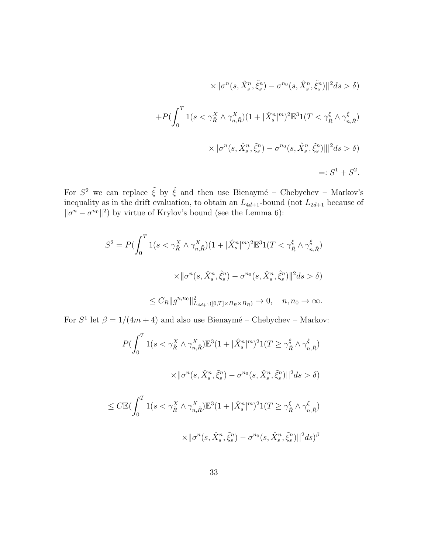$$
\times ||\sigma^n(s, \hat{X}_s^n, \tilde{\xi}_s^n) - \sigma^{n_0}(s, \hat{X}_s^n, \tilde{\xi}_s^n)||^2 ds > \delta)
$$
  
+
$$
P(\int_0^T 1(s < \gamma_{\tilde{R}}^X \wedge \gamma_{n,\tilde{R}}^X)(1 + |\hat{X}_s^n|^m)^2 \mathbb{E}^3 1(T < \gamma_{\tilde{R}}^{\xi} \wedge \gamma_{n,\tilde{R}}^{\xi})
$$
  

$$
\times ||\sigma^n(s, \hat{X}_s^n, \tilde{\xi}_s^n) - \sigma^{n_0}(s, \hat{X}_s^n, \tilde{\xi}_s^n)||^2 ds > \delta)
$$
  
=:  $S^1 + S^2$ .

For  $S^2$  we can replace  $\tilde{\xi}$  by  $\hat{\xi}$  and then use Bienaymé – Chebychev – Markov's inequality as in the drift evaluation, to obtain an  $L_{4d+1}$ -bound (not  $L_{2d+1}$  because of  $\|\sigma^{n} - \sigma^{n_0}\|^2$  by virtue of Krylov's bound (see the Lemma 6):

$$
S^{2} = P\left(\int_{0}^{T} 1(s < \gamma_{\tilde{R}}^{X} \wedge \gamma_{n,\tilde{R}}^{X})(1 + |\hat{X}_{s}^{n}|^{m})^{2} \mathbb{E}^{3}1(T < \gamma_{\tilde{R}}^{\xi} \wedge \gamma_{n,\tilde{R}}^{\xi})\right)
$$
\n
$$
\times \|\sigma^{n}(s, \hat{X}_{s}^{n}, \hat{\xi}_{s}^{n}) - \sigma^{n_{0}}(s, \hat{X}_{s}^{n}, \hat{\xi}_{s}^{n})\|^{2} ds > \delta\right)
$$
\n
$$
\leq C_{R} \|g^{n,n_{0}}\|_{L_{4d+1}([0,T] \times B_{R} \times B_{R})}^{2} \to 0, \quad n, n_{0} \to \infty.
$$

For  $S^1$  let  $\beta = 1/(4m+4)$  and also use Bienaymé – Chebychev – Markov:

$$
P\left(\int_0^T \mathbf{1}(s < \gamma_{\tilde{R}}^X \wedge \gamma_{n,\tilde{R}}^X)\mathbb{E}^3(1+|\hat{X}_s^n|^m)^2\mathbf{1}(T \geq \gamma_{\tilde{R}}^{\xi} \wedge \gamma_{n,\tilde{R}}^{\xi})\right)
$$
\n
$$
\times \|\sigma^n(s, \hat{X}_s^n, \tilde{\xi}_s^n) - \sigma^{n_0}(s, \hat{X}_s^n, \tilde{\xi}_s^n)\|^2 ds > \delta)
$$
\n
$$
\leq C \mathbb{E}\left(\int_0^T \mathbf{1}(s < \gamma_{\tilde{R}}^X \wedge \gamma_{n,\tilde{R}}^X)\mathbb{E}^3(1+|\hat{X}_s^n|^m)^2\mathbf{1}(T \geq \gamma_{\tilde{R}}^{\xi} \wedge \gamma_{n,\tilde{R}}^{\xi})\right)
$$
\n
$$
\times \|\sigma^n(s, \hat{X}_s^n, \tilde{\xi}_s^n) - \sigma^{n_0}(s, \hat{X}_s^n, \tilde{\xi}_s^n)\|^2 ds)^{\beta}
$$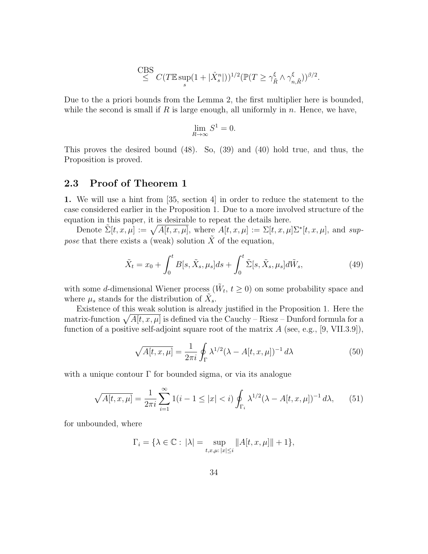$$
\overset{\text{CBS}}{\leq} C(T\mathbb{E}\sup_s(1+|\hat{X}^n_s|))^{1/2}(\mathbb{P}(T\geq \gamma_{\tilde{R}}^{\xi}\wedge \gamma_{n,\tilde{R}}^{\xi}))^{\beta/2}.
$$

Due to the a priori bounds from the Lemma 2, the first multiplier here is bounded, while the second is small if R is large enough, all uniformly in  $n$ . Hence, we have,

$$
\lim_{R \to \infty} S^1 = 0.
$$

This proves the desired bound (48). So, (39) and (40) hold true, and thus, the Proposition is proved.

## 2.3 Proof of Theorem 1

1. We will use a hint from [35, section 4] in order to reduce the statement to the case considered earlier in the Proposition 1. Due to a more involved structure of the equation in this paper, it is desirable to repeat the details here.

Denote  $\tilde{\Sigma}[t, x, \mu] := \sqrt{A[t, x, \mu]}$ , where  $A[t, x, \mu] := \Sigma[t, x, \mu] \Sigma^*[t, x, \mu]$ , and suppose that there exists a (weak) solution  $\tilde{X}$  of the equation,

$$
\tilde{X}_t = x_0 + \int_0^t B[s, \tilde{X}_s, \mu_s]ds + \int_0^t \tilde{\Sigma}[s, \tilde{X}_s, \mu_s]d\tilde{W}_s, \tag{49}
$$

with some d-dimensional Wiener process  $(\tilde{W}_t, t \geq 0)$  on some probability space and where  $\mu_s$  stands for the distribution of  $\tilde{X}_s$ .

Existence of this weak solution is already justified in the Proposition 1. Here the matrix-function  $\sqrt{A[t, x, \mu]}$  is defined via the Cauchy – Riesz – Dunford formula for a function of a positive self-adjoint square root of the matrix  $A$  (see, e.g., [9, VII.3.9]),

$$
\sqrt{A[t, x, \mu]} = \frac{1}{2\pi i} \oint_{\Gamma} \lambda^{1/2} (\lambda - A[t, x, \mu])^{-1} d\lambda \tag{50}
$$

with a unique contour  $\Gamma$  for bounded sigma, or via its analogue

$$
\sqrt{A[t, x, \mu]} = \frac{1}{2\pi i} \sum_{i=1}^{\infty} 1(i - 1 \le |x| < i) \oint_{\Gamma_i} \lambda^{1/2} (\lambda - A[t, x, \mu])^{-1} d\lambda,\tag{51}
$$

for unbounded, where

$$
\Gamma_i = \{ \lambda \in \mathbb{C} : \, |\lambda| = \sup_{t,x,\mu: \, |x| \leq i} \|A[t,x,\mu]\| + 1 \},
$$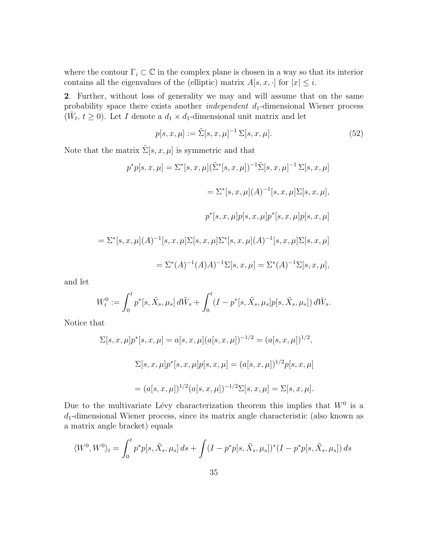where the contour  $\Gamma_i \subset \mathbb{C}$  in the complex plane is chosen in a way so that its interior contains all the eigenvalues of the (elliptic) matrix  $A[s, x, \cdot]$  for  $|x| \leq i$ .

2. Further, without loss of generality we may and will assume that on the same probability space there exists another *independent*  $d_1$ -dimensional Wiener process  $(\bar{W}_t, t \geq 0)$ . Let I denote a  $d_1 \times d_1$ -dimensional unit matrix and let

$$
p[s, x, \mu] := \tilde{\Sigma}[s, x, \mu]^{-1} \Sigma[s, x, \mu].
$$
 (52)

Note that the matrix  $\tilde{\Sigma}[s, x, \mu]$  is symmetric and that

 $p^*p[s, x, \mu] = \Sigma^*[s, x, \mu](\tilde{\Sigma}^*[s, x, \mu])^{-1}\tilde{\Sigma}[s, x, \mu]^{-1}\Sigma[s, x, \mu]$  $=\Sigma^*[s, x, \mu](A)^{-1}[s, x, \mu]\Sigma[s, x, \mu],$  $p^*[s, x, \mu] p[s, x, \mu] p^*[s, x, \mu] p[s, x, \mu]$  $=\Sigma^*[s, x, \mu](A)^{-1}[s, x, \mu]\Sigma[s, x, \mu]\Sigma^*[s, x, \mu](A)^{-1}[s, x, \mu]\Sigma[s, x, \mu]$  $=\Sigma^*(A)^{-1}(A)A)^{-1}\Sigma[s, x, \mu]=\Sigma^*(A)^{-1}\Sigma[s, x, \mu],$ 

and let

$$
W_t^0 := \int_0^t p^*[s, \tilde{X}_s, \mu_s] d\tilde{W}_s + \int_0^t (I - p^*[s, \tilde{X}_s, \mu_s] p[s, \tilde{X}_s, \mu_s]) d\bar{W}_s.
$$

Notice that

$$
\Sigma[s, x, \mu]p^*[s, x, \mu] = a[s, x, \mu](a[s, x, \mu])^{-1/2} = (a[s, x, \mu])^{1/2},
$$
  

$$
\Sigma[s, x, \mu]p^*[s, x, \mu]p[s, x, \mu] = (a[s, x, \mu])^{1/2}p[s, x, \mu]
$$
  

$$
= (a[s, x, \mu])^{1/2}(a[s, x, \mu])^{-1/2}\Sigma[s, x, \mu] = \Sigma[s, x, \mu].
$$

Due to the multivariate Lévy characterization theorem this implies that  $W^0$  is a  $d_1$ -dimensional Wiener process, since its matrix angle characteristic (also known as a matrix angle bracket) equals

$$
\langle W^{0}, W^{0} \rangle_{t} = \int_{0}^{t} p^{*} p[s, \tilde{X}_{s}, \mu_{s}] ds + \int (I - p^{*} p[s, \tilde{X}_{s}, \mu_{s}])^{*} (I - p^{*} p[s, \tilde{X}_{s}, \mu_{s}]) ds
$$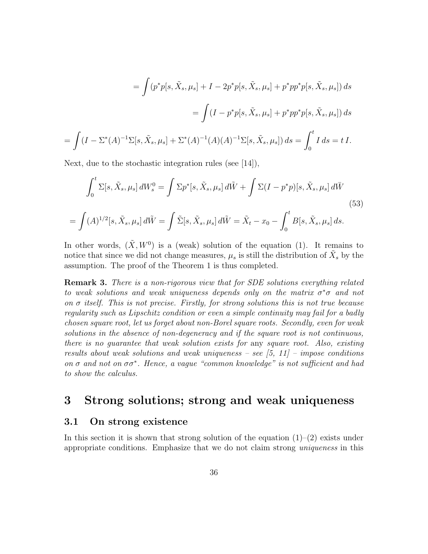$$
= \int (p^*p[s, \tilde{X}_s, \mu_s] + I - 2p^*p[s, \tilde{X}_s, \mu_s] + p^*pp^*p[s, \tilde{X}_s, \mu_s]) ds
$$
  

$$
= \int (I - p^*p[s, \tilde{X}_s, \mu_s] + p^*pp^*p[s, \tilde{X}_s, \mu_s]) ds
$$
  

$$
\int (I - \Sigma^*(A)^{-1}\Sigma[s, \tilde{X}_s, \mu_s] + \Sigma^*(A)^{-1}(A)(A)^{-1}\Sigma[s, \tilde{X}_s, \mu_s]) ds = \int_0^t I ds = t I.
$$

Next, due to the stochastic integration rules (see [14]),

=

$$
\int_0^t \Sigma[s, \tilde{X}_s, \mu_s] dW_s^0 = \int \Sigma p^*[s, \tilde{X}_s, \mu_s] d\tilde{W} + \int \Sigma(I - p^*p)[s, \tilde{X}_s, \mu_s] d\tilde{W}
$$
\n
$$
= \int (A)^{1/2}[s, \tilde{X}_s, \mu_s] d\tilde{W} = \int \tilde{\Sigma}[s, \tilde{X}_s, \mu_s] d\tilde{W} = \tilde{X}_t - x_0 - \int_0^t B[s, \tilde{X}_s, \mu_s] ds.
$$
\n(53)

In other words,  $(\tilde{X}, W^0)$  is a (weak) solution of the equation (1). It remains to notice that since we did not change measures,  $\mu_s$  is still the distribution of  $\tilde{X}_s$  by the assumption. The proof of the Theorem 1 is thus completed.

**Remark 3.** There is a non-rigorous view that for SDE solutions everything related to weak solutions and weak uniqueness depends only on the matrix  $\sigma^* \sigma$  and not on  $\sigma$  itself. This is not precise. Firstly, for strong solutions this is not true because regularity such as Lipschitz condition or even a simple continuity may fail for a badly chosen square root, let us forget about non-Borel square roots. Secondly, even for weak solutions in the absence of non-degeneracy and if the square root is not continuous, there is no guarantee that weak solution exists for any square root. Also, existing results about weak solutions and weak uniqueness – see  $(5, 11)$  – impose conditions on  $\sigma$  and not on  $\sigma\sigma^*$ . Hence, a vague "common knowledge" is not sufficient and had to show the calculus.

## 3 Strong solutions; strong and weak uniqueness

### 3.1 On strong existence

In this section it is shown that strong solution of the equation  $(1)-(2)$  exists under appropriate conditions. Emphasize that we do not claim strong uniqueness in this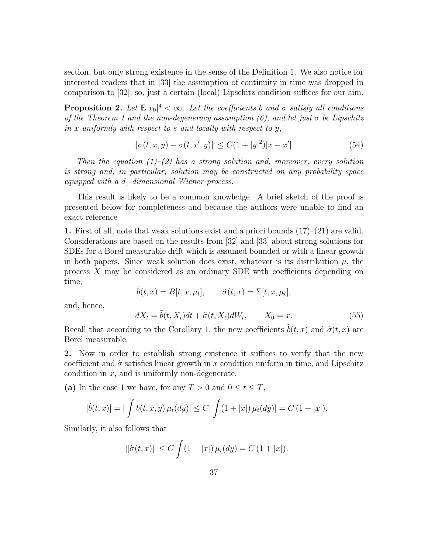section, but only strong existence in the sense of the Definition 1. We also notice for interested readers that in [33] the assumption of continuity in time was dropped in comparison to [32]; so, just a certain (local) Lipschitz condition suffices for our aim.

**Proposition 2.** Let  $\mathbb{E}|x_0|^4 < \infty$ . Let the coefficients b and  $\sigma$  satisfy all conditions of the Theorem 1 and the non-degeneracy assumption (6), and let just  $\sigma$  be Lipschitz in x uniformly with respect to s and locally with respect to  $y$ .

$$
\|\sigma(t, x, y) - \sigma(t, x', y)\| \le C(1 + |y|^2)|x - x'|.
$$
\n(54)

Then the equation  $(1)$ – $(2)$  has a strong solution and, moreover, every solution is strong and, in particular, solution may be constructed on any probability space equipped with a  $d_1$ -dimensional Wiener process.

This result is likely to be a common knowledge. A brief sketch of the proof is presented below for completeness and because the authors were unable to find an exact reference

1. First of all, note that weak solutions exist and a priori bounds  $(17)-(21)$  are valid. Considerations are based on the results from [32] and [33] about strong solutions for SDEs for a Borel measurable drift which is assumed bounded or with a linear growth in both papers. Since weak solution does exist, whatever is its distribution  $\mu$ , the process X may be considered as an ordinary SDE with coefficients depending on time,

$$
\tilde{b}(t,x) = B[t,x,\mu_t], \qquad \tilde{\sigma}(t,x) = \Sigma[t,x,\mu_t],
$$

and, hence,

$$
dX_t = \tilde{b}(t, X_t)dt + \tilde{\sigma}(t, X_t)dW_t, \qquad X_0 = x.
$$
\n(55)

Recall that according to the Corollary 1, the new coefficients  $\tilde{b}(t, x)$  and  $\tilde{\sigma}(t, x)$  are Borel measurable.

2. Now in order to establish strong existence it suffices to verify that the new coefficient and  $\tilde{\sigma}$  satisfies linear growth in x condition uniform in time, and Lipschitz condition in  $x$ , and is uniformly non-degenerate.

(a) In the case 1 we have, for any  $T > 0$  and  $0 \le t \le T$ ,

$$
|\tilde{b}(t,x)| = |\int b(t,x,y) \,\mu_t(dy)| \leq C|\int (1+|x|) \,\mu_t(dy)| = C(1+|x|).
$$

Similarly, it also follows that

$$
\|\tilde{\sigma}(t,x)\| \le C \int (1+|x|) \,\mu_t(dy) = C (1+|x|).
$$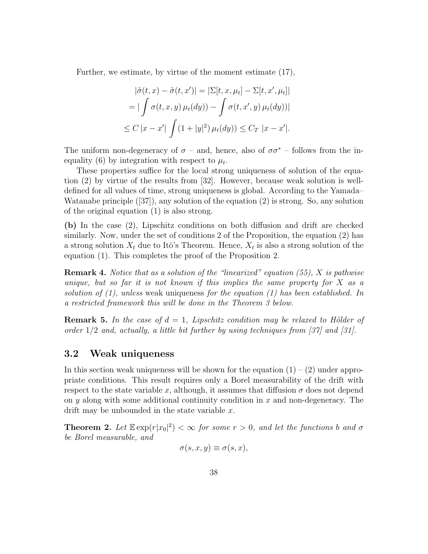Further, we estimate, by virtue of the moment estimate (17),

$$
|\tilde{\sigma}(t, x) - \tilde{\sigma}(t, x')| = |\Sigma[t, x, \mu_t] - \Sigma[t, x', \mu_t]|
$$
  
= 
$$
|\int \sigma(t, x, y) \mu_t(dy)) - \int \sigma(t, x', y) \mu_t(dy))|
$$
  

$$
\leq C |x - x'| \int (1 + |y|^2) \mu_t(dy)) \leq C_T |x - x'|.
$$

The uniform non-degeneracy of  $\sigma$  – and, hence, also of  $\sigma \sigma^*$  – follows from the inequality (6) by integration with respect to  $\mu_t$ .

These properties suffice for the local strong uniqueness of solution of the equation (2) by virtue of the results from [32]. However, because weak solution is welldefined for all values of time, strong uniqueness is global. According to the Yamada– Watanabe principle  $([37])$ , any solution of the equation  $(2)$  is strong. So, any solution of the original equation (1) is also strong.

(b) In the case (2), Lipschitz conditions on both diffusion and drift are checked similarly. Now, under the set of conditions 2 of the Proposition, the equation (2) has a strong solution  $X_t$  due to Itô's Theorem. Hence,  $X_t$  is also a strong solution of the equation (1). This completes the proof of the Proposition 2.

**Remark 4.** Notice that as a solution of the "linearized" equation  $(55)$ , X is pathwise unique, but so far it is not known if this implies the same property for  $X$  as a solution of  $(1)$ , unless weak uniqueness for the equation  $(1)$  has been established. In a restricted framework this will be done in the Theorem 3 below.

**Remark 5.** In the case of  $d = 1$ , Lipschitz condition may be relaxed to Hölder of order  $1/2$  and, actually, a little bit further by using techniques from [37] and [31].

## 3.2 Weak uniqueness

In this section weak uniqueness will be shown for the equation  $(1) - (2)$  under appropriate conditions. This result requires only a Borel measurability of the drift with respect to the state variable x, although, it assumes that diffusion  $\sigma$  does not depend on  $y$  along with some additional continuity condition in  $x$  and non-degeneracy. The drift may be unbounded in the state variable  $x$ .

**Theorem 2.** Let  $\mathbb{E} \exp(r|x_0|^2) < \infty$  for some  $r > 0$ , and let the functions b and  $\sigma$ be Borel measurable, and

$$
\sigma(s, x, y) \equiv \sigma(s, x),
$$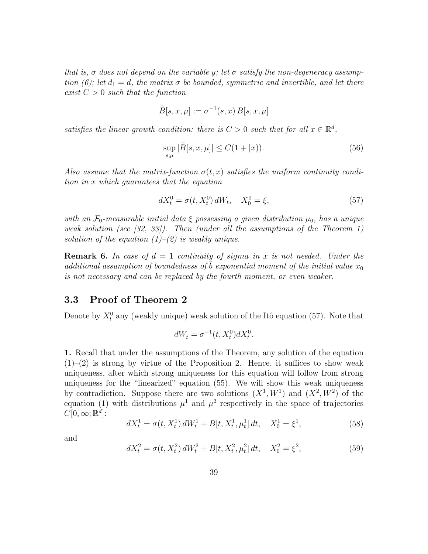that is,  $\sigma$  does not depend on the variable y; let  $\sigma$  satisfy the non-degeneracy assumption (6); let  $d_1 = d$ , the matrix  $\sigma$  be bounded, symmetric and invertible, and let there exist  $C > 0$  such that the function

$$
\tilde{B}[s, x, \mu] := \sigma^{-1}(s, x) B[s, x, \mu]
$$

satisfies the linear growth condition: there is  $C > 0$  such that for all  $x \in \mathbb{R}^d$ ,

$$
\sup_{s,\mu} |\tilde{B}[s,x,\mu]| \le C(1+|x)).
$$
\n(56)

Also assume that the matrix-function  $\sigma(t,x)$  satisfies the uniform continuity condition in x which guarantees that the equation

$$
dX_t^0 = \sigma(t, X_t^0) dW_t, \quad X_0^0 = \xi,
$$
\n(57)

with an  $\mathcal{F}_0$ -measurable initial data  $\xi$  possessing a given distribution  $\mu_0$ , has a unique weak solution (see [32, 33]). Then (under all the assumptions of the Theorem 1) solution of the equation  $(1)$ – $(2)$  is weakly unique.

**Remark 6.** In case of  $d = 1$  continuity of sigma in x is not needed. Under the additional assumption of boundedness of b exponential moment of the initial value  $x_0$ is not necessary and can be replaced by the fourth moment, or even weaker.

## 3.3 Proof of Theorem 2

Denote by  $X_t^0$  any (weakly unique) weak solution of the Itô equation (57). Note that

$$
dW_t = \sigma^{-1}(t, X_t^0) dX_t^0.
$$

1. Recall that under the assumptions of the Theorem, any solution of the equation  $(1)$ – $(2)$  is strong by virtue of the Proposition 2. Hence, it suffices to show weak uniqueness, after which strong uniqueness for this equation will follow from strong uniqueness for the "linearized" equation (55). We will show this weak uniqueness by contradiction. Suppose there are two solutions  $(X^1, W^1)$  and  $(X^2, W^2)$  of the equation (1) with distributions  $\mu^1$  and  $\mu^2$  respectively in the space of trajectories  $C[0,\infty;\mathbb{R}^d]$ :

$$
dX_t^1 = \sigma(t, X_t^1) dW_t^1 + B[t, X_t^1, \mu_t^1] dt, \quad X_0^1 = \xi^1,
$$
\n(58)

and

$$
dX_t^2 = \sigma(t, X_t^2) dW_t^2 + B[t, X_t^2, \mu_t^2] dt, \quad X_0^2 = \xi^2,
$$
\n(59)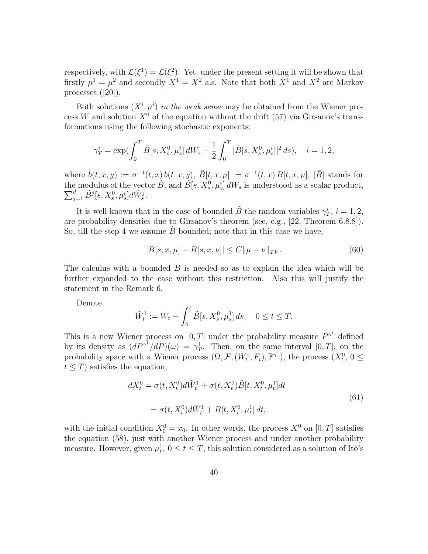respectively, with  $\mathcal{L}(\xi^1) = \mathcal{L}(\xi^2)$ . Yet, under the present setting it will be shown that firstly  $\mu^1 = \mu^2$  and secondly  $X^1 = X^2$  a.s. Note that both  $X^1$  and  $X^2$  are Markov processes ([20]).

Both solutions  $(X^i, \mu^i)$  in the weak sense may be obtained from the Wiener process W and solution  $X^0$  of the equation without the drift (57) via Girsanov's transformations using the following stochastic exponents:

$$
\gamma_T^i = \exp\left(\int_0^T \tilde{B}[s, X_s^0, \mu_s^i] dW_s - \frac{1}{2} \int_0^T |\tilde{B}[s, X_s^0, \mu_s^i]|^2 ds\right), \quad i = 1, 2,
$$

where  $\tilde{b}(t, x, y) := \sigma^{-1}(t, x) b(t, x, y), \ \tilde{B}[t, x, \mu] := \sigma^{-1}(t, x) B[t, x, \mu], |\tilde{B}|$  stands for the modulus of the vector  $\tilde{B}$ , and  $\tilde{B}[s, X_s^0, \mu_s^i] dW_s$  is understood as a scalar product,  $\sum_{j=1}^d \tilde{B}^j[s, X_s^0, \mu_s^i]d\tilde{W}_s^j.$ 

It is well-known that in the case of bounded  $\tilde{B}$  the random variables  $\gamma_T^i$ ,  $i = 1, 2$ , are probability densities due to Girsanov's theorem (see, e.g., [22, Theorem 6.8.8]). So, till the step 4 we assume  $B$  bounded; note that in this case we have,

$$
|B[s, x, \mu] - B[s, x, \nu]| \le C \|\mu - \nu\|_{TV}.
$$
\n(60)

The calculus with a bounded  $B$  is needed so as to explain the idea which will be further expanded to the case without this restriction. Also this will justify the statement in the Remark 6.

Denote

$$
\tilde{W}_t^1 := W_t - \int_0^t \tilde{B}[s, X_s^0, \mu_s^1] \, ds, \quad 0 \le t \le T.
$$

This is a new Wiener process on  $[0, T]$  under the probability measure  $P^{\gamma^1}$  defined by its density as  $(dP^{\gamma^1}/dP)(\omega) = \gamma_T^1$ . Then, on the same interval [0, T], on the probability space with a Wiener process  $(\Omega, \mathcal{F}, (\tilde{W}_t^1, F_t), \mathbb{P}^{\gamma^1})$ , the process  $(X_t^0, 0 \le$  $t \leq T$ ) satisfies the equation,

$$
dX_t^0 = \sigma(t, X_t^0) d\tilde{W}_t^1 + \sigma(t, X_t^0) \tilde{B}[t, X_t^0, \mu_t^1] dt
$$
  
=  $\sigma(t, X_t^0) d\tilde{W}_t^1 + B[t, X_t^0, \mu_t^1] dt,$  (61)

with the initial condition  $X_0^0 = x_0$ . In other words, the process  $X^0$  on  $[0, T]$  satisfies the equation (58), just with another Wiener process and under another probability measure. However, given  $\mu_t^1$ ,  $0 \le t \le T$ , this solution considered as a solution of Itô's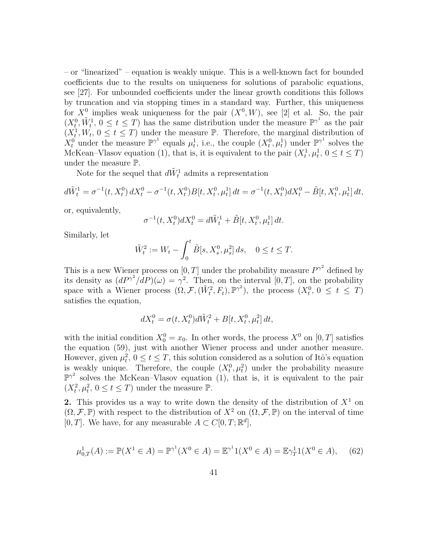– or "linearized" – equation is weakly unique. This is a well-known fact for bounded coefficients due to the results on uniqueness for solutions of parabolic equations, see [27]. For unbounded coefficients under the linear growth conditions this follows by truncation and via stopping times in a standard way. Further, this uniqueness for  $X^0$  implies weak uniqueness for the pair  $(X^0, W)$ , see [2] et al. So, the pair  $(X_t^0, \tilde{W}_t^1, 0 \le t \le T)$  has the same distribution under the measure  $\mathbb{P}^{\gamma^1}$  as the pair  $(X_t^1, W_t, 0 \le t \le T)$  under the measure P. Therefore, the marginal distribution of  $X_t^0$  under the measure  $\mathbb{P}^{\gamma^1}$  equals  $\mu_t^1$ , i.e., the couple  $(X_t^0, \mu_t^1)$  under  $\mathbb{P}^{\gamma^1}$  solves the McKean–Vlasov equation (1), that is, it is equivalent to the pair  $(X_t^1, \mu_t^1, 0 \le t \le T)$ under the measure P.

Note for the sequel that  $d\tilde{W}^1_t$  admits a representation

$$
d\tilde{W}_t^1 = \sigma^{-1}(t, X_t^0) dX_t^0 - \sigma^{-1}(t, X_t^0) B[t, X_t^0, \mu_t^1] dt = \sigma^{-1}(t, X_t^0) dX_t^0 - \tilde{B}[t, X_t^0, \mu_t^1] dt,
$$

or, equivalently,

$$
\sigma^{-1}(t, X_t^0)dX_t^0 = d\tilde{W}_t^1 + \tilde{B}[t, X_t^0, \mu_t^1] dt.
$$

Similarly, let

$$
\tilde{W}_t^2 := W_t - \int_0^t \tilde{B}[s, X_s^0, \mu_s^2] \, ds, \quad 0 \le t \le T.
$$

This is a new Wiener process on  $[0, T]$  under the probability measure  $P^{\gamma^2}$  defined by its density as  $(dP^{\gamma^2}/dP)(\omega) = \gamma^2$ . Then, on the interval [0, T], on the probability space with a Wiener process  $(\Omega, \mathcal{F}, (\tilde{W}_t^2, F_t), \mathbb{P}^{\gamma^2})$ , the process  $(X_t^0, 0 \le t \le T)$ satisfies the equation,

$$
dX_t^0 = \sigma(t, X_t^0) d\tilde{W}_t^2 + B[t, X_t^0, \mu_t^2] dt,
$$

with the initial condition  $X_0^0 = x_0$ . In other words, the process  $X^0$  on  $[0, T]$  satisfies the equation (59), just with another Wiener process and under another measure. However, given  $\mu_t^2$ ,  $0 \le t \le T$ , this solution considered as a solution of Itô's equation is weakly unique. Therefore, the couple  $(X_t^0, \mu_t^2)$  under the probability measure  $\mathbb{P}^{\gamma^2}$  solves the McKean–Vlasov equation (1), that is, it is equivalent to the pair  $(X_t^2, \mu_t^2, 0 \le t \le T)$  under the measure  $\mathbb{P}$ .

2. This provides us a way to write down the density of the distribution of  $X<sup>1</sup>$  on  $(\Omega, \mathcal{F}, \mathbb{P})$  with respect to the distribution of  $X^2$  on  $(\Omega, \mathcal{F}, \mathbb{P})$  on the interval of time [0, T]. We have, for any measurable  $A \subset C[0, T; \mathbb{R}^d]$ ,

$$
\mu_{0,T}^1(A) := \mathbb{P}(X^1 \in A) = \mathbb{P}^{\gamma^1}(X^0 \in A) = \mathbb{E}^{\gamma^1}1(X^0 \in A) = \mathbb{E}^{\gamma^1}1(X^0 \in A), \tag{62}
$$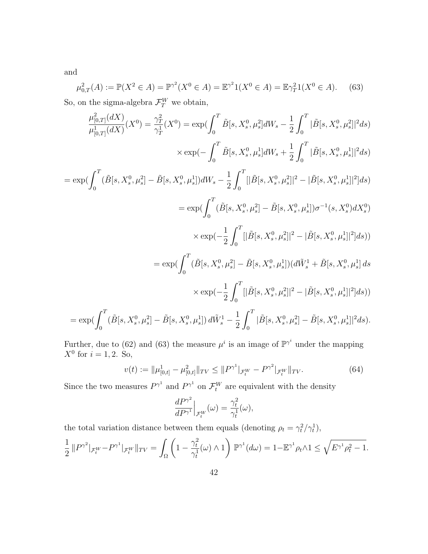and

$$
\mu_{0,T}^2(A) := \mathbb{P}(X^2 \in A) = \mathbb{P}^{\gamma^2}(X^0 \in A) = \mathbb{E}^{\gamma^2}1(X^0 \in A) = \mathbb{E}^{\gamma^2}1(X^0 \in A). \tag{63}
$$
  
So, on the sigma-algebra  $\mathcal{F}^W_T$  we obtain,

$$
\frac{\mu_{[0,T]}^{2}(dX)}{\mu_{[0,T]}^{1}(dX)}(X^{0}) = \frac{\gamma_{T}^{2}}{\gamma_{T}^{1}}(X^{0}) = \exp(\int_{0}^{T} \tilde{B}[s, X_{s}^{0}, \mu_{s}^{2}]dW_{s} - \frac{1}{2} \int_{0}^{T} |\tilde{B}[s, X_{s}^{0}, \mu_{s}^{2}]|^{2} ds)
$$
  
\n
$$
\times \exp(-\int_{0}^{T} \tilde{B}[s, X_{s}^{0}, \mu_{s}^{1}]dW_{s} + \frac{1}{2} \int_{0}^{T} |\tilde{B}[s, X_{s}^{0}, \mu_{s}^{1}]|^{2} ds)
$$
  
\n
$$
= \exp(\int_{0}^{T} (\tilde{B}[s, X_{s}^{0}, \mu_{s}^{2}] - \tilde{B}[s, X_{s}^{0}, \mu_{s}^{1}])dW_{s} - \frac{1}{2} \int_{0}^{T} [|\tilde{B}[s, X_{s}^{0}, \mu_{s}^{2}]|^{2} - |\tilde{B}[s, X_{s}^{0}, \mu_{s}^{1}]|^{2}] ds)
$$
  
\n
$$
= \exp(\int_{0}^{T} (\tilde{B}[s, X_{s}^{0}, \mu_{s}^{2}] - \tilde{B}[s, X_{s}^{0}, \mu_{s}^{1}])\sigma^{-1}(s, X_{s}^{0})dX_{s}^{0})
$$
  
\n
$$
\times \exp(-\frac{1}{2} \int_{0}^{T} [|\tilde{B}[s, X_{s}^{0}, \mu_{s}^{2}] - \tilde{B}[s, X_{s}^{0}, \mu_{s}^{1}]|^{2}] ds))
$$
  
\n
$$
= \exp(\int_{0}^{T} (\tilde{B}[s, X_{s}^{0}, \mu_{s}^{2}] - \tilde{B}[s, X_{s}^{0}, \mu_{s}^{1}]) (d\tilde{W}_{s}^{1} + \tilde{B}[s, X_{s}^{0}, \mu_{s}^{1}]|^{2}] ds)
$$
  
\n
$$
= \exp(\int_{0}^{T} (\tilde{B}[s, X_{s}^{0}, \mu_{s}^{2}] - \tilde{B}[s, X_{s}^{0}, \mu_{s}^{1}]) d\tilde{W}_{s}^{1} -
$$

Further, due to (62) and (63) the measure  $\mu^{i}$  is an image of  $\mathbb{P}^{\gamma^{i}}$  under the mapping  $X^0$  for  $i = 1, 2$ . So,

$$
v(t) := \|\mu_{[0,t]}^1 - \mu_{[0,t]}^2\|_{TV} \le \|P^{\gamma^1}|_{\mathcal{F}_t^W} - P^{\gamma^2}|_{\mathcal{F}_t^W}\|_{TV}.\tag{64}
$$

Since the two measures  $P^{\gamma^1}$  and  $P^{\gamma^1}$  on  $\mathcal{F}_t^W$  are equivalent with the density

$$
\frac{dP^{\gamma^2}}{dP^{\gamma^1}}\Big|_{\mathcal{F}_t^W}(\omega) = \frac{\gamma_t^2}{\gamma_t^1}(\omega),
$$

the total variation distance between them equals (denoting  $\rho_t = \gamma_t^2/\gamma_t^1$ ),

$$
\frac{1}{2} ||P^{\gamma^2}|_{\mathcal{F}_t^W} - P^{\gamma^1}|_{\mathcal{F}_t^W} ||_{TV} = \int_{\Omega} \left(1 - \frac{\gamma_t^2}{\gamma_t^1}(\omega) \wedge 1\right) \mathbb{P}^{\gamma^1}(d\omega) = 1 - \mathbb{E}^{\gamma^1} \rho_t \wedge 1 \le \sqrt{E^{\gamma^1} \rho_t^2 - 1}.
$$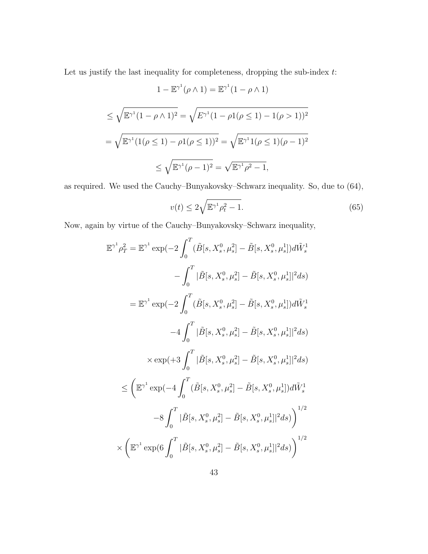Let us justify the last inequality for completeness, dropping the sub-index  $t$ :

$$
1 - \mathbb{E}^{\gamma^1}(\rho \wedge 1) = \mathbb{E}^{\gamma^1}(1 - \rho \wedge 1)
$$
  
\n
$$
\leq \sqrt{\mathbb{E}^{\gamma^1}(1 - \rho \wedge 1)^2} = \sqrt{E^{\gamma^1}(1 - \rho 1(\rho \leq 1) - 1(\rho > 1))^2}
$$
  
\n
$$
= \sqrt{\mathbb{E}^{\gamma^1}(1(\rho \leq 1) - \rho 1(\rho \leq 1))^2} = \sqrt{\mathbb{E}^{\gamma^1}1(\rho \leq 1)(\rho - 1)^2}
$$
  
\n
$$
\leq \sqrt{\mathbb{E}^{\gamma^1}(\rho - 1)^2} = \sqrt{\mathbb{E}^{\gamma^1} \rho^2 - 1},
$$

as required. We used the Cauchy–Bunyakovsky–Schwarz inequality. So, due to (64),

$$
v(t) \le 2\sqrt{\mathbb{E}^{\gamma^1}\rho_t^2 - 1}.
$$
\n(65)

Now, again by virtue of the Cauchy–Bunyakovsky–Schwarz inequality,

$$
\mathbb{E}^{\gamma^1} \rho_T^2 = \mathbb{E}^{\gamma^1} \exp\left(-2 \int_0^T (\tilde{B}[s, X_s^0, \mu_s^2] - \tilde{B}[s, X_s^0, \mu_s^1])d\tilde{W}_s^1 - \int_0^T |\tilde{B}[s, X_s^0, \mu_s^2] - \tilde{B}[s, X_s^0, \mu_s^1]|^2 ds\right)
$$
  
\n
$$
= \mathbb{E}^{\gamma^1} \exp\left(-2 \int_0^T (\tilde{B}[s, X_s^0, \mu_s^2] - \tilde{B}[s, X_s^0, \mu_s^1])d\tilde{W}_s^1 - 4 \int_0^T |\tilde{B}[s, X_s^0, \mu_s^2] - \tilde{B}[s, X_s^0, \mu_s^1]|^2 ds\right)
$$
  
\n
$$
\times \exp\left(+3 \int_0^T |\tilde{B}[s, X_s^0, \mu_s^2] - \tilde{B}[s, X_s^0, \mu_s^1]|^2 ds\right)
$$
  
\n
$$
\leq \left(\mathbb{E}^{\gamma^1} \exp\left(-4 \int_0^T (\tilde{B}[s, X_s^0, \mu_s^2] - \tilde{B}[s, X_s^0, \mu_s^1])d\tilde{W}_s^1 - 8 \int_0^T |\tilde{B}[s, X_s^0, \mu_s^2] - \tilde{B}[s, X_s^0, \mu_s^1]|^2 ds\right)\right)^{1/2}
$$
  
\n
$$
\times \left(\mathbb{E}^{\gamma^1} \exp\left(-\frac{\gamma^T}{2} |\tilde{B}[s, X_s^0, \mu_s^2] - \tilde{B}[s, X_s^0, \mu_s^1]|^2 ds\right)\right)^{1/2}
$$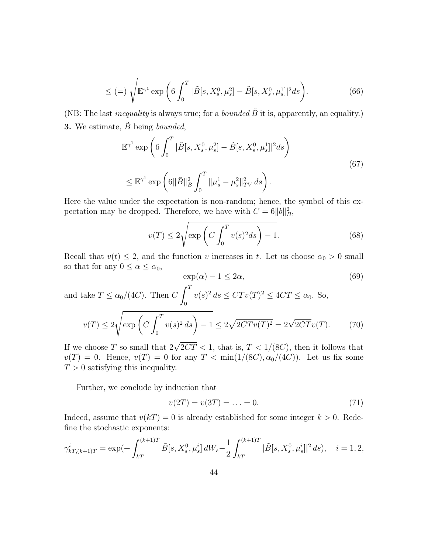$$
\leq (=)\sqrt{\mathbb{E}^{\gamma^1} \exp \left(6 \int_0^T |\tilde{B}[s, X_s^0, \mu_s^2] - \tilde{B}[s, X_s^0, \mu_s^1]|^2 ds\right)}. \tag{66}
$$

(NB: The last *inequality* is always true; for a *bounded*  $\tilde{B}$  it is, apparently, an equality.) **3.** We estimate,  $\tilde{B}$  being bounded,

$$
\mathbb{E}^{\gamma^1} \exp \left( 6 \int_0^T |\tilde{B}[s, X_s^0, \mu_s^2] - \tilde{B}[s, X_s^0, \mu_s^1]|^2 ds \right)
$$
  

$$
\leq \mathbb{E}^{\gamma^1} \exp \left( 6 \|\tilde{B}\|_B^2 \int_0^T \|\mu_s^1 - \mu_s^2\|_{TV}^2 ds \right).
$$
 (67)

Here the value under the expectation is non-random; hence, the symbol of this expectation may be dropped. Therefore, we have with  $C = 6||b||_B^2$ ,

$$
v(T) \le 2\sqrt{\exp\left(C\int_0^T v(s)^2 ds\right) - 1}.\tag{68}
$$

Recall that  $v(t) \leq 2$ , and the function v increases in t. Let us choose  $\alpha_0 > 0$  small so that for any  $0 \leq \alpha \leq \alpha_0$ ,

$$
\exp(\alpha) - 1 \le 2\alpha,\tag{69}
$$

and take  $T \le \alpha_0/(4C)$ . Then C  $\int_0^T$ 0  $v(s)^2 ds \leq C T v(T)^2 \leq 4CT \leq \alpha_0$ . So,  $v(T) \leq 2$  $\sqrt{\exp\left(C\int^{T}\right)}$  $\boldsymbol{0}$  $v(s)^2 ds$  - 1  $\leq 2\sqrt{2CTv(T)^2} = 2\sqrt{2CTv(T)}$ . (70)

If we choose T so small that  $2\sqrt{2CT} < 1$ , that is,  $T < 1/(8C)$ , then it follows that  $v(T) = 0$ . Hence,  $v(T) = 0$  for any  $T < \min(1/(8C), \alpha_0/(4C))$ . Let us fix some  $T > 0$  satisfying this inequality.

Further, we conclude by induction that

$$
v(2T) = v(3T) = \dots = 0.
$$
 (71)

Indeed, assume that  $v(kT) = 0$  is already established for some integer  $k > 0$ . Redefine the stochastic exponents:

$$
\gamma_{k}^{i}(\kappa+1)T} = \exp\left(+\int_{k}^{(k+1)T} \tilde{B}[s, X_s^0, \mu_s^i] dW_s - \frac{1}{2} \int_{k}^{(k+1)T} |\tilde{B}[s, X_s^0, \mu_s^i]|^2 ds\right), \quad i = 1, 2,
$$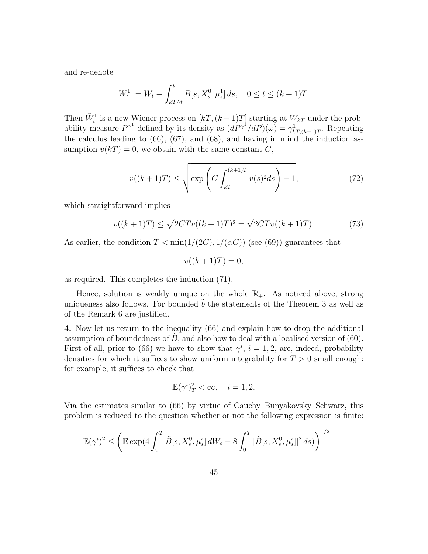and re-denote

$$
\tilde{W}_t^1 := W_t - \int_{kT \wedge t}^t \tilde{B}[s, X_s^0, \mu_s^1] \, ds, \quad 0 \le t \le (k+1)T.
$$

Then  $\tilde{W}_t^1$  is a new Wiener process on  $[kT,(k+1)T]$  starting at  $W_{kT}$  under the probability measure  $P^{\gamma^1}$  defined by its density as  $(dP^{\gamma^1}/dP)(\omega) = \gamma^1_{kT,(k+1)T}$ . Repeating the calculus leading to (66), (67), and (68), and having in mind the induction assumption  $v(kT) = 0$ , we obtain with the same constant C,

$$
v((k+1)T) \le \sqrt{\exp\left(C \int_{kT}^{(k+1)T} v(s)^2 ds\right) - 1},\tag{72}
$$

which straightforward implies

$$
v((k+1)T) \le \sqrt{2CTv((k+1)T)^2} = \sqrt{2CTv((k+1)T)}.
$$
 (73)

As earlier, the condition  $T < \min(1/(2C), 1/(\alpha C))$  (see (69)) guarantees that

$$
v((k+1)T) = 0,
$$

as required. This completes the induction (71).

Hence, solution is weakly unique on the whole  $\mathbb{R}_+$ . As noticed above, strong uniqueness also follows. For bounded  $b$  the statements of the Theorem 3 as well as of the Remark 6 are justified.

4. Now let us return to the inequality (66) and explain how to drop the additional assumption of boundedness of  $B$ , and also how to deal with a localised version of (60). First of all, prior to (66) we have to show that  $\gamma^i$ ,  $i = 1, 2$ , are, indeed, probability densities for which it suffices to show uniform integrability for  $T > 0$  small enough: for example, it suffices to check that

$$
\mathbb{E}(\gamma^i)_T^2 < \infty, \quad i = 1, 2.
$$

Via the estimates similar to (66) by virtue of Cauchy–Bunyakovsky–Schwarz, this problem is reduced to the question whether or not the following expression is finite:

$$
\mathbb{E}(\gamma^{i})^{2} \leq \left(\mathbb{E}\exp(4\int_{0}^{T} \tilde{B}[s, X_{s}^{0}, \mu_{s}^{i}] dW_{s} - 8\int_{0}^{T} |\tilde{B}[s, X_{s}^{0}, \mu_{s}^{i}]|^{2} ds)\right)^{1/2}
$$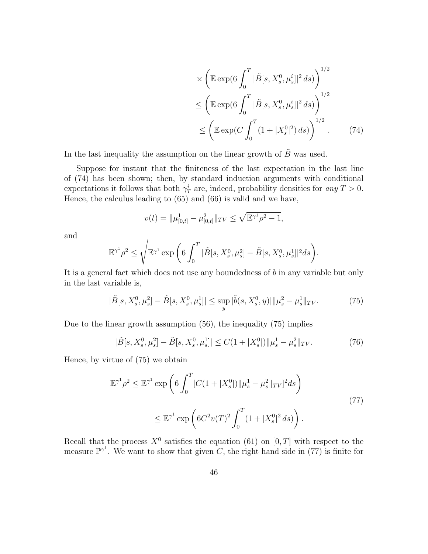$$
\times \left( \mathbb{E} \exp\left(6 \int_0^T |\tilde{B}[s, X_s^0, \mu_s^i]|^2 ds \right) \right)^{1/2} \n\le \left( \mathbb{E} \exp\left(6 \int_0^T |\tilde{B}[s, X_s^0, \mu_s^i]|^2 ds \right) \right)^{1/2} \n\le \left( \mathbb{E} \exp\left( C \int_0^T (1 + |X_s^0|^2) ds \right) \right)^{1/2} .
$$
\n(74)

.

In the last inequality the assumption on the linear growth of  $\tilde{B}$  was used.

Suppose for instant that the finiteness of the last expectation in the last line of (74) has been shown; then, by standard induction arguments with conditional expectations it follows that both  $\gamma_T^i$  are, indeed, probability densities for any  $T > 0$ . Hence, the calculus leading to (65) and (66) is valid and we have,

$$
v(t) = \|\mu_{[0,t]}^1 - \mu_{[0,t]}^2\|_{TV} \le \sqrt{\mathbb{E}^{\gamma^1} \rho^2 - 1},
$$

and

$$
\mathbb{E}^{\gamma^1} \rho^2 \le \sqrt{\mathbb{E}^{\gamma^1} \exp \left(6 \int_0^T |\tilde{B}[s, X^0_s, \mu^2_s] - \tilde{B}[s, X^0_s, \mu^1_s]|^2 ds\right)}
$$

It is a general fact which does not use any boundedness of b in any variable but only in the last variable is,

$$
|\tilde{B}[s, X_s^0, \mu_s^2] - \tilde{B}[s, X_s^0, \mu_s^1]| \le \sup_y |\tilde{b}(s, X_s^0, y)| ||\mu_s^2 - \mu_s^1||_{TV}.
$$
 (75)

Due to the linear growth assumption (56), the inequality (75) implies

$$
|\tilde{B}[s, X_s^0, \mu_s^2] - \tilde{B}[s, X_s^0, \mu_s^1]| \le C(1 + |X_s^0|) \|\mu_s^1 - \mu_s^2\|_{TV}.
$$
 (76)

Hence, by virtue of (75) we obtain

$$
\mathbb{E}^{\gamma^1} \rho^2 \le \mathbb{E}^{\gamma^1} \exp\left(6 \int_0^T [C(1+|X_s^0|) ||\mu_s^1 - \mu_s^2 ||_{TV}]^2 ds\right)
$$
  

$$
\le \mathbb{E}^{\gamma^1} \exp\left(6C^2 v(T)^2 \int_0^T (1+|X_s^0|^2 ds)\right).
$$
 (77)

Recall that the process  $X^0$  satisfies the equation (61) on [0, T] with respect to the measure  $\mathbb{P}^{\gamma^1}$ . We want to show that given C, the right hand side in (77) is finite for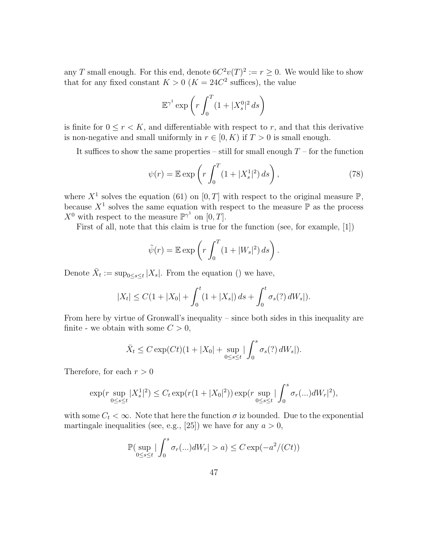any T small enough. For this end, denote  $6C^2v(T)^2 := r \geq 0$ . We would like to show that for any fixed constant  $K > 0$  ( $K = 24C<sup>2</sup>$  suffices), the value

$$
\mathbb{E}^{\gamma^1}\exp\left(r\int_0^T(1+|X^0_s|^2\,ds\right)
$$

is finite for  $0 \le r < K$ , and differentiable with respect to r, and that this derivative is non-negative and small uniformly in  $r \in [0, K)$  if  $T > 0$  is small enough.

It suffices to show the same properties – still for small enough  $T$  – for the function

$$
\psi(r) = \mathbb{E} \exp\left(r \int_0^T (1 + |X_s^1|^2) ds\right),\tag{78}
$$

where  $X^1$  solves the equation (61) on [0, T] with respect to the original measure  $\mathbb{P}$ , because  $X^1$  solves the same equation with respect to the measure  $\mathbb P$  as the process  $X^0$  with respect to the measure  $\mathbb{P}^{\gamma^1}$  on  $[0, T]$ .

First of all, note that this claim is true for the function (see, for example, [1])

$$
\tilde{\psi}(r) = \mathbb{E} \exp\left(r \int_0^T (1 + |W_s|^2) \, ds\right).
$$

Denote  $\bar{X}_t := \sup_{0 \le s \le t} |X_s|$ . From the equation () we have,

$$
|X_t| \leq C(1+|X_0|+\int_0^t (1+|X_s|)\,ds+\int_0^t \sigma_s(?)\,dW_s|).
$$

From here by virtue of Gronwall's inequality – since both sides in this inequality are finite - we obtain with some  $C > 0$ ,

$$
\bar{X}_t \le C \exp(Ct) (1 + |X_0| + \sup_{0 \le s \le t} |\int_0^s \sigma_s(?) dW_s|).
$$

Therefore, for each  $r > 0$ 

$$
\exp(r \sup_{0 \le s \le t} |X_s^1|^2) \le C_t \exp(r(1+|X_0|^2)) \exp(r \sup_{0 \le s \le t} |\int_0^s \sigma_r(\ldots)dW_r|^2),
$$

with some  $C_t < \infty$ . Note that here the function  $\sigma$  iz bounded. Due to the exponential martingale inequalities (see, e.g., [25]) we have for any  $a > 0$ ,

$$
\mathbb{P}\left(\sup_{0\leq s\leq t}|\int_0^s \sigma_r(\ldots)dW_r|>a\right)\leq C\exp(-a^2/(Ct))
$$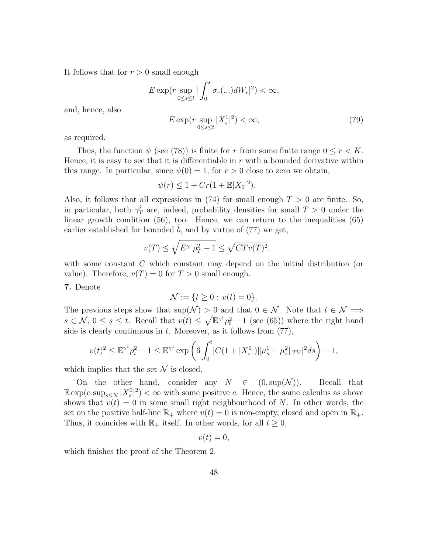It follows that for  $r > 0$  small enough

$$
E \exp(r \sup_{0 \le s \le t} |\int_0^s \sigma_r(\ldots)dW_r|^2) < \infty,
$$

and, hence, also

$$
E \exp\left(r \sup_{0 \le s \le t} |X_s^1|^2\right) < \infty,\tag{79}
$$

as required.

Thus, the function  $\psi$  (see (78)) is finite for r from some finite range  $0 \le r < K$ . Hence, it is easy to see that it is differentiable in  $r$  with a bounded derivative within this range. In particular, since  $\psi(0) = 1$ , for  $r > 0$  close to zero we obtain,

$$
\psi(r) \leq 1 + Cr(1 + \mathbb{E}|X_0|^2).
$$

Also, it follows that all expressions in (74) for small enough  $T > 0$  are finite. So, in particular, both  $\gamma_T^i$  are, indeed, probability densities for small  $T > 0$  under the linear growth condition (56), too. Hence, we can return to the inequalities (65) earlier established for bounded  $b$ , and by virtue of  $(77)$  we get,

$$
v(T) \le \sqrt{E^{\gamma^1} \rho_T^2 - 1} \le \sqrt{CTv(T)^2},
$$

with some constant C which constant may depend on the initial distribution (or value). Therefore,  $v(T) = 0$  for  $T > 0$  small enough.

#### 7. Denote

$$
\mathcal{N} := \{ t \ge 0 : v(t) = 0 \}.
$$

The previous steps show that  $\sup(\mathcal{N}) > 0$  and that  $0 \in \mathcal{N}$ . Note that  $t \in \mathcal{N} \Longrightarrow$  $s \in \mathcal{N}, 0 \leq s \leq t$ . Recall that  $v(t) \leq \sqrt{\mathbb{E}^{\gamma^1} \rho_t^2 - 1}$  (see (65)) where the right hand side is clearly continuous in  $t$ . Moreover, as it follows from  $(77)$ ,

$$
v(t)^{2} \leq \mathbb{E}^{\gamma^{1}} \rho_{t}^{2} - 1 \leq \mathbb{E}^{\gamma^{1}} \exp \left( 6 \int_{0}^{t} [C(1 + |X_{s}^{0}|) || \mu_{s}^{1} - \mu_{s}^{2} ||_{TV}]^{2} ds \right) - 1,
$$

which implies that the set  $\mathcal N$  is closed.

On the other hand, consider any  $N \in (0, \sup(\mathcal{N}))$ . Recall that  $\mathbb{E} \exp(c \sup_{s \leq N} |X_s^0|^2) < \infty$  with some positive c. Hence, the same calculus as above shows that  $v(t) = 0$  in some small right neighbourhood of N. In other words, the set on the positive half-line  $\mathbb{R}_+$  where  $v(t) = 0$  is non-empty, closed and open in  $\mathbb{R}_+$ . Thus, it coincides with  $\mathbb{R}_+$  itself. In other words, for all  $t \geq 0$ ,

$$
v(t)=0,
$$

which finishes the proof of the Theorem 2.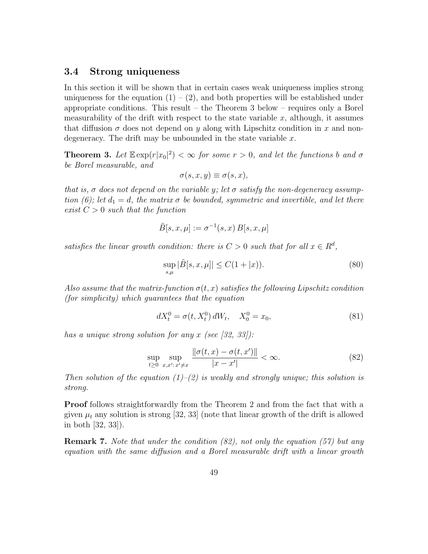## 3.4 Strong uniqueness

In this section it will be shown that in certain cases weak uniqueness implies strong uniqueness for the equation  $(1) - (2)$ , and both properties will be established under appropriate conditions. This result – the Theorem 3 below – requires only a Borel measurability of the drift with respect to the state variable  $x$ , although, it assumes that diffusion  $\sigma$  does not depend on y along with Lipschitz condition in x and nondegeneracy. The drift may be unbounded in the state variable  $x$ .

**Theorem 3.** Let  $\mathbb{E} \exp(r|x_0|^2) < \infty$  for some  $r > 0$ , and let the functions b and  $\sigma$ be Borel measurable, and

$$
\sigma(s, x, y) \equiv \sigma(s, x),
$$

that is,  $\sigma$  does not depend on the variable y; let  $\sigma$  satisfy the non-degeneracy assumption (6); let  $d_1 = d$ , the matrix  $\sigma$  be bounded, symmetric and invertible, and let there exist  $C > 0$  such that the function

$$
\tilde{B}[s, x, \mu] := \sigma^{-1}(s, x) B[s, x, \mu]
$$

satisfies the linear growth condition: there is  $C > 0$  such that for all  $x \in R^d$ ,

$$
\sup_{s,\mu} |\tilde{B}[s,x,\mu]| \le C(1+|x)).
$$
\n(80)

Also assume that the matrix-function  $\sigma(t, x)$  satisfies the following Lipschitz condition (for simplicity) which guarantees that the equation

$$
dX_t^0 = \sigma(t, X_t^0) dW_t, \quad X_0^0 = x_0,\tag{81}
$$

has a unique strong solution for any x (see  $(32, 33)$ ):

$$
\sup_{t \ge 0} \sup_{x, x': x' \ne x} \frac{\|\sigma(t, x) - \sigma(t, x')\|}{|x - x'|} < \infty. \tag{82}
$$

Then solution of the equation  $(1)$ – $(2)$  is weakly and strongly unique; this solution is strong.

Proof follows straightforwardly from the Theorem 2 and from the fact that with a given  $\mu_t$  any solution is strong [32, 33] (note that linear growth of the drift is allowed in both [32, 33]).

Remark 7. Note that under the condition (82), not only the equation (57) but any equation with the same diffusion and a Borel measurable drift with a linear growth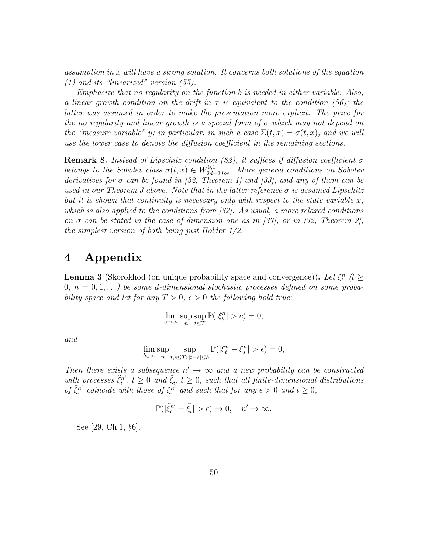assumption in x will have a strong solution. It concerns both solutions of the equation (1) and its "linearized" version (55).

Emphasize that no regularity on the function b is needed in either variable. Also, a linear growth condition on the drift in x is equivalent to the condition  $(56)$ ; the latter was assumed in order to make the presentation more explicit. The price for the no regularity and linear growth is a special form of  $\sigma$  which may not depend on the "measure variable" y; in particular, in such a case  $\Sigma(t, x) = \sigma(t, x)$ , and we will use the lower case to denote the diffusion coefficient in the remaining sections.

**Remark 8.** Instead of Lipschitz condition (82), it suffices if diffusion coefficient  $\sigma$ belongs to the Sobolev class  $\sigma(t,x) \in W^{0,1}_{2d+2,loc}$ . More general conditions on Sobolev derivatives for  $\sigma$  can be found in [32, Theorem 1] and [33], and any of them can be used in our Theorem 3 above. Note that in the latter reference  $\sigma$  is assumed Lipschitz but it is shown that continuity is necessary only with respect to the state variable  $x$ , which is also applied to the conditions from [32]. As usual, a more relaxed conditions on  $\sigma$  can be stated in the case of dimension one as in [37], or in [32, Theorem 2], the simplest version of both being just Hölder  $1/2$ .

# 4 Appendix

**Lemma 3** (Skorokhod (on unique probability space and convergence)). Let  $\xi_t^n$  ( $t \geq$  $0, n = 0, 1, \ldots$ ) be some d-dimensional stochastic processes defined on some probability space and let for any  $T > 0$ ,  $\epsilon > 0$  the following hold true:

$$
\lim_{c \to \infty} \sup_n \sup_{t \le T} \mathbb{P}(|\xi_t^n| > c) = 0,
$$

and

$$
\lim_{h \downarrow \infty} \sup_n \sup_{t,s \le T; \, |t-s| \le h} \mathbb{P}(|\xi^n_t - \xi^n_s| > \epsilon) = 0,
$$

Then there exists a subsequence  $n' \rightarrow \infty$  and a new probability can be constructed with processes  $\tilde{\xi}_t^{n'}$  $\tilde{\xi}_t^{(n')}$ ,  $t \geq 0$  and  $\tilde{\xi}_t$ ,  $t \geq 0$ , such that all finite-dimensional distributions of  $\tilde{\xi}^{n'}$  $\sum_{i=1}^{n'}$  coincide with those of  $\xi^{n'}$  and such that for any  $\epsilon > 0$  and  $t \geq 0$ ,

$$
\mathbb{P}(|\tilde{\xi}_t^{n'} - \tilde{\xi}_t| > \epsilon) \to 0, \quad n' \to \infty.
$$

See [29, Ch.1, §6].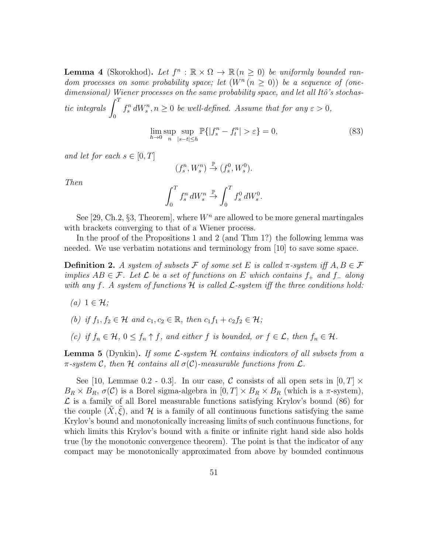**Lemma 4** (Skorokhod). Let  $f^n : \mathbb{R} \times \Omega \to \mathbb{R}$  ( $n \geq 0$ ) be uniformly bounded random processes on some probability space; let  $(W^n (n \geq 0))$  be a sequence of (one $dimensional$ ) Wiener processes on the same probability space, and let all Itô's stochastic integrals  $\int_0^T$ 0  $f_s^n dW_s^n, n \geq 0$  be well-defined. Assume that for any  $\varepsilon > 0$ ,

$$
\lim_{h \to 0} \sup_{n} \sup_{|s-t| \le h} \mathbb{P}\{|f_s^n - f_t^n| > \varepsilon\} = 0,\tag{83}
$$

and let for each  $s \in [0, T]$ 

$$
(f^n_s,W^n_s)\xrightarrow{\mathbb{P}} (f^0_s,W^0_s).
$$

Then

$$
\int_0^T f_s^n dW_s^n \stackrel{\mathbb{P}}{\rightarrow} \int_0^T f_s^0 dW_s^0.
$$

See [29, Ch.2, §3, Theorem], where  $W<sup>n</sup>$  are allowed to be more general martingales with brackets converging to that of a Wiener process.

In the proof of the Propositions 1 and 2 (and Thm 1?) the following lemma was needed. We use verbatim notations and terminology from [10] to save some space.

**Definition 2.** A system of subsets F of some set E is called  $\pi$ -system iff  $A, B \in \mathcal{F}$ implies  $AB \in \mathcal{F}$ . Let  $\mathcal L$  be a set of functions on E which contains  $f_+$  and  $f_-$  along with any f. A system of functions  $\mathcal H$  is called  $\mathcal L$ -system iff the three conditions hold:

- $(a)$  1  $\in \mathcal{H}$ ;
- (b) if  $f_1, f_2 \in \mathcal{H}$  and  $c_1, c_2 \in \mathbb{R}$ , then  $c_1 f_1 + c_2 f_2 \in \mathcal{H}$ ;
- (c) if  $f_n \in \mathcal{H}$ ,  $0 \le f_n \uparrow f$ , and either f is bounded, or  $f \in \mathcal{L}$ , then  $f_n \in \mathcal{H}$ .

**Lemma 5** (Dynkin). If some  $\mathcal{L}$ -system  $\mathcal{H}$  contains indicators of all subsets from a  $\pi$ -system C, then H contains all  $\sigma(C)$ -measurable functions from L.

See [10, Lemmae 0.2 - 0.3]. In our case, C consists of all open sets in  $[0, T] \times$  $B_R \times B_R$ ,  $\sigma(C)$  is a Borel sigma-algebra in  $[0, T] \times B_R \times B_R$  (which is a  $\pi$ -system),  $\mathcal L$  is a family of all Borel measurable functions satisfying Krylov's bound (86) for the couple  $(X, \xi)$ , and H is a family of all continuous functions satisfying the same Krylov's bound and monotonically increasing limits of such continuous functions, for which limits this Krylov's bound with a finite or infinite right hand side also holds true (by the monotonic convergence theorem). The point is that the indicator of any compact may be monotonically approximated from above by bounded continuous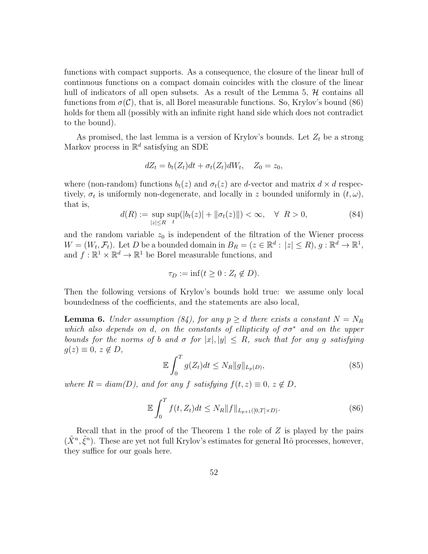functions with compact supports. As a consequence, the closure of the linear hull of continuous functions on a compact domain coincides with the closure of the linear hull of indicators of all open subsets. As a result of the Lemma 5,  $\mathcal{H}$  contains all functions from  $\sigma(\mathcal{C})$ , that is, all Borel measurable functions. So, Krylov's bound (86) holds for them all (possibly with an infinite right hand side which does not contradict to the bound).

As promised, the last lemma is a version of Krylov's bounds. Let  $Z_t$  be a strong Markov process in  $\mathbb{R}^d$  satisfying an SDE

$$
dZ_t = b_t(Z_t)dt + \sigma_t(Z_t)dW_t, \quad Z_0 = z_0,
$$

where (non-random) functions  $b_t(z)$  and  $\sigma_t(z)$  are d-vector and matrix  $d \times d$  respectively,  $\sigma_t$  is uniformly non-degenerate, and locally in z bounded uniformly in  $(t, \omega)$ , that is,

$$
d(R) := \sup_{|z| \le R} \sup_t (|b_t(z)| + \|\sigma_t(z)\|) < \infty, \quad \forall \ R > 0,\tag{84}
$$

and the random variable  $z_0$  is independent of the filtration of the Wiener process  $W = (W_t, \mathcal{F}_t)$ . Let D be a bounded domain in  $B_R = (z \in \mathbb{R}^d : |z| \le R)$ ,  $g : \mathbb{R}^d \to \mathbb{R}^1$ , and  $f: \mathbb{R}^1 \times \mathbb{R}^d \to \mathbb{R}^1$  be Borel measurable functions, and

$$
\tau_D := \inf(t \ge 0 : Z_t \notin D).
$$

Then the following versions of Krylov's bounds hold true: we assume only local boundedness of the coefficients, and the statements are also local,

**Lemma 6.** Under assumption (84), for any  $p \geq d$  there exists a constant  $N = N_R$ which also depends on d, on the constants of ellipticity of  $\sigma \sigma^*$  and on the upper bounds for the norms of b and  $\sigma$  for  $|x|, |y| \leq R$ , such that for any g satisfying  $g(z) \equiv 0, z \notin D,$ 

$$
\mathbb{E}\int_{0}^{T}g(Z_{t})dt \leq N_{R}||g||_{L_{p}(D)},
$$
\n(85)

where  $R = diam(D)$ , and for any f satisfying  $f(t, z) \equiv 0, z \notin D$ ,

$$
\mathbb{E}\int_{0}^{T}f(t,Z_{t})dt\leq N_{R}\|f\|_{L_{p+1}([0,T]\times D)}.\tag{86}
$$

Recall that in the proof of the Theorem 1 the role of  $Z$  is played by the pairs  $(\tilde{X}^n, \tilde{\xi}^n)$ . These are yet not full Krylov's estimates for general Itô processes, however, they suffice for our goals here.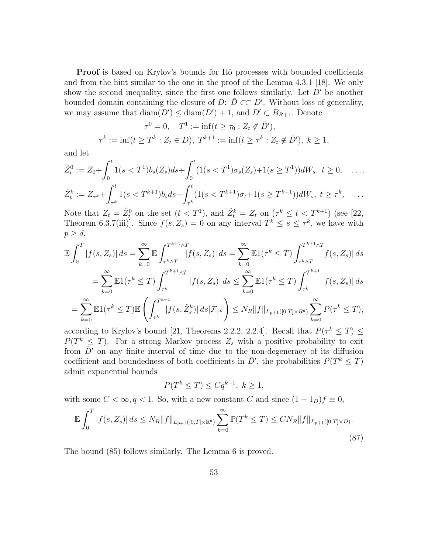**Proof** is based on Krylov's bounds for Itô processes with bounded coefficients and from the hint similar to the one in the proof of the Lemma 4.3.1 [18]. We only show the second inequality, since the first one follows similarly. Let  $D'$  be another bounded domain containing the closure of D:  $\overline{D} \subset\subset D'$ . Without loss of generality, we may assume that  $\text{diam}(D') \leq \text{diam}(D') + 1$ , and  $D' \subset B_{R+1}$ . Denote

$$
\tau^0 = 0, \quad T^1 := \inf(t \ge \tau_0 : Z_t \notin \bar{D}'),
$$
  

$$
\tau^k := \inf(t \ge T^k : Z_t \in D), \ T^{k+1} := \inf(t \ge \tau^k : Z_t \notin \bar{D}'), \ k \ge 1,
$$

and let

$$
\hat{Z}_t^0 := Z_0 + \int_0^t 1(s < T^1) b_s(Z_s) ds + \int_0^t (1(s < T^1) \sigma_s(Z_s) + 1(s \ge T^1)) dW_s, \ t \ge 0, \quad \dots, \\
\hat{Z}_t^k := Z_{\tau^k} + \int_{\tau^k}^t 1(s < T^{k+1}) b_s ds + \int_{\tau^k}^t (1(s < T^{k+1}) \sigma_t + 1(s \ge T^{k+1})) dW_s, \ t \ge \tau^k, \quad \dots
$$

Note that  $Z_t = \hat{Z}_t^0$  on the set  $(t < T^1)$ , and  $\hat{Z}_t^k = Z_t$  on  $(\tau^k \leq t < T^{k+1})$  (see [22, Theorem 6.3.7(iii)]. Since  $f(s, Z_s) = 0$  on any interval  $T^k \leq s \leq \tau^k$ , we have with  $p \geq d$ ,

$$
\mathbb{E} \int_{0}^{T} |f(s, Z_{s})| ds = \sum_{k=0}^{\infty} \mathbb{E} \int_{\tau^{k} \wedge T}^{T^{k+1} \wedge T} |f(s, Z_{s})| ds = \sum_{k=0}^{\infty} \mathbb{E} 1(\tau^{k} \leq T) \int_{\tau^{k} \wedge T}^{T^{k+1} \wedge T} |f(s, Z_{s})| ds \n= \sum_{k=0}^{\infty} \mathbb{E} 1(\tau^{k} \leq T) \int_{\tau^{k}}^{T^{k+1} \wedge T} |f(s, Z_{s})| ds \leq \sum_{k=0}^{\infty} \mathbb{E} 1(\tau^{k} \leq T) \int_{\tau^{k}}^{T^{k+1}} |f(s, Z_{s})| ds \n= \sum_{k=0}^{\infty} \mathbb{E} 1(\tau^{k} \leq T) \mathbb{E} \left( \int_{\tau^{k}}^{T^{k+1}} |f(s, \hat{Z}_{s}^{k})| ds | \mathcal{F}_{\tau^{k}} \right) \leq N_{R} ||f||_{L_{p+1}([0, T] \times R^{d})} \sum_{k=0}^{\infty} P(\tau^{k} \leq T),
$$

according to Krylov's bound [21, Theorems 2.2.2, 2.2.4]. Recall that  $P(\tau^k \leq T) \leq$  $P(T^k \leq T)$ . For a strong Markov process  $Z_s$  with a positive probability to exit from  $\bar{D}'$  on any finite interval of time due to the non-degeneracy of its diffusion coefficient and boundedness of both coefficients in  $\bar{D}'$ , the probabilities  $P(T^k \leq T)$ admit exponential bounds

$$
P(T^k \le T) \le Cq^{k-1}, \ k \ge 1,
$$

with some  $C < \infty, q < 1$ . So, with a new constant C and since  $(1 - 1_D)f \equiv 0$ ,

$$
\mathbb{E} \int_0^T |f(s, Z_s)| ds \le N_R \|f\|_{L_{p+1}([0, T] \times \mathbb{R}^d)} \sum_{k=0}^{\infty} \mathbb{P}(T^k \le T) \le CN_R \|f\|_{L_{p+1}([0, T] \times D)}.
$$
\n(87)

The bound (85) follows similarly. The Lemma 6 is proved.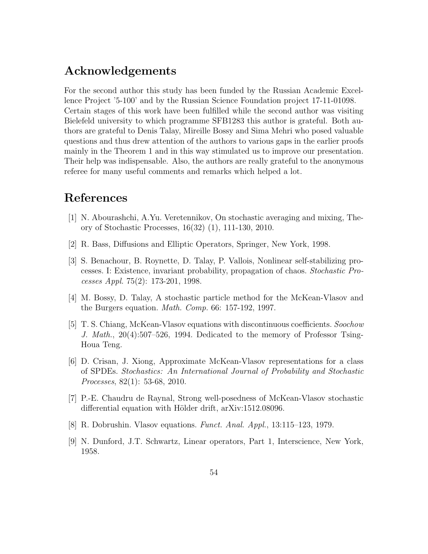# Acknowledgements

For the second author this study has been funded by the Russian Academic Excellence Project '5-100' and by the Russian Science Foundation project 17-11-01098. Certain stages of this work have been fulfilled while the second author was visiting Bielefeld university to which programme SFB1283 this author is grateful. Both authors are grateful to Denis Talay, Mireille Bossy and Sima Mehri who posed valuable questions and thus drew attention of the authors to various gaps in the earlier proofs mainly in the Theorem 1 and in this way stimulated us to improve our presentation. Their help was indispensable. Also, the authors are really grateful to the anonymous referee for many useful comments and remarks which helped a lot.

# References

- [1] N. Abourashchi, A.Yu. Veretennikov, On stochastic averaging and mixing, Theory of Stochastic Processes, 16(32) (1), 111-130, 2010.
- [2] R. Bass, Diffusions and Elliptic Operators, Springer, New York, 1998.
- [3] S. Benachour, B. Roynette, D. Talay, P. Vallois, Nonlinear self-stabilizing processes. I: Existence, invariant probability, propagation of chaos. Stochastic Processes Appl. 75(2): 173-201, 1998.
- [4] M. Bossy, D. Talay, A stochastic particle method for the McKean-Vlasov and the Burgers equation. Math. Comp. 66: 157-192, 1997.
- [5] T. S. Chiang, McKean-Vlasov equations with discontinuous coefficients. Soochow J. Math., 20(4):507–526, 1994. Dedicated to the memory of Professor Tsing-Houa Teng.
- [6] D. Crisan, J. Xiong, Approximate McKean-Vlasov representations for a class of SPDEs. Stochastics: An International Journal of Probability and Stochastic Processes, 82(1): 53-68, 2010.
- [7] P.-E. Chaudru de Raynal, Strong well-posedness of McKean-Vlasov stochastic differential equation with Hölder drift, arXiv:1512.08096.
- [8] R. Dobrushin. Vlasov equations. Funct. Anal. Appl., 13:115–123, 1979.
- [9] N. Dunford, J.T. Schwartz, Linear operators, Part 1, Interscience, New York, 1958.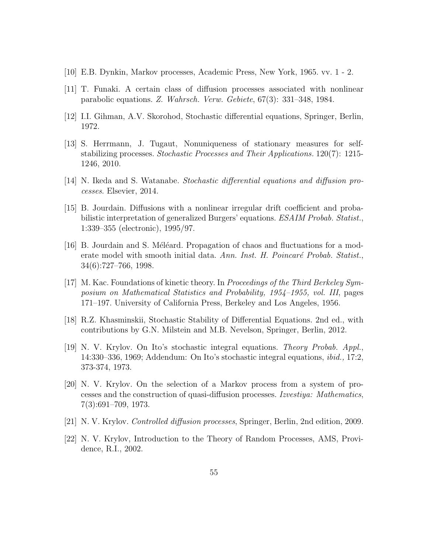- [10] E.B. Dynkin, Markov processes, Academic Press, New York, 1965. vv. 1 2.
- [11] T. Funaki. A certain class of diffusion processes associated with nonlinear parabolic equations. Z. Wahrsch. Verw. Gebiete, 67(3): 331–348, 1984.
- [12] I.I. Gihman, A.V. Skorohod, Stochastic differential equations, Springer, Berlin, 1972.
- [13] S. Herrmann, J. Tugaut, Nonuniqueness of stationary measures for selfstabilizing processes. Stochastic Processes and Their Applications. 120(7): 1215- 1246, 2010.
- [14] N. Ikeda and S. Watanabe. Stochastic differential equations and diffusion processes. Elsevier, 2014.
- [15] B. Jourdain. Diffusions with a nonlinear irregular drift coefficient and probabilistic interpretation of generalized Burgers' equations. ESAIM Probab. Statist., 1:339–355 (electronic), 1995/97.
- [16] B. Jourdain and S. Méléard. Propagation of chaos and fluctuations for a moderate model with smooth initial data. Ann. Inst. H. Poincaré Probab. Statist., 34(6):727–766, 1998.
- [17] M. Kac. Foundations of kinetic theory. In Proceedings of the Third Berkeley Symposium on Mathematical Statistics and Probability, 1954–1955, vol. III, pages 171–197. University of California Press, Berkeley and Los Angeles, 1956.
- [18] R.Z. Khasminskii, Stochastic Stability of Differential Equations. 2nd ed., with contributions by G.N. Milstein and M.B. Nevelson, Springer, Berlin, 2012.
- [19] N. V. Krylov. On Ito's stochastic integral equations. Theory Probab. Appl., 14:330–336, 1969; Addendum: On Ito's stochastic integral equations, ibid., 17:2, 373-374, 1973.
- [20] N. V. Krylov. On the selection of a Markov process from a system of processes and the construction of quasi-diffusion processes. Izvestiya: Mathematics, 7(3):691–709, 1973.
- [21] N. V. Krylov. Controlled diffusion processes, Springer, Berlin, 2nd edition, 2009.
- [22] N. V. Krylov, Introduction to the Theory of Random Processes, AMS, Providence, R.I., 2002.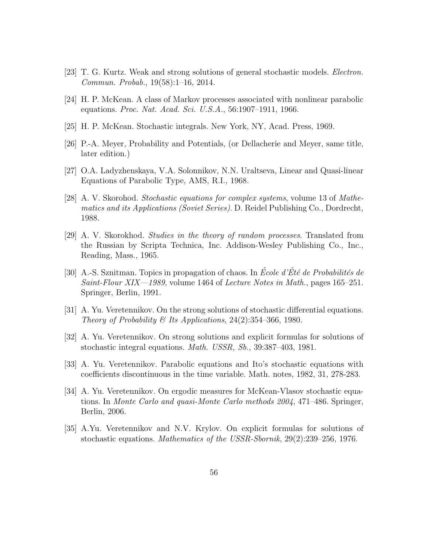- [23] T. G. Kurtz. Weak and strong solutions of general stochastic models. Electron. Commun. Probab., 19(58):1–16, 2014.
- [24] H. P. McKean. A class of Markov processes associated with nonlinear parabolic equations. Proc. Nat. Acad. Sci. U.S.A., 56:1907–1911, 1966.
- [25] H. P. McKean. Stochastic integrals. New York, NY, Acad. Press, 1969.
- [26] P.-A. Meyer, Probability and Potentials, (or Dellacherie and Meyer, same title, later edition.)
- [27] O.A. Ladyzhenskaya, V.A. Solonnikov, N.N. Uraltseva, Linear and Quasi-linear Equations of Parabolic Type, AMS, R.I., 1968.
- [28] A. V. Skorohod. Stochastic equations for complex systems, volume 13 of Mathematics and its Applications (Soviet Series). D. Reidel Publishing Co., Dordrecht, 1988.
- [29] A. V. Skorokhod. Studies in the theory of random processes. Translated from the Russian by Scripta Technica, Inc. Addison-Wesley Publishing Co., Inc., Reading, Mass., 1965.
- [30] A.-S. Sznitman. Topics in propagation of chaos. In École d'Été de Probabilités de Saint-Flour XIX—1989, volume 1464 of Lecture Notes in Math., pages  $165-251$ . Springer, Berlin, 1991.
- [31] A. Yu. Veretennikov. On the strong solutions of stochastic differential equations. Theory of Probability & Its Applications,  $24(2):354-366$ , 1980.
- [32] A. Yu. Veretennikov. On strong solutions and explicit formulas for solutions of stochastic integral equations. Math. USSR, Sb., 39:387–403, 1981.
- [33] A. Yu. Veretennikov. Parabolic equations and Ito's stochastic equations with coefficients discontinuous in the time variable. Math. notes, 1982, 31, 278-283.
- [34] A. Yu. Veretennikov. On ergodic measures for McKean-Vlasov stochastic equations. In Monte Carlo and quasi-Monte Carlo methods 2004, 471–486. Springer, Berlin, 2006.
- [35] A.Yu. Veretennikov and N.V. Krylov. On explicit formulas for solutions of stochastic equations. Mathematics of the USSR-Sbornik, 29(2):239–256, 1976.